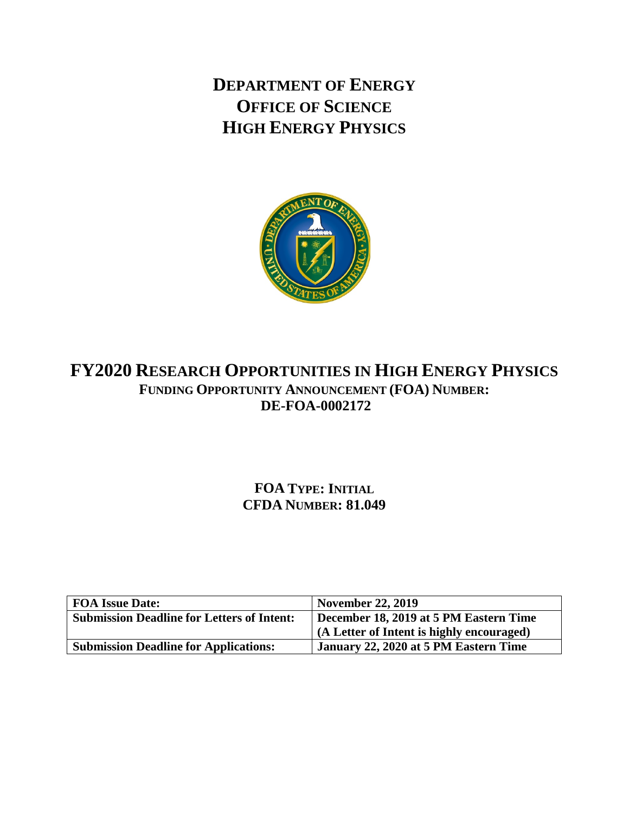**DEPARTMENT OF ENERGY OFFICE OF SCIENCE HIGH ENERGY PHYSICS**



# **FY2020 RESEARCH OPPORTUNITIES IN HIGH ENERGY PHYSICS FUNDING OPPORTUNITY ANNOUNCEMENT (FOA) NUMBER: DE-FOA-0002172**

# **FOA TYPE: INITIAL CFDA NUMBER: 81.049**

| <b>FOA Issue Date:</b>                            | <b>November 22, 2019</b>                  |
|---------------------------------------------------|-------------------------------------------|
| <b>Submission Deadline for Letters of Intent:</b> | December 18, 2019 at 5 PM Eastern Time    |
|                                                   | (A Letter of Intent is highly encouraged) |
| <b>Submission Deadline for Applications:</b>      | January 22, 2020 at 5 PM Eastern Time     |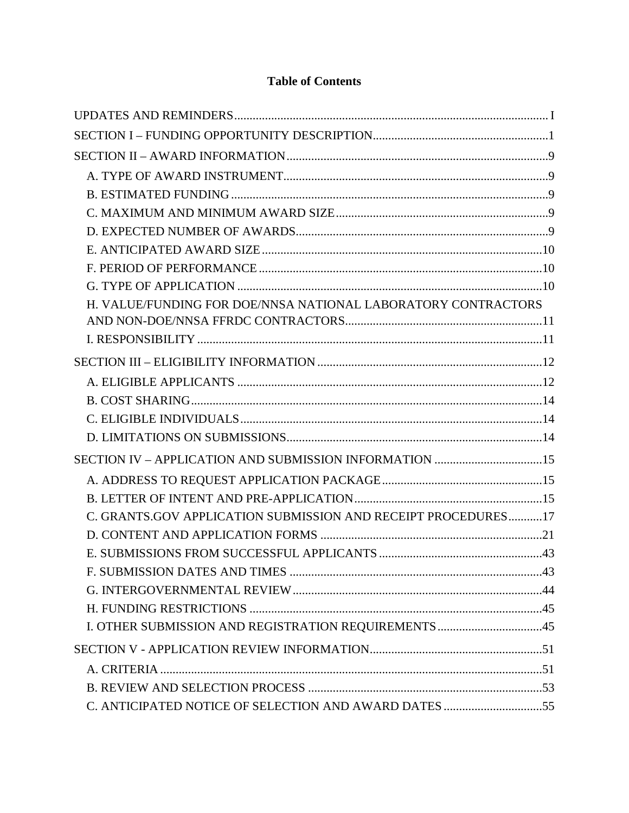## **Table of Contents**

| H. VALUE/FUNDING FOR DOE/NNSA NATIONAL LABORATORY CONTRACTORS |  |
|---------------------------------------------------------------|--|
|                                                               |  |
|                                                               |  |
|                                                               |  |
|                                                               |  |
|                                                               |  |
|                                                               |  |
|                                                               |  |
|                                                               |  |
|                                                               |  |
|                                                               |  |
| C. GRANTS.GOV APPLICATION SUBMISSION AND RECEIPT PROCEDURES17 |  |
|                                                               |  |
|                                                               |  |
|                                                               |  |
|                                                               |  |
|                                                               |  |
|                                                               |  |
|                                                               |  |
|                                                               |  |
|                                                               |  |
| C. ANTICIPATED NOTICE OF SELECTION AND AWARD DATES 55         |  |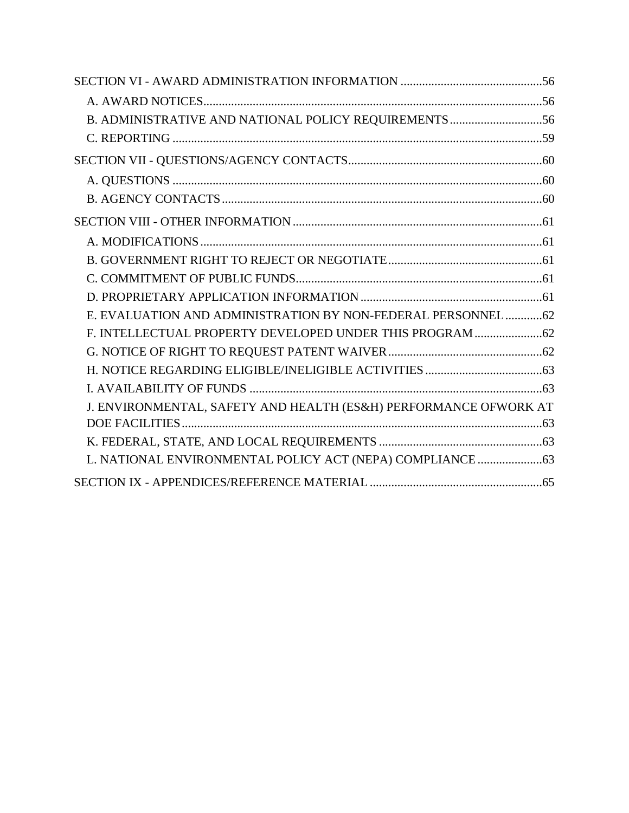| B. ADMINISTRATIVE AND NATIONAL POLICY REQUIREMENTS 56            |  |
|------------------------------------------------------------------|--|
|                                                                  |  |
|                                                                  |  |
|                                                                  |  |
|                                                                  |  |
|                                                                  |  |
|                                                                  |  |
|                                                                  |  |
|                                                                  |  |
|                                                                  |  |
| E. EVALUATION AND ADMINISTRATION BY NON-FEDERAL PERSONNEL 62     |  |
| F. INTELLECTUAL PROPERTY DEVELOPED UNDER THIS PROGRAM  62        |  |
|                                                                  |  |
|                                                                  |  |
|                                                                  |  |
| J. ENVIRONMENTAL, SAFETY AND HEALTH (ES&H) PERFORMANCE OFWORK AT |  |
|                                                                  |  |
|                                                                  |  |
| L. NATIONAL ENVIRONMENTAL POLICY ACT (NEPA) COMPLIANCE  63       |  |
|                                                                  |  |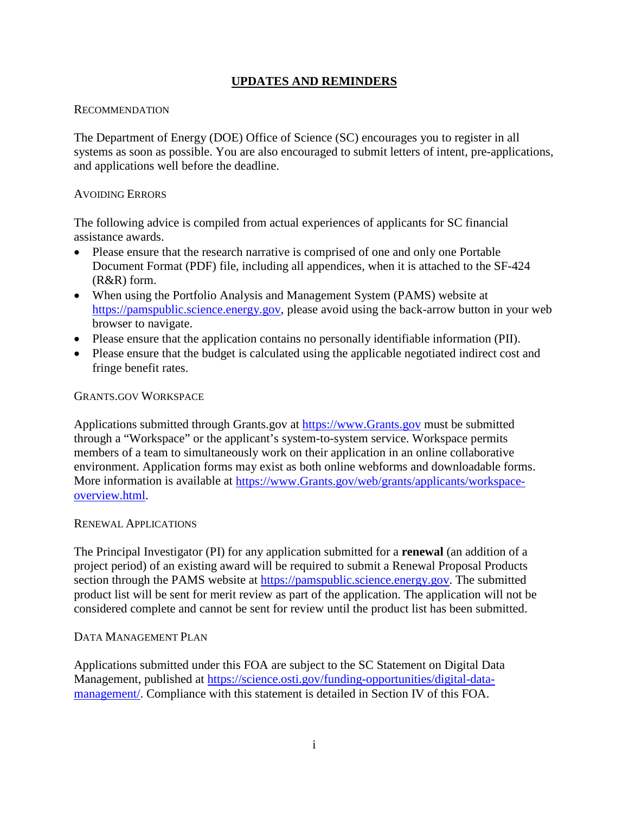### **UPDATES AND REMINDERS**

#### <span id="page-3-0"></span>RECOMMENDATION

The Department of Energy (DOE) Office of Science (SC) encourages you to register in all systems as soon as possible. You are also encouraged to submit letters of intent, pre-applications, and applications well before the deadline.

#### AVOIDING ERRORS

The following advice is compiled from actual experiences of applicants for SC financial assistance awards.

- Please ensure that the research narrative is comprised of one and only one Portable Document Format (PDF) file, including all appendices, when it is attached to the SF-424 (R&R) form.
- When using the Portfolio Analysis and Management System (PAMS) website at [https://pamspublic.science.energy.gov,](https://pamspublic.science.energy.gov/) please avoid using the back-arrow button in your web browser to navigate.
- Please ensure that the application contains no personally identifiable information (PII).
- Please ensure that the budget is calculated using the applicable negotiated indirect cost and fringe benefit rates.

#### GRANTS.GOV WORKSPACE

Applications submitted through Grants.gov at [https://www.Grants.gov](https://www.grants.gov/) must be submitted through a "Workspace" or the applicant's system-to-system service. Workspace permits members of a team to simultaneously work on their application in an online collaborative environment. Application forms may exist as both online webforms and downloadable forms. More information is available at [https://www.Grants.gov/web/grants/applicants/workspace](https://www.grants.gov/web/grants/applicants/workspace-overview.html)[overview.html.](https://www.grants.gov/web/grants/applicants/workspace-overview.html)

#### RENEWAL APPLICATIONS

The Principal Investigator (PI) for any application submitted for a **renewal** (an addition of a project period) of an existing award will be required to submit a Renewal Proposal Products section through the PAMS website at [https://pamspublic.science.energy.gov.](https://pamspublic.science.energy.gov/) The submitted product list will be sent for merit review as part of the application. The application will not be considered complete and cannot be sent for review until the product list has been submitted.

#### DATA MANAGEMENT PLAN

Applications submitted under this FOA are subject to the SC Statement on Digital Data Management, published at [https://science.osti.gov/funding-opportunities/digital-data](https://science.osti.gov/funding-opportunities/digital-data-management/)[management/.](https://science.osti.gov/funding-opportunities/digital-data-management/) Compliance with this statement is detailed in Section IV of this FOA.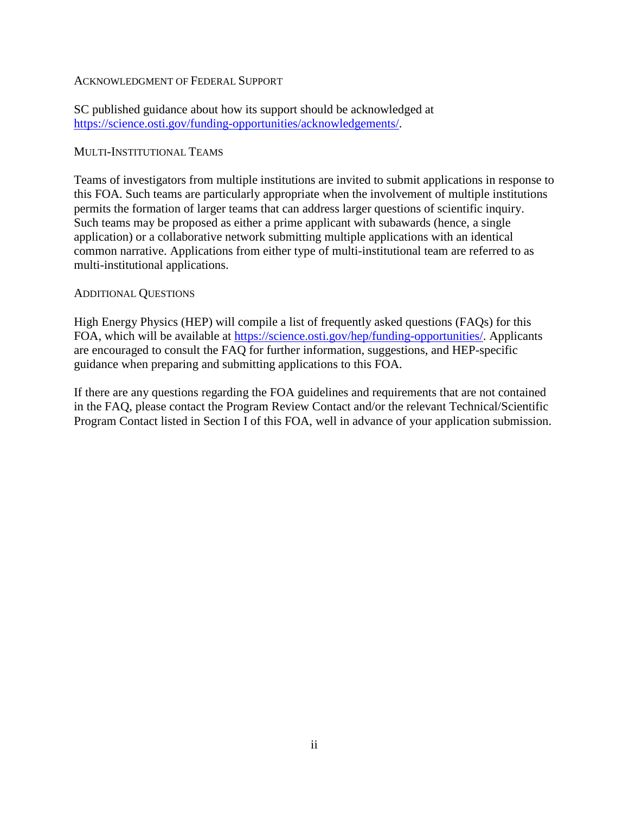#### ACKNOWLEDGMENT OF FEDERAL SUPPORT

SC published guidance about how its support should be acknowledged at [https://science.osti.gov/funding-opportunities/acknowledgements/.](https://science.osti.gov/funding-opportunities/acknowledgements/)

#### MULTI-INSTITUTIONAL TEAMS

Teams of investigators from multiple institutions are invited to submit applications in response to this FOA. Such teams are particularly appropriate when the involvement of multiple institutions permits the formation of larger teams that can address larger questions of scientific inquiry. Such teams may be proposed as either a prime applicant with subawards (hence, a single application) or a collaborative network submitting multiple applications with an identical common narrative. Applications from either type of multi-institutional team are referred to as multi-institutional applications.

#### ADDITIONAL QUESTIONS

High Energy Physics (HEP) will compile a list of frequently asked questions (FAQs) for this FOA, which will be available at [https://science.osti.gov/hep/funding-opportunities/.](https://science.osti.gov/hep/funding-opportunities/) Applicants are encouraged to consult the FAQ for further information, suggestions, and HEP-specific guidance when preparing and submitting applications to this FOA.

If there are any questions regarding the FOA guidelines and requirements that are not contained in the FAQ, please contact the Program Review Contact and/or the relevant Technical/Scientific Program Contact listed in Section I of this FOA, well in advance of your application submission.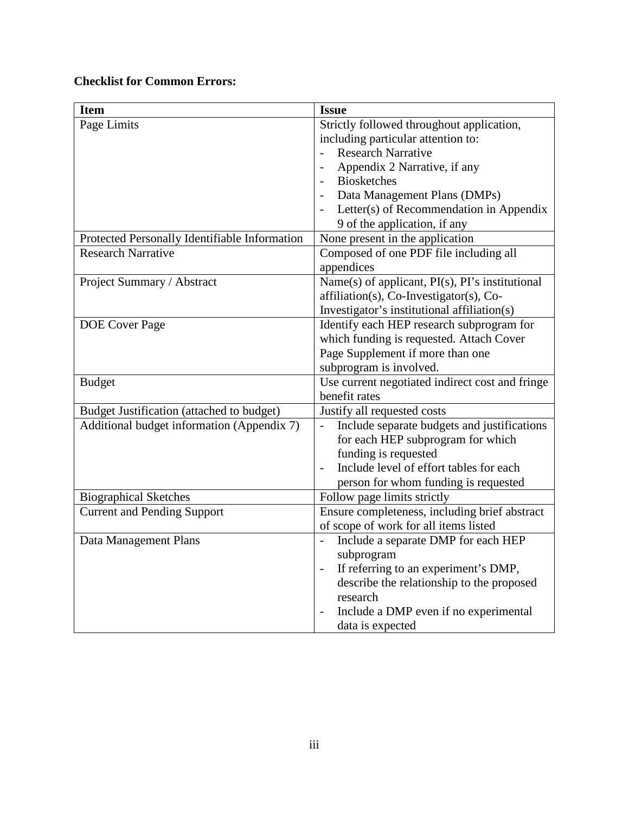# **Checklist for Common Errors:**

| <b>Item</b>                                   | <b>Issue</b>                                         |  |  |  |  |
|-----------------------------------------------|------------------------------------------------------|--|--|--|--|
| Page Limits                                   | Strictly followed throughout application,            |  |  |  |  |
|                                               | including particular attention to:                   |  |  |  |  |
|                                               | <b>Research Narrative</b>                            |  |  |  |  |
|                                               | Appendix 2 Narrative, if any                         |  |  |  |  |
|                                               | <b>Biosketches</b>                                   |  |  |  |  |
|                                               | Data Management Plans (DMPs)                         |  |  |  |  |
|                                               | Letter(s) of Recommendation in Appendix              |  |  |  |  |
|                                               | 9 of the application, if any                         |  |  |  |  |
| Protected Personally Identifiable Information | None present in the application                      |  |  |  |  |
| <b>Research Narrative</b>                     | Composed of one PDF file including all               |  |  |  |  |
|                                               | appendices                                           |  |  |  |  |
| Project Summary / Abstract                    | Name(s) of applicant, $PI(s)$ , $PI's$ institutional |  |  |  |  |
|                                               | affiliation(s), Co-Investigator(s), Co-              |  |  |  |  |
|                                               | Investigator's institutional affiliation(s)          |  |  |  |  |
| <b>DOE</b> Cover Page                         | Identify each HEP research subprogram for            |  |  |  |  |
|                                               | which funding is requested. Attach Cover             |  |  |  |  |
|                                               | Page Supplement if more than one                     |  |  |  |  |
|                                               | subprogram is involved.                              |  |  |  |  |
| <b>Budget</b>                                 | Use current negotiated indirect cost and fringe      |  |  |  |  |
|                                               | benefit rates                                        |  |  |  |  |
| Budget Justification (attached to budget)     | Justify all requested costs                          |  |  |  |  |
| Additional budget information (Appendix 7)    | Include separate budgets and justifications          |  |  |  |  |
|                                               | for each HEP subprogram for which                    |  |  |  |  |
|                                               | funding is requested                                 |  |  |  |  |
|                                               | Include level of effort tables for each              |  |  |  |  |
|                                               | person for whom funding is requested                 |  |  |  |  |
| <b>Biographical Sketches</b>                  | Follow page limits strictly                          |  |  |  |  |
| <b>Current and Pending Support</b>            | Ensure completeness, including brief abstract        |  |  |  |  |
|                                               | of scope of work for all items listed                |  |  |  |  |
| Data Management Plans                         | Include a separate DMP for each HEP                  |  |  |  |  |
|                                               | subprogram                                           |  |  |  |  |
|                                               | If referring to an experiment's DMP,                 |  |  |  |  |
|                                               | describe the relationship to the proposed            |  |  |  |  |
|                                               | research                                             |  |  |  |  |
|                                               | Include a DMP even if no experimental                |  |  |  |  |
|                                               | data is expected                                     |  |  |  |  |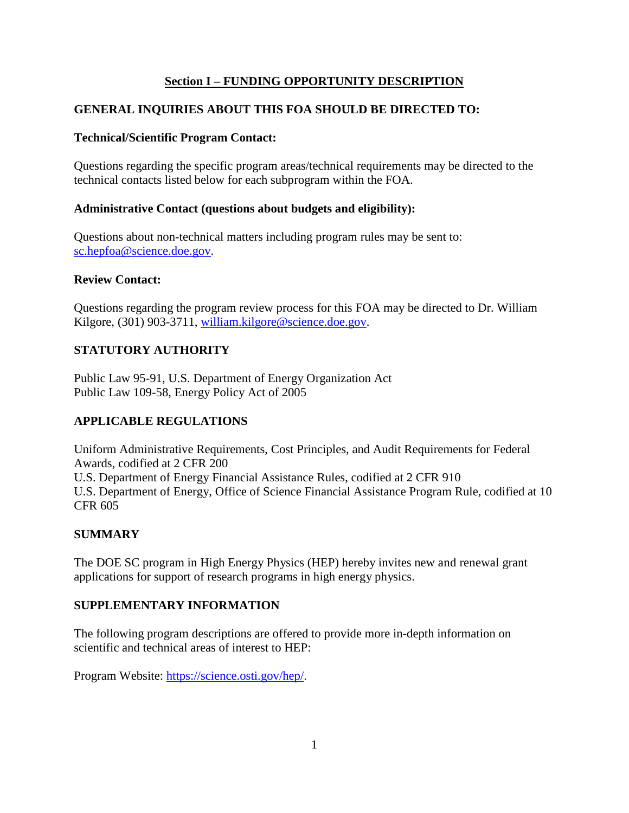### **Section I – FUNDING OPPORTUNITY DESCRIPTION**

### <span id="page-6-0"></span>**GENERAL INQUIRIES ABOUT THIS FOA SHOULD BE DIRECTED TO:**

#### **Technical/Scientific Program Contact:**

Questions regarding the specific program areas/technical requirements may be directed to the technical contacts listed below for each subprogram within the FOA.

#### **Administrative Contact (questions about budgets and eligibility):**

Questions about non-technical matters including program rules may be sent to: [sc.hepfoa@science.doe.gov.](mailto:sc.hepfoa@science.doe.gov)

#### **Review Contact:**

Questions regarding the program review process for this FOA may be directed to Dr. William Kilgore, (301) 903-3711, [william.kilgore@science.doe.gov.](mailto:william.kilgore@science.doe.gov)

## **STATUTORY AUTHORITY**

Public Law 95-91, U.S. Department of Energy Organization Act Public Law 109-58, Energy Policy Act of 2005

### **APPLICABLE REGULATIONS**

Uniform Administrative Requirements, Cost Principles, and Audit Requirements for Federal Awards, codified at 2 CFR 200 U.S. Department of Energy Financial Assistance Rules, codified at 2 CFR 910 U.S. Department of Energy, Office of Science Financial Assistance Program Rule, codified at 10 CFR 605

### **SUMMARY**

The DOE SC program in High Energy Physics (HEP) hereby invites new and renewal grant applications for support of research programs in high energy physics.

#### **SUPPLEMENTARY INFORMATION**

The following program descriptions are offered to provide more in-depth information on scientific and technical areas of interest to HEP:

Program Website: [https://science.osti.gov/hep/.](https://science.osti.gov/hep/)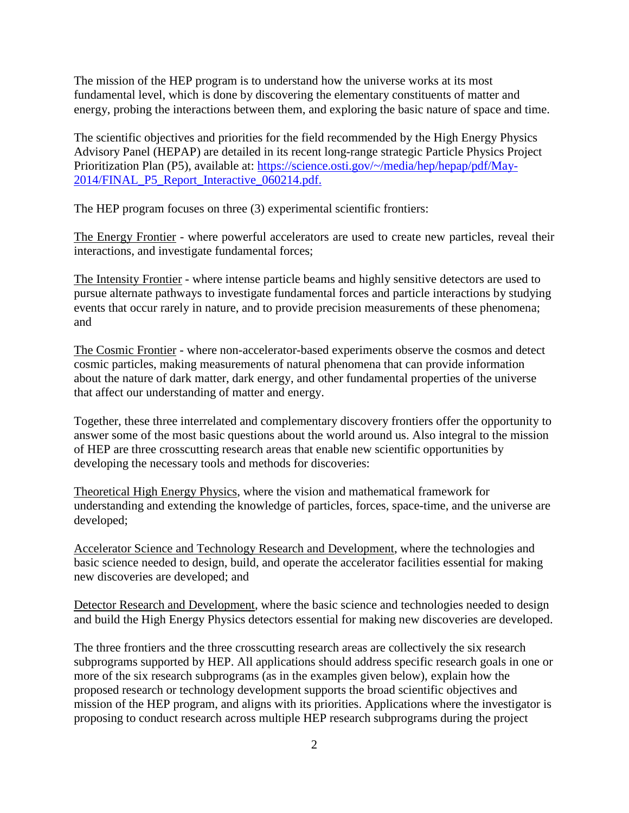The mission of the HEP program is to understand how the universe works at its most fundamental level, which is done by discovering the elementary constituents of matter and energy, probing the interactions between them, and exploring the basic nature of space and time.

The scientific objectives and priorities for the field recommended by the High Energy Physics Advisory Panel (HEPAP) are detailed in its recent long-range strategic Particle Physics Project Prioritization Plan (P5), available at: [https://science.osti.gov/~/media/hep/hepap/pdf/May-](https://science.osti.gov/%7E/media/hep/hepap/pdf/May-2014/FINAL_P5_Report_Interactive_060214.pdf)[2014/FINAL\\_P5\\_Report\\_Interactive\\_060214.pdf.](https://science.osti.gov/%7E/media/hep/hepap/pdf/May-2014/FINAL_P5_Report_Interactive_060214.pdf)

The HEP program focuses on three (3) experimental scientific frontiers:

The Energy Frontier - where powerful accelerators are used to create new particles, reveal their interactions, and investigate fundamental forces;

The Intensity Frontier - where intense particle beams and highly sensitive detectors are used to pursue alternate pathways to investigate fundamental forces and particle interactions by studying events that occur rarely in nature, and to provide precision measurements of these phenomena; and

The Cosmic Frontier - where non-accelerator-based experiments observe the cosmos and detect cosmic particles, making measurements of natural phenomena that can provide information about the nature of dark matter, dark energy, and other fundamental properties of the universe that affect our understanding of matter and energy.

Together, these three interrelated and complementary discovery frontiers offer the opportunity to answer some of the most basic questions about the world around us. Also integral to the mission of HEP are three crosscutting research areas that enable new scientific opportunities by developing the necessary tools and methods for discoveries:

Theoretical High Energy Physics, where the vision and mathematical framework for understanding and extending the knowledge of particles, forces, space-time, and the universe are developed;

Accelerator Science and Technology Research and Development, where the technologies and basic science needed to design, build, and operate the accelerator facilities essential for making new discoveries are developed; and

Detector Research and Development, where the basic science and technologies needed to design and build the High Energy Physics detectors essential for making new discoveries are developed.

The three frontiers and the three crosscutting research areas are collectively the six research subprograms supported by HEP. All applications should address specific research goals in one or more of the six research subprograms (as in the examples given below), explain how the proposed research or technology development supports the broad scientific objectives and mission of the HEP program, and aligns with its priorities. Applications where the investigator is proposing to conduct research across multiple HEP research subprograms during the project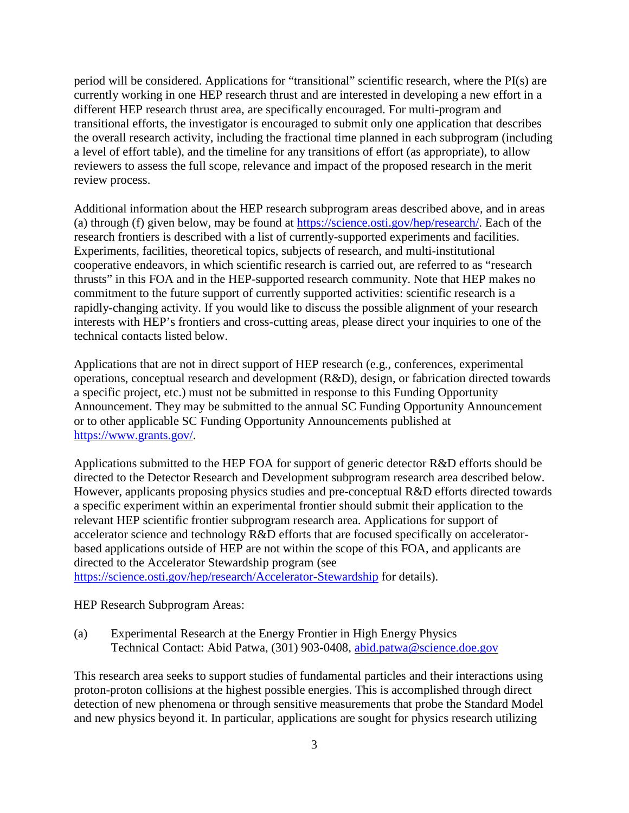period will be considered. Applications for "transitional" scientific research, where the PI(s) are currently working in one HEP research thrust and are interested in developing a new effort in a different HEP research thrust area, are specifically encouraged. For multi-program and transitional efforts, the investigator is encouraged to submit only one application that describes the overall research activity, including the fractional time planned in each subprogram (including a level of effort table), and the timeline for any transitions of effort (as appropriate), to allow reviewers to assess the full scope, relevance and impact of the proposed research in the merit review process.

Additional information about the HEP research subprogram areas described above, and in areas (a) through (f) given below, may be found at [https://science.osti.gov/hep/research/.](https://science.osti.gov/hep/research/) Each of the research frontiers is described with a list of currently-supported experiments and facilities. Experiments, facilities, theoretical topics, subjects of research, and multi-institutional cooperative endeavors, in which scientific research is carried out, are referred to as "research thrusts" in this FOA and in the HEP-supported research community. Note that HEP makes no commitment to the future support of currently supported activities: scientific research is a rapidly-changing activity. If you would like to discuss the possible alignment of your research interests with HEP's frontiers and cross-cutting areas, please direct your inquiries to one of the technical contacts listed below.

Applications that are not in direct support of HEP research (e.g., conferences, experimental operations, conceptual research and development (R&D), design, or fabrication directed towards a specific project, etc.) must not be submitted in response to this Funding Opportunity Announcement. They may be submitted to the annual SC Funding Opportunity Announcement or to other applicable SC Funding Opportunity Announcements published at [https://www.grants.gov/.](https://www.grants.gov/)

Applications submitted to the HEP FOA for support of generic detector R&D efforts should be directed to the Detector Research and Development subprogram research area described below. However, applicants proposing physics studies and pre-conceptual R&D efforts directed towards a specific experiment within an experimental frontier should submit their application to the relevant HEP scientific frontier subprogram research area. Applications for support of accelerator science and technology R&D efforts that are focused specifically on acceleratorbased applications outside of HEP are not within the scope of this FOA, and applicants are directed to the Accelerator Stewardship program (see <https://science.osti.gov/hep/research/Accelerator-Stewardship> for details).

HEP Research Subprogram Areas:

(a) Experimental Research at the Energy Frontier in High Energy Physics Technical Contact: Abid Patwa, (301) 903-0408, [abid.patwa@science.doe.gov](mailto:abid.patwa@science.doe.gov)

This research area seeks to support studies of fundamental particles and their interactions using proton-proton collisions at the highest possible energies. This is accomplished through direct detection of new phenomena or through sensitive measurements that probe the Standard Model and new physics beyond it. In particular, applications are sought for physics research utilizing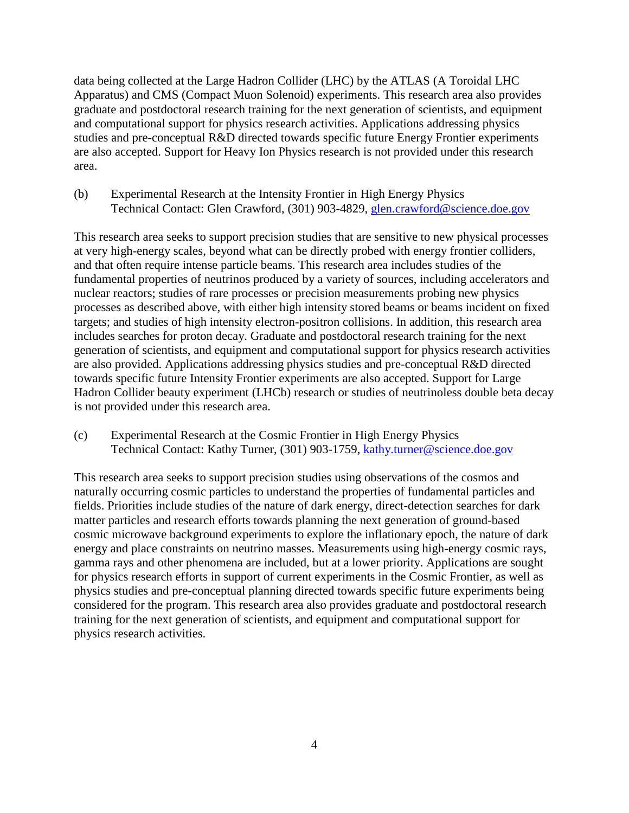data being collected at the Large Hadron Collider (LHC) by the ATLAS (A Toroidal LHC Apparatus) and CMS (Compact Muon Solenoid) experiments. This research area also provides graduate and postdoctoral research training for the next generation of scientists, and equipment and computational support for physics research activities. Applications addressing physics studies and pre-conceptual R&D directed towards specific future Energy Frontier experiments are also accepted. Support for Heavy Ion Physics research is not provided under this research area.

(b) Experimental Research at the Intensity Frontier in High Energy Physics Technical Contact: Glen Crawford, (301) 903-4829, [glen.crawford@science.doe.gov](mailto:glen.crawford@science.doe.gov)

This research area seeks to support precision studies that are sensitive to new physical processes at very high-energy scales, beyond what can be directly probed with energy frontier colliders, and that often require intense particle beams. This research area includes studies of the fundamental properties of neutrinos produced by a variety of sources, including accelerators and nuclear reactors; studies of rare processes or precision measurements probing new physics processes as described above, with either high intensity stored beams or beams incident on fixed targets; and studies of high intensity electron-positron collisions. In addition, this research area includes searches for proton decay. Graduate and postdoctoral research training for the next generation of scientists, and equipment and computational support for physics research activities are also provided. Applications addressing physics studies and pre-conceptual R&D directed towards specific future Intensity Frontier experiments are also accepted. Support for Large Hadron Collider beauty experiment (LHCb) research or studies of neutrinoless double beta decay is not provided under this research area.

(c) Experimental Research at the Cosmic Frontier in High Energy Physics Technical Contact: Kathy Turner, (301) 903-1759, [kathy.turner@science.doe.gov](mailto:kathy.turner@science.doe.gov)

This research area seeks to support precision studies using observations of the cosmos and naturally occurring cosmic particles to understand the properties of fundamental particles and fields. Priorities include studies of the nature of dark energy, direct-detection searches for dark matter particles and research efforts towards planning the next generation of ground-based cosmic microwave background experiments to explore the inflationary epoch, the nature of dark energy and place constraints on neutrino masses. Measurements using high-energy cosmic rays, gamma rays and other phenomena are included, but at a lower priority. Applications are sought for physics research efforts in support of current experiments in the Cosmic Frontier, as well as physics studies and pre-conceptual planning directed towards specific future experiments being considered for the program. This research area also provides graduate and postdoctoral research training for the next generation of scientists, and equipment and computational support for physics research activities.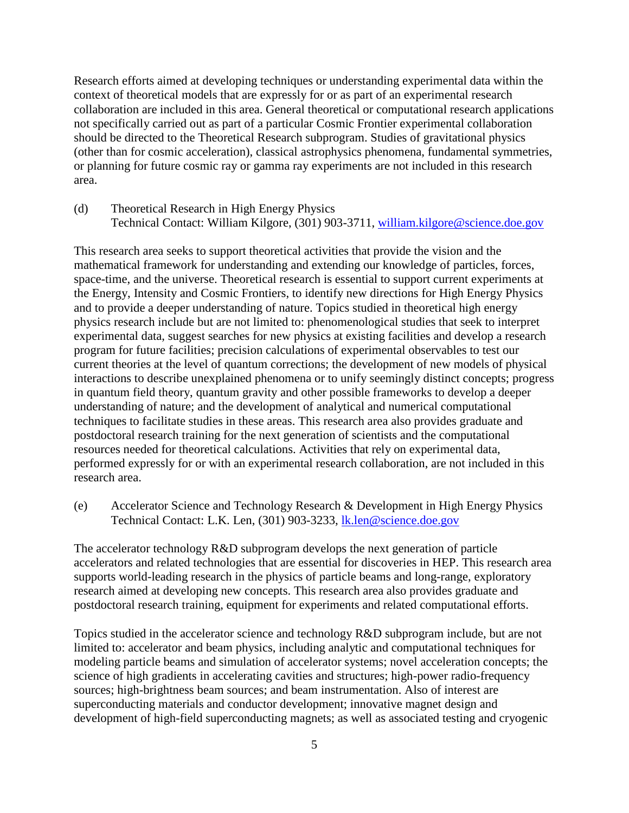Research efforts aimed at developing techniques or understanding experimental data within the context of theoretical models that are expressly for or as part of an experimental research collaboration are included in this area. General theoretical or computational research applications not specifically carried out as part of a particular Cosmic Frontier experimental collaboration should be directed to the Theoretical Research subprogram. Studies of gravitational physics (other than for cosmic acceleration), classical astrophysics phenomena, fundamental symmetries, or planning for future cosmic ray or gamma ray experiments are not included in this research area.

(d) Theoretical Research in High Energy Physics Technical Contact: William Kilgore, (301) 903-3711, [william.kilgore@science.doe.gov](mailto:william.kilgore@science.doe.gov)

This research area seeks to support theoretical activities that provide the vision and the mathematical framework for understanding and extending our knowledge of particles, forces, space-time, and the universe. Theoretical research is essential to support current experiments at the Energy, Intensity and Cosmic Frontiers, to identify new directions for High Energy Physics and to provide a deeper understanding of nature. Topics studied in theoretical high energy physics research include but are not limited to: phenomenological studies that seek to interpret experimental data, suggest searches for new physics at existing facilities and develop a research program for future facilities; precision calculations of experimental observables to test our current theories at the level of quantum corrections; the development of new models of physical interactions to describe unexplained phenomena or to unify seemingly distinct concepts; progress in quantum field theory, quantum gravity and other possible frameworks to develop a deeper understanding of nature; and the development of analytical and numerical computational techniques to facilitate studies in these areas. This research area also provides graduate and postdoctoral research training for the next generation of scientists and the computational resources needed for theoretical calculations. Activities that rely on experimental data, performed expressly for or with an experimental research collaboration, are not included in this research area.

(e) Accelerator Science and Technology Research & Development in High Energy Physics Technical Contact: L.K. Len, (301) 903-3233, [lk.len@science.doe.gov](mailto:lk.len@science.doe.gov)

The accelerator technology R&D subprogram develops the next generation of particle accelerators and related technologies that are essential for discoveries in HEP. This research area supports world-leading research in the physics of particle beams and long-range, exploratory research aimed at developing new concepts. This research area also provides graduate and postdoctoral research training, equipment for experiments and related computational efforts.

Topics studied in the accelerator science and technology R&D subprogram include, but are not limited to: accelerator and beam physics, including analytic and computational techniques for modeling particle beams and simulation of accelerator systems; novel acceleration concepts; the science of high gradients in accelerating cavities and structures; high-power radio-frequency sources; high-brightness beam sources; and beam instrumentation. Also of interest are superconducting materials and conductor development; innovative magnet design and development of high-field superconducting magnets; as well as associated testing and cryogenic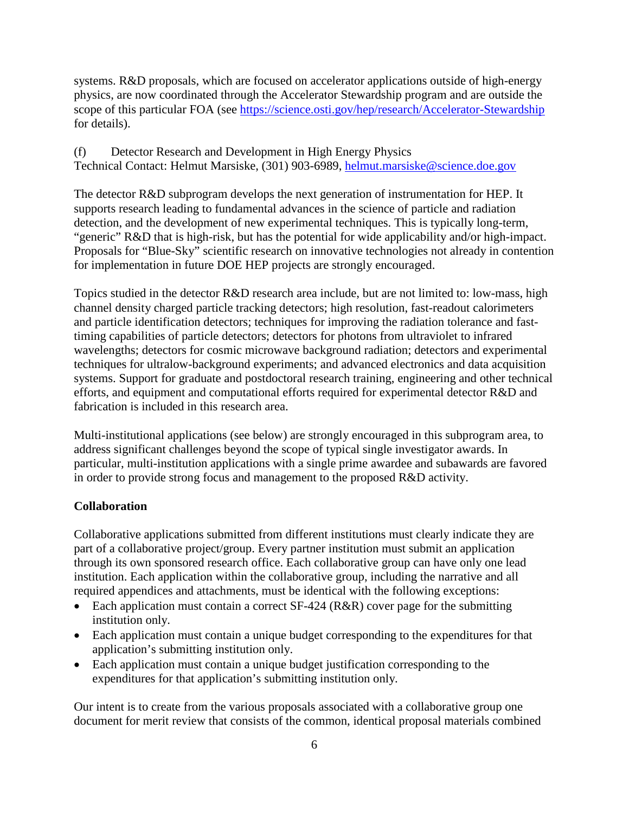systems. R&D proposals, which are focused on accelerator applications outside of high-energy physics, are now coordinated through the Accelerator Stewardship program and are outside the scope of this particular FOA (see<https://science.osti.gov/hep/research/Accelerator-Stewardship> for details).

(f) Detector Research and Development in High Energy Physics

Technical Contact: Helmut Marsiske, (301) 903-6989, [helmut.marsiske@science.doe.gov](mailto:helmut.marsiske@science.doe.gov)

The detector R&D subprogram develops the next generation of instrumentation for HEP. It supports research leading to fundamental advances in the science of particle and radiation detection, and the development of new experimental techniques. This is typically long-term, "generic" R&D that is high-risk, but has the potential for wide applicability and/or high-impact. Proposals for "Blue-Sky" scientific research on innovative technologies not already in contention for implementation in future DOE HEP projects are strongly encouraged.

Topics studied in the detector R&D research area include, but are not limited to: low-mass, high channel density charged particle tracking detectors; high resolution, fast-readout calorimeters and particle identification detectors; techniques for improving the radiation tolerance and fasttiming capabilities of particle detectors; detectors for photons from ultraviolet to infrared wavelengths; detectors for cosmic microwave background radiation; detectors and experimental techniques for ultralow-background experiments; and advanced electronics and data acquisition systems. Support for graduate and postdoctoral research training, engineering and other technical efforts, and equipment and computational efforts required for experimental detector R&D and fabrication is included in this research area.

Multi-institutional applications (see below) are strongly encouraged in this subprogram area, to address significant challenges beyond the scope of typical single investigator awards. In particular, multi-institution applications with a single prime awardee and subawards are favored in order to provide strong focus and management to the proposed R&D activity.

### **Collaboration**

Collaborative applications submitted from different institutions must clearly indicate they are part of a collaborative project/group. Every partner institution must submit an application through its own sponsored research office. Each collaborative group can have only one lead institution. Each application within the collaborative group, including the narrative and all required appendices and attachments, must be identical with the following exceptions:

- Each application must contain a correct SF-424 (R&R) cover page for the submitting institution only.
- Each application must contain a unique budget corresponding to the expenditures for that application's submitting institution only.
- Each application must contain a unique budget justification corresponding to the expenditures for that application's submitting institution only.

Our intent is to create from the various proposals associated with a collaborative group one document for merit review that consists of the common, identical proposal materials combined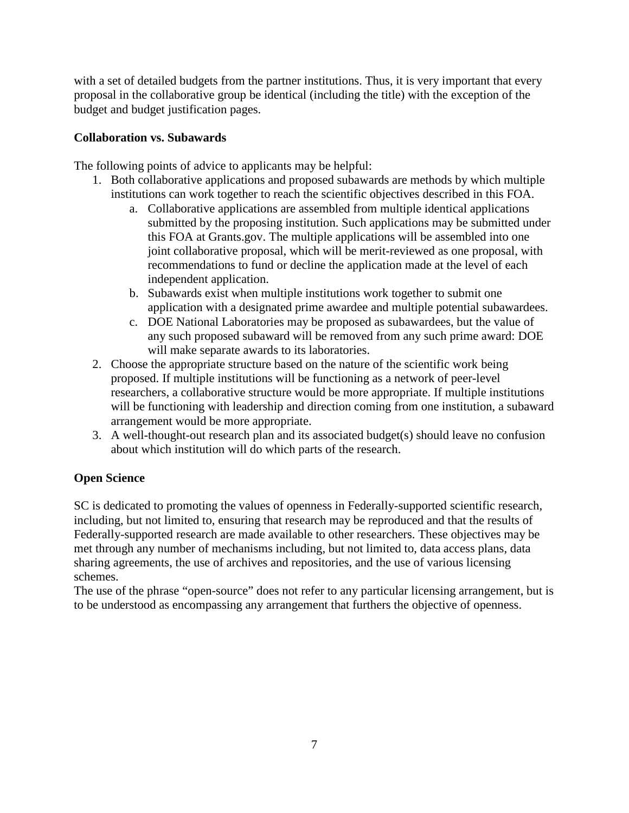with a set of detailed budgets from the partner institutions. Thus, it is very important that every proposal in the collaborative group be identical (including the title) with the exception of the budget and budget justification pages.

### **Collaboration vs. Subawards**

The following points of advice to applicants may be helpful:

- 1. Both collaborative applications and proposed subawards are methods by which multiple institutions can work together to reach the scientific objectives described in this FOA.
	- a. Collaborative applications are assembled from multiple identical applications submitted by the proposing institution. Such applications may be submitted under this FOA at Grants.gov. The multiple applications will be assembled into one joint collaborative proposal, which will be merit-reviewed as one proposal, with recommendations to fund or decline the application made at the level of each independent application.
	- b. Subawards exist when multiple institutions work together to submit one application with a designated prime awardee and multiple potential subawardees.
	- c. DOE National Laboratories may be proposed as subawardees, but the value of any such proposed subaward will be removed from any such prime award: DOE will make separate awards to its laboratories.
- 2. Choose the appropriate structure based on the nature of the scientific work being proposed. If multiple institutions will be functioning as a network of peer-level researchers, a collaborative structure would be more appropriate. If multiple institutions will be functioning with leadership and direction coming from one institution, a subaward arrangement would be more appropriate.
- 3. A well-thought-out research plan and its associated budget(s) should leave no confusion about which institution will do which parts of the research.

# **Open Science**

SC is dedicated to promoting the values of openness in Federally-supported scientific research, including, but not limited to, ensuring that research may be reproduced and that the results of Federally-supported research are made available to other researchers. These objectives may be met through any number of mechanisms including, but not limited to, data access plans, data sharing agreements, the use of archives and repositories, and the use of various licensing schemes.

The use of the phrase "open-source" does not refer to any particular licensing arrangement, but is to be understood as encompassing any arrangement that furthers the objective of openness.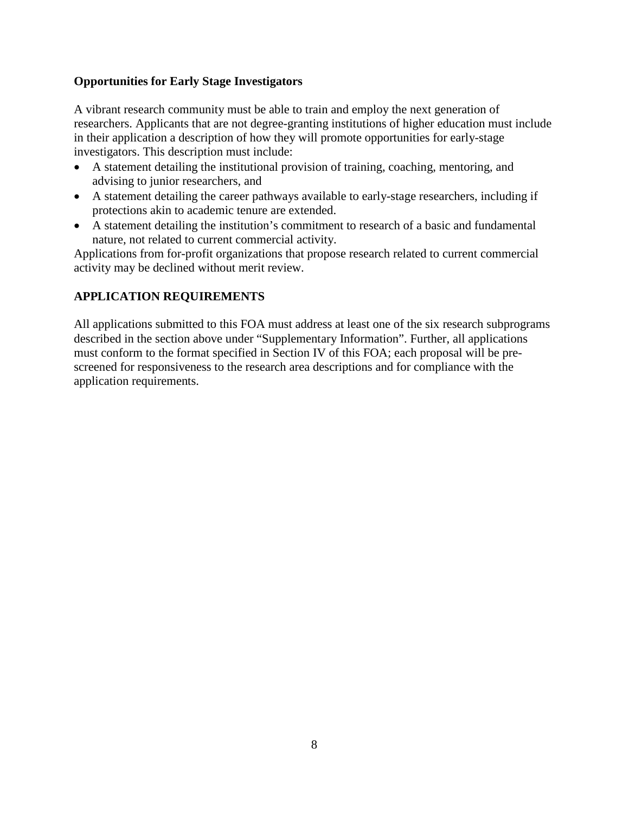#### **Opportunities for Early Stage Investigators**

A vibrant research community must be able to train and employ the next generation of researchers. Applicants that are not degree-granting institutions of higher education must include in their application a description of how they will promote opportunities for early-stage investigators. This description must include:

- A statement detailing the institutional provision of training, coaching, mentoring, and advising to junior researchers, and
- A statement detailing the career pathways available to early-stage researchers, including if protections akin to academic tenure are extended.
- A statement detailing the institution's commitment to research of a basic and fundamental nature, not related to current commercial activity.

Applications from for-profit organizations that propose research related to current commercial activity may be declined without merit review.

### **APPLICATION REQUIREMENTS**

All applications submitted to this FOA must address at least one of the six research subprograms described in the section above under "Supplementary Information". Further, all applications must conform to the format specified in Section IV of this FOA; each proposal will be prescreened for responsiveness to the research area descriptions and for compliance with the application requirements.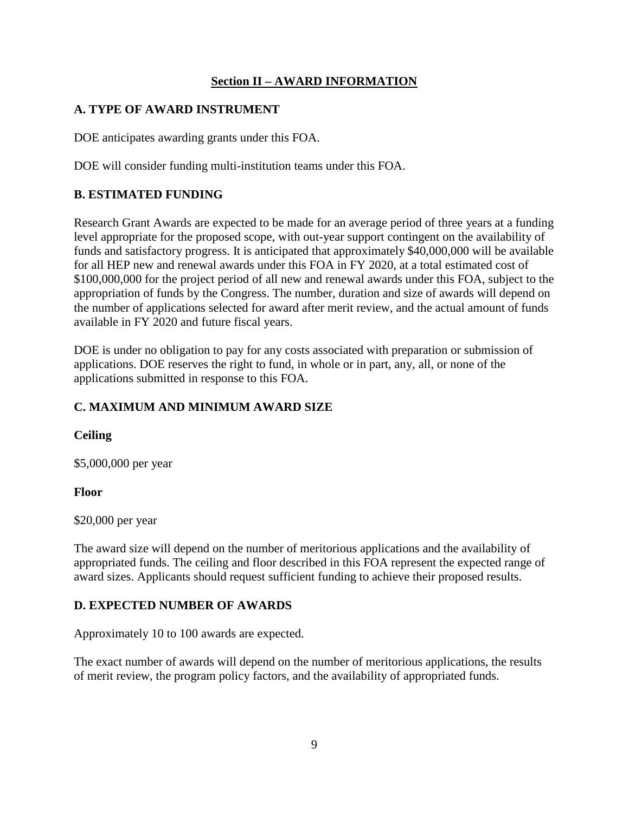### **Section II – AWARD INFORMATION**

### <span id="page-14-1"></span><span id="page-14-0"></span>**A. TYPE OF AWARD INSTRUMENT**

DOE anticipates awarding grants under this FOA.

DOE will consider funding multi-institution teams under this FOA.

## <span id="page-14-2"></span>**B. ESTIMATED FUNDING**

Research Grant Awards are expected to be made for an average period of three years at a funding level appropriate for the proposed scope, with out-year support contingent on the availability of funds and satisfactory progress. It is anticipated that approximately \$40,000,000 will be available for all HEP new and renewal awards under this FOA in FY 2020, at a total estimated cost of \$100,000,000 for the project period of all new and renewal awards under this FOA, subject to the appropriation of funds by the Congress. The number, duration and size of awards will depend on the number of applications selected for award after merit review, and the actual amount of funds available in FY 2020 and future fiscal years.

DOE is under no obligation to pay for any costs associated with preparation or submission of applications. DOE reserves the right to fund, in whole or in part, any, all, or none of the applications submitted in response to this FOA.

## <span id="page-14-3"></span>**C. MAXIMUM AND MINIMUM AWARD SIZE**

### **Ceiling**

\$5,000,000 per year

#### **Floor**

\$20,000 per year

The award size will depend on the number of meritorious applications and the availability of appropriated funds. The ceiling and floor described in this FOA represent the expected range of award sizes. Applicants should request sufficient funding to achieve their proposed results.

### <span id="page-14-4"></span>**D. EXPECTED NUMBER OF AWARDS**

Approximately 10 to 100 awards are expected.

<span id="page-14-5"></span>The exact number of awards will depend on the number of meritorious applications, the results of merit review, the program policy factors, and the availability of appropriated funds.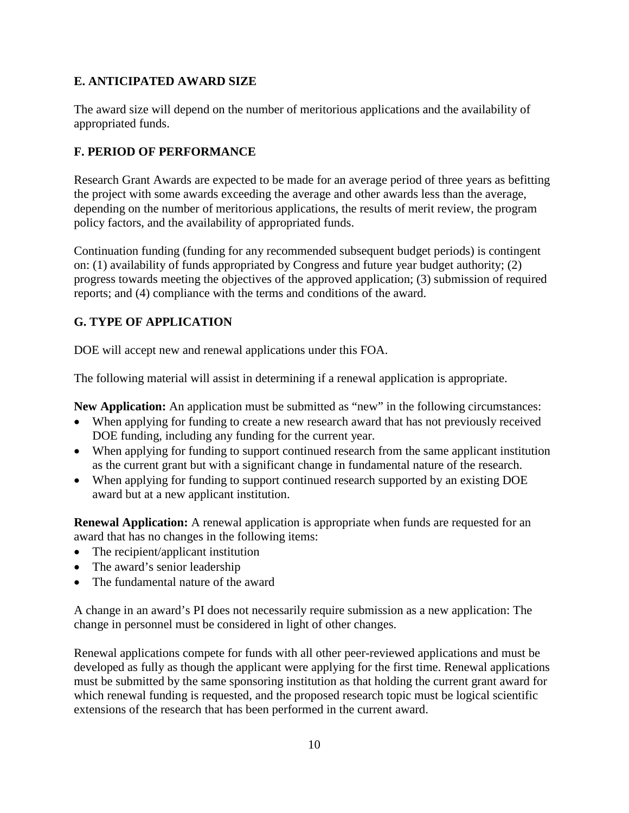### **E. ANTICIPATED AWARD SIZE**

The award size will depend on the number of meritorious applications and the availability of appropriated funds.

## <span id="page-15-0"></span>**F. PERIOD OF PERFORMANCE**

Research Grant Awards are expected to be made for an average period of three years as befitting the project with some awards exceeding the average and other awards less than the average, depending on the number of meritorious applications, the results of merit review, the program policy factors, and the availability of appropriated funds.

Continuation funding (funding for any recommended subsequent budget periods) is contingent on: (1) availability of funds appropriated by Congress and future year budget authority; (2) progress towards meeting the objectives of the approved application; (3) submission of required reports; and (4) compliance with the terms and conditions of the award.

## <span id="page-15-1"></span>**G. TYPE OF APPLICATION**

DOE will accept new and renewal applications under this FOA.

The following material will assist in determining if a renewal application is appropriate.

**New Application:** An application must be submitted as "new" in the following circumstances:

- When applying for funding to create a new research award that has not previously received DOE funding, including any funding for the current year.
- When applying for funding to support continued research from the same applicant institution as the current grant but with a significant change in fundamental nature of the research.
- When applying for funding to support continued research supported by an existing DOE award but at a new applicant institution.

**Renewal Application:** A renewal application is appropriate when funds are requested for an award that has no changes in the following items:

- The recipient/applicant institution
- The award's senior leadership
- The fundamental nature of the award

A change in an award's PI does not necessarily require submission as a new application: The change in personnel must be considered in light of other changes.

Renewal applications compete for funds with all other peer-reviewed applications and must be developed as fully as though the applicant were applying for the first time. Renewal applications must be submitted by the same sponsoring institution as that holding the current grant award for which renewal funding is requested, and the proposed research topic must be logical scientific extensions of the research that has been performed in the current award.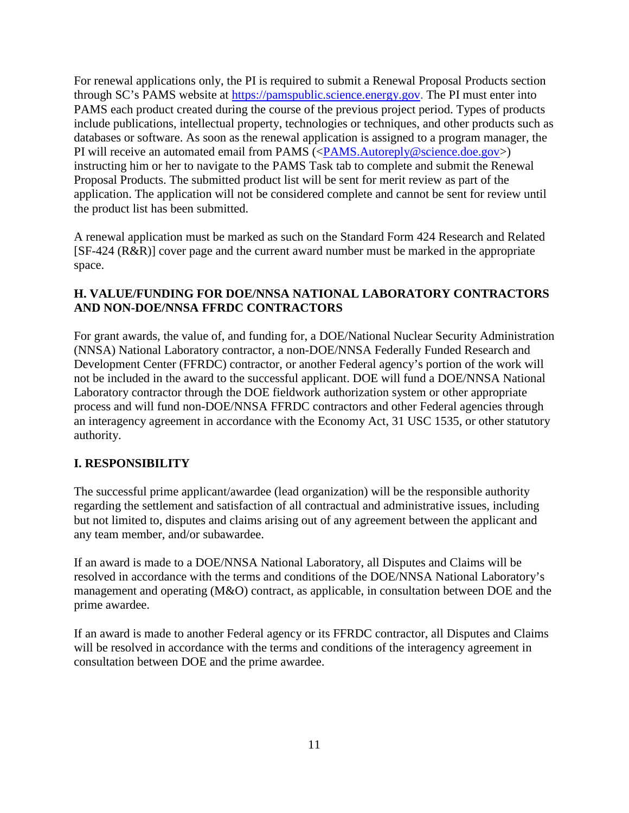For renewal applications only, the PI is required to submit a Renewal Proposal Products section through SC's PAMS website at [https://pamspublic.science.energy.gov.](https://pamspublic.science.energy.gov/) The PI must enter into PAMS each product created during the course of the previous project period. Types of products include publications, intellectual property, technologies or techniques, and other products such as databases or software. As soon as the renewal application is assigned to a program manager, the PI will receive an automated email from PAMS  $\left\langle \langle \frac{PAMS.Autoreply \&\text{science.doe.gov}\rangle}{PAMS.Autoreply \&\text{science.doe.gov}\rangle}\right\rangle$ instructing him or her to navigate to the PAMS Task tab to complete and submit the Renewal Proposal Products. The submitted product list will be sent for merit review as part of the application. The application will not be considered complete and cannot be sent for review until the product list has been submitted.

A renewal application must be marked as such on the Standard Form 424 Research and Related [SF-424 (R&R)] cover page and the current award number must be marked in the appropriate space.

#### <span id="page-16-0"></span>**H. VALUE/FUNDING FOR DOE/NNSA NATIONAL LABORATORY CONTRACTORS AND NON-DOE/NNSA FFRDC CONTRACTORS**

For grant awards, the value of, and funding for, a DOE/National Nuclear Security Administration (NNSA) National Laboratory contractor, a non-DOE/NNSA Federally Funded Research and Development Center (FFRDC) contractor, or another Federal agency's portion of the work will not be included in the award to the successful applicant. DOE will fund a DOE/NNSA National Laboratory contractor through the DOE fieldwork authorization system or other appropriate process and will fund non-DOE/NNSA FFRDC contractors and other Federal agencies through an interagency agreement in accordance with the Economy Act, 31 USC 1535, or other statutory authority.

## <span id="page-16-1"></span>**I. RESPONSIBILITY**

The successful prime applicant/awardee (lead organization) will be the responsible authority regarding the settlement and satisfaction of all contractual and administrative issues, including but not limited to, disputes and claims arising out of any agreement between the applicant and any team member, and/or subawardee.

If an award is made to a DOE/NNSA National Laboratory, all Disputes and Claims will be resolved in accordance with the terms and conditions of the DOE/NNSA National Laboratory's management and operating (M&O) contract, as applicable, in consultation between DOE and the prime awardee.

If an award is made to another Federal agency or its FFRDC contractor, all Disputes and Claims will be resolved in accordance with the terms and conditions of the interagency agreement in consultation between DOE and the prime awardee.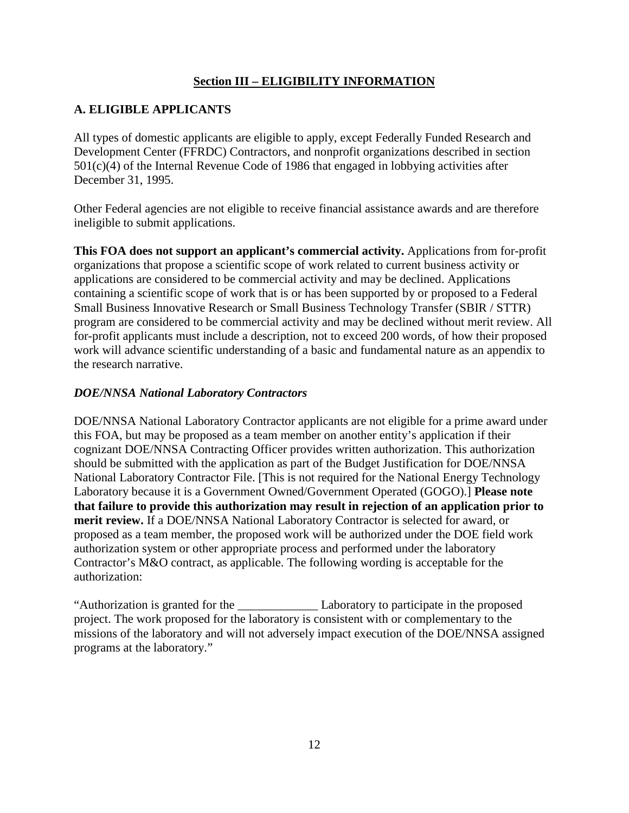### **Section III – ELIGIBILITY INFORMATION**

## <span id="page-17-1"></span><span id="page-17-0"></span>**A. ELIGIBLE APPLICANTS**

All types of domestic applicants are eligible to apply, except Federally Funded Research and Development Center (FFRDC) Contractors, and nonprofit organizations described in section 501(c)(4) of the Internal Revenue Code of 1986 that engaged in lobbying activities after December 31, 1995.

Other Federal agencies are not eligible to receive financial assistance awards and are therefore ineligible to submit applications.

**This FOA does not support an applicant's commercial activity.** Applications from for-profit organizations that propose a scientific scope of work related to current business activity or applications are considered to be commercial activity and may be declined. Applications containing a scientific scope of work that is or has been supported by or proposed to a Federal Small Business Innovative Research or Small Business Technology Transfer (SBIR / STTR) program are considered to be commercial activity and may be declined without merit review. All for-profit applicants must include a description, not to exceed 200 words, of how their proposed work will advance scientific understanding of a basic and fundamental nature as an appendix to the research narrative.

#### *DOE/NNSA National Laboratory Contractors*

DOE/NNSA National Laboratory Contractor applicants are not eligible for a prime award under this FOA, but may be proposed as a team member on another entity's application if their cognizant DOE/NNSA Contracting Officer provides written authorization. This authorization should be submitted with the application as part of the Budget Justification for DOE/NNSA National Laboratory Contractor File. [This is not required for the National Energy Technology Laboratory because it is a Government Owned/Government Operated (GOGO).] **Please note that failure to provide this authorization may result in rejection of an application prior to merit review.** If a DOE/NNSA National Laboratory Contractor is selected for award, or proposed as a team member, the proposed work will be authorized under the DOE field work authorization system or other appropriate process and performed under the laboratory Contractor's M&O contract, as applicable. The following wording is acceptable for the authorization:

"Authorization is granted for the \_\_\_\_\_\_\_\_\_\_\_\_\_ Laboratory to participate in the proposed project. The work proposed for the laboratory is consistent with or complementary to the missions of the laboratory and will not adversely impact execution of the DOE/NNSA assigned programs at the laboratory."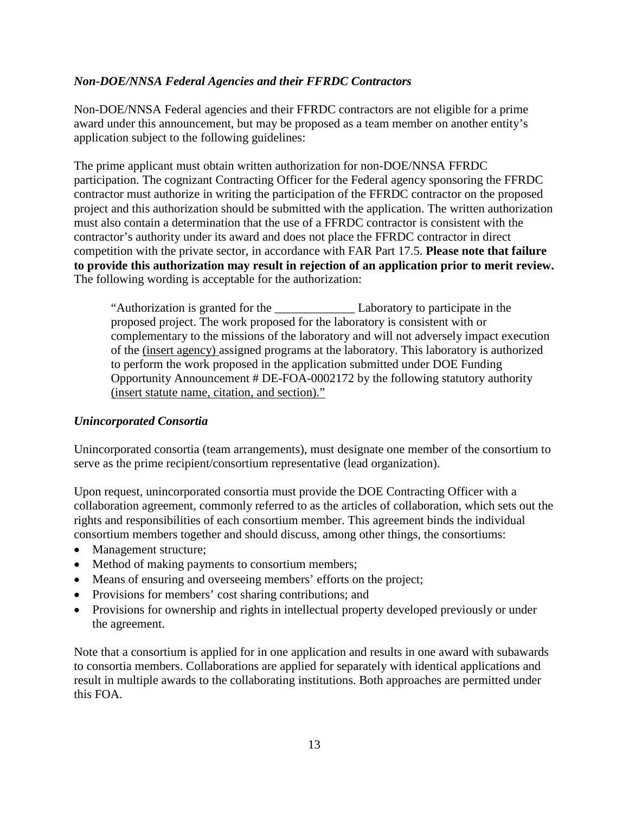#### *Non-DOE/NNSA Federal Agencies and their FFRDC Contractors*

Non-DOE/NNSA Federal agencies and their FFRDC contractors are not eligible for a prime award under this announcement, but may be proposed as a team member on another entity's application subject to the following guidelines:

The prime applicant must obtain written authorization for non-DOE/NNSA FFRDC participation. The cognizant Contracting Officer for the Federal agency sponsoring the FFRDC contractor must authorize in writing the participation of the FFRDC contractor on the proposed project and this authorization should be submitted with the application. The written authorization must also contain a determination that the use of a FFRDC contractor is consistent with the contractor's authority under its award and does not place the FFRDC contractor in direct competition with the private sector, in accordance with FAR Part 17.5. **Please note that failure to provide this authorization may result in rejection of an application prior to merit review.** The following wording is acceptable for the authorization:

"Authorization is granted for the \_\_\_\_\_\_\_\_\_\_\_\_\_ Laboratory to participate in the proposed project. The work proposed for the laboratory is consistent with or complementary to the missions of the laboratory and will not adversely impact execution of the (insert agency) assigned programs at the laboratory. This laboratory is authorized to perform the work proposed in the application submitted under DOE Funding Opportunity Announcement # DE-FOA-0002172 by the following statutory authority (insert statute name, citation, and section)."

#### *Unincorporated Consortia*

Unincorporated consortia (team arrangements), must designate one member of the consortium to serve as the prime recipient/consortium representative (lead organization).

Upon request, unincorporated consortia must provide the DOE Contracting Officer with a collaboration agreement, commonly referred to as the articles of collaboration, which sets out the rights and responsibilities of each consortium member. This agreement binds the individual consortium members together and should discuss, among other things, the consortiums:

- Management structure:
- Method of making payments to consortium members;
- Means of ensuring and overseeing members' efforts on the project;
- Provisions for members' cost sharing contributions; and
- Provisions for ownership and rights in intellectual property developed previously or under the agreement.

<span id="page-18-0"></span>Note that a consortium is applied for in one application and results in one award with subawards to consortia members. Collaborations are applied for separately with identical applications and result in multiple awards to the collaborating institutions. Both approaches are permitted under this FOA.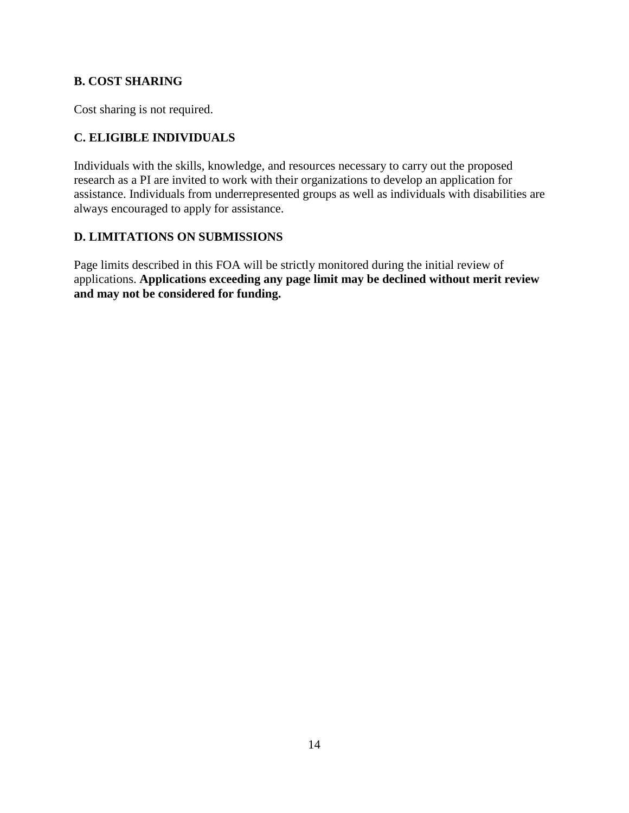#### **B. COST SHARING**

Cost sharing is not required.

### <span id="page-19-0"></span>**C. ELIGIBLE INDIVIDUALS**

Individuals with the skills, knowledge, and resources necessary to carry out the proposed research as a PI are invited to work with their organizations to develop an application for assistance. Individuals from underrepresented groups as well as individuals with disabilities are always encouraged to apply for assistance.

#### <span id="page-19-1"></span>**D. LIMITATIONS ON SUBMISSIONS**

Page limits described in this FOA will be strictly monitored during the initial review of applications. **Applications exceeding any page limit may be declined without merit review and may not be considered for funding.**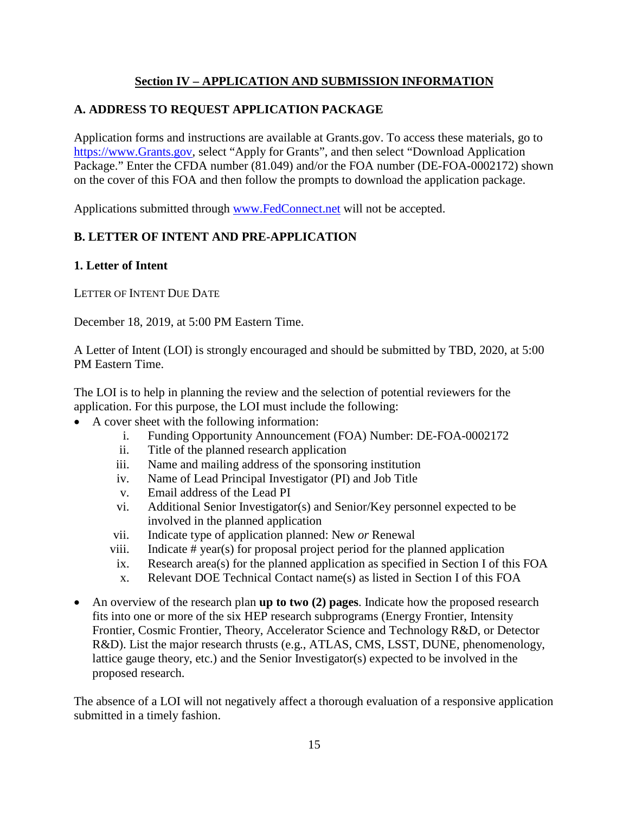## **Section IV – APPLICATION AND SUBMISSION INFORMATION**

## <span id="page-20-1"></span><span id="page-20-0"></span>**A. ADDRESS TO REQUEST APPLICATION PACKAGE**

Application forms and instructions are available at Grants.gov. To access these materials, go to [https://www.Grants.gov,](https://www.grants.gov/) select "Apply for Grants", and then select "Download Application Package." Enter the CFDA number (81.049) and/or the FOA number (DE-FOA-0002172) shown on the cover of this FOA and then follow the prompts to download the application package.

Applications submitted through [www.FedConnect.net](https://www.fedconnect.net/) will not be accepted.

## <span id="page-20-2"></span>**B. LETTER OF INTENT AND PRE-APPLICATION**

#### **1. Letter of Intent**

LETTER OF INTENT DUE DATE

December 18, 2019, at 5:00 PM Eastern Time.

A Letter of Intent (LOI) is strongly encouraged and should be submitted by TBD, 2020, at 5:00 PM Eastern Time.

The LOI is to help in planning the review and the selection of potential reviewers for the application. For this purpose, the LOI must include the following:

- A cover sheet with the following information:
	- i. Funding Opportunity Announcement (FOA) Number: DE-FOA-0002172
	- ii. Title of the planned research application
	- iii. Name and mailing address of the sponsoring institution
	- iv. Name of Lead Principal Investigator (PI) and Job Title
	- v. Email address of the Lead PI
	- vi. Additional Senior Investigator(s) and Senior/Key personnel expected to be involved in the planned application
	- vii. Indicate type of application planned: New *or* Renewal
	- viii. Indicate # year(s) for proposal project period for the planned application
	- ix. Research area(s) for the planned application as specified in Section I of this FOA
	- x. Relevant DOE Technical Contact name(s) as listed in Section I of this FOA
- An overview of the research plan **up to two (2) pages**. Indicate how the proposed research fits into one or more of the six HEP research subprograms (Energy Frontier, Intensity Frontier, Cosmic Frontier, Theory, Accelerator Science and Technology R&D, or Detector R&D). List the major research thrusts (e.g., ATLAS, CMS, LSST, DUNE, phenomenology, lattice gauge theory, etc.) and the Senior Investigator(s) expected to be involved in the proposed research.

The absence of a LOI will not negatively affect a thorough evaluation of a responsive application submitted in a timely fashion.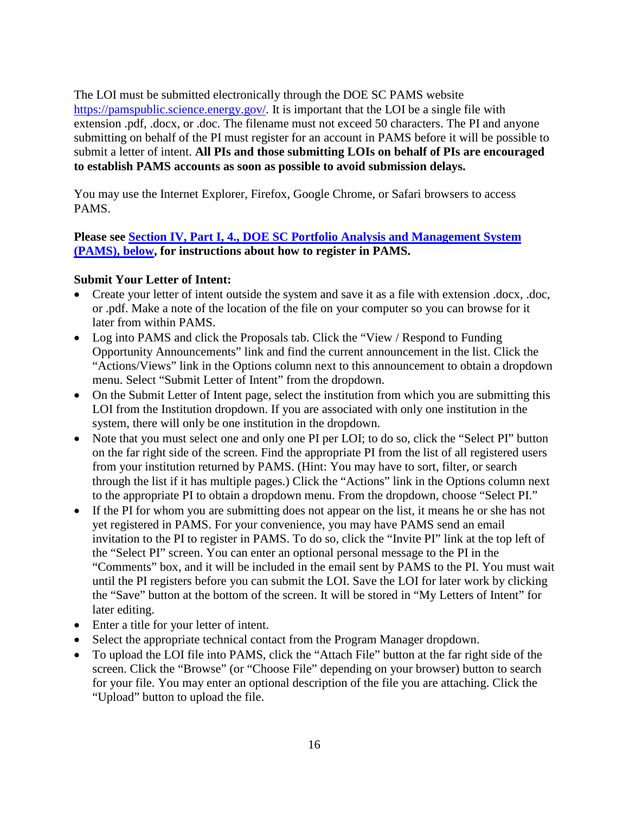The LOI must be submitted electronically through the DOE SC PAMS website [https://pamspublic.science.energy.gov/.](https://pamspublic.science.energy.gov/) It is important that the LOI be a single file with extension .pdf, .docx, or .doc. The filename must not exceed 50 characters. The PI and anyone submitting on behalf of the PI must register for an account in PAMS before it will be possible to submit a letter of intent. **All PIs and those submitting LOIs on behalf of PIs are encouraged to establish PAMS accounts as soon as possible to avoid submission delays.**

You may use the Internet Explorer, Firefox, Google Chrome, or Safari browsers to access PAMS.

**Please see [Section IV, Part I, 4., DOE SC Portfolio Analysis and Management System](#page-51-0)  [\(PAMS\), below,](#page-51-0) for instructions about how to register in PAMS.**

#### **Submit Your Letter of Intent:**

- Create your letter of intent outside the system and save it as a file with extension .docx, .doc, or .pdf. Make a note of the location of the file on your computer so you can browse for it later from within PAMS.
- Log into PAMS and click the Proposals tab. Click the "View / Respond to Funding Opportunity Announcements" link and find the current announcement in the list. Click the "Actions/Views" link in the Options column next to this announcement to obtain a dropdown menu. Select "Submit Letter of Intent" from the dropdown.
- On the Submit Letter of Intent page, select the institution from which you are submitting this LOI from the Institution dropdown. If you are associated with only one institution in the system, there will only be one institution in the dropdown.
- Note that you must select one and only one PI per LOI; to do so, click the "Select PI" button on the far right side of the screen. Find the appropriate PI from the list of all registered users from your institution returned by PAMS. (Hint: You may have to sort, filter, or search through the list if it has multiple pages.) Click the "Actions" link in the Options column next to the appropriate PI to obtain a dropdown menu. From the dropdown, choose "Select PI."
- If the PI for whom you are submitting does not appear on the list, it means he or she has not yet registered in PAMS. For your convenience, you may have PAMS send an email invitation to the PI to register in PAMS. To do so, click the "Invite PI" link at the top left of the "Select PI" screen. You can enter an optional personal message to the PI in the "Comments" box, and it will be included in the email sent by PAMS to the PI. You must wait until the PI registers before you can submit the LOI. Save the LOI for later work by clicking the "Save" button at the bottom of the screen. It will be stored in "My Letters of Intent" for later editing.
- Enter a title for your letter of intent.
- Select the appropriate technical contact from the Program Manager dropdown.
- To upload the LOI file into PAMS, click the "Attach File" button at the far right side of the screen. Click the "Browse" (or "Choose File" depending on your browser) button to search for your file. You may enter an optional description of the file you are attaching. Click the "Upload" button to upload the file.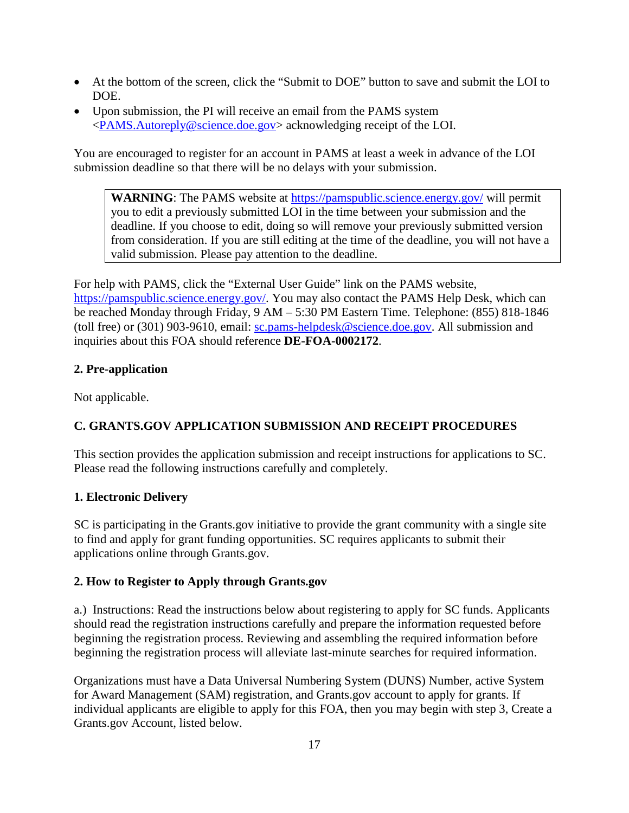- At the bottom of the screen, click the "Submit to DOE" button to save and submit the LOI to DOE.
- Upon submission, the PI will receive an email from the PAMS system [<PAMS.Autoreply@science.doe.gov>](mailto:PAMS.Autoreply@science.doe.gov) acknowledging receipt of the LOI.

You are encouraged to register for an account in PAMS at least a week in advance of the LOI submission deadline so that there will be no delays with your submission.

**WARNING**: The PAMS website at<https://pamspublic.science.energy.gov/> will permit you to edit a previously submitted LOI in the time between your submission and the deadline. If you choose to edit, doing so will remove your previously submitted version from consideration. If you are still editing at the time of the deadline, you will not have a valid submission. Please pay attention to the deadline.

For help with PAMS, click the "External User Guide" link on the PAMS website, [https://pamspublic.science.energy.gov/.](https://pamspublic.science.energy.gov/) You may also contact the PAMS Help Desk, which can be reached Monday through Friday, 9 AM – 5:30 PM Eastern Time. Telephone: (855) 818-1846 (toll free) or (301) 903-9610, email: [sc.pams-helpdesk@science.doe.gov.](mailto:sc.pams-helpdesk@science.doe.gov) All submission and inquiries about this FOA should reference **DE-FOA-0002172**.

## **2. Pre-application**

Not applicable.

## <span id="page-22-0"></span>**C. GRANTS.GOV APPLICATION SUBMISSION AND RECEIPT PROCEDURES**

This section provides the application submission and receipt instructions for applications to SC. Please read the following instructions carefully and completely.

### **1. Electronic Delivery**

SC is participating in the Grants.gov initiative to provide the grant community with a single site to find and apply for grant funding opportunities. SC requires applicants to submit their applications online through Grants.gov.

### **2. How to Register to Apply through Grants.gov**

a.) Instructions: Read the instructions below about registering to apply for SC funds. Applicants should read the registration instructions carefully and prepare the information requested before beginning the registration process. Reviewing and assembling the required information before beginning the registration process will alleviate last-minute searches for required information.

Organizations must have a Data Universal Numbering System (DUNS) Number, active System for Award Management (SAM) registration, and Grants.gov account to apply for grants. If individual applicants are eligible to apply for this FOA, then you may begin with step 3, Create a Grants.gov Account, listed below.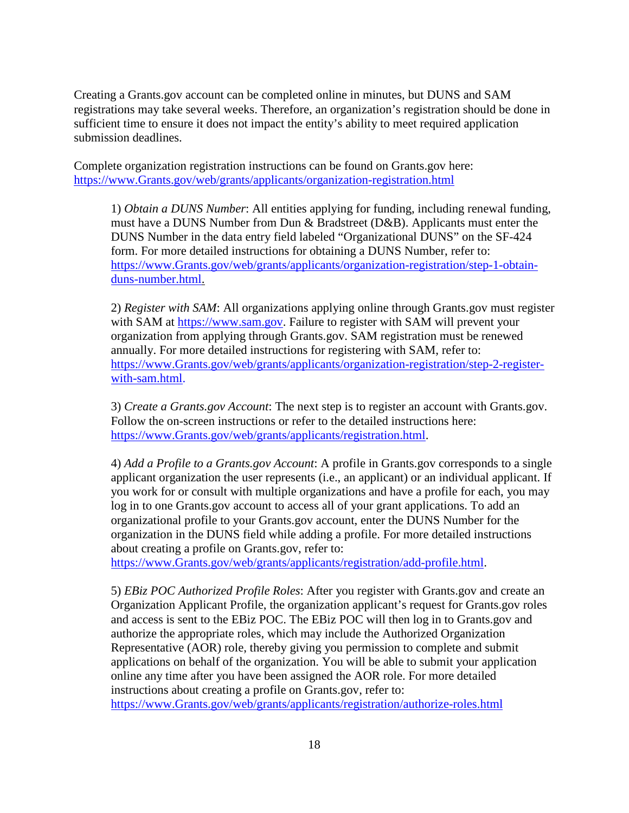Creating a Grants.gov account can be completed online in minutes, but DUNS and SAM registrations may take several weeks. Therefore, an organization's registration should be done in sufficient time to ensure it does not impact the entity's ability to meet required application submission deadlines.

Complete organization registration instructions can be found on Grants.gov here: [https://www.Grants.gov/web/grants/applicants/organization-registration.html](https://www.grants.gov/web/grants/applicants/organization-registration.html)

1) *Obtain a DUNS Number*: All entities applying for funding, including renewal funding, must have a DUNS Number from Dun & Bradstreet (D&B). Applicants must enter the DUNS Number in the data entry field labeled "Organizational DUNS" on the SF-424 form. For more detailed instructions for obtaining a DUNS Number, refer to: [https://www.Grants.gov/web/grants/applicants/organization-registration/step-1-obtain](https://www.grants.gov/web/grants/applicants/organization-registration/step-1-obtain-duns-number.html)[duns-number.html.](https://www.grants.gov/web/grants/applicants/organization-registration/step-1-obtain-duns-number.html)

2) *Register with SAM*: All organizations applying online through Grants.gov must register with SAM at [https://www.sam.gov.](https://www.sam.gov/) Failure to register with SAM will prevent your organization from applying through Grants.gov. SAM registration must be renewed annually. For more detailed instructions for registering with SAM, refer to: [https://www.Grants.gov/web/grants/applicants/organization-registration/step-2-register](https://www.grants.gov/web/grants/applicants/organization-registration/step-2-register-with-sam.html)[with-sam.html.](https://www.grants.gov/web/grants/applicants/organization-registration/step-2-register-with-sam.html)

3) *Create a Grants.gov Account*: The next step is to register an account with Grants.gov. Follow the on-screen instructions or refer to the detailed instructions here: [https://www.Grants.gov/web/grants/applicants/registration.html.](https://www.grants.gov/web/grants/applicants/registration.html)

4) *Add a Profile to a Grants.gov Account*: A profile in Grants.gov corresponds to a single applicant organization the user represents (i.e., an applicant) or an individual applicant. If you work for or consult with multiple organizations and have a profile for each, you may log in to one Grants.gov account to access all of your grant applications. To add an organizational profile to your Grants.gov account, enter the DUNS Number for the organization in the DUNS field while adding a profile. For more detailed instructions about creating a profile on Grants.gov, refer to:

[https://www.Grants.gov/web/grants/applicants/registration/add-profile.html.](https://www.grants.gov/web/grants/applicants/registration/add-profile.html)

5) *EBiz POC Authorized Profile Roles*: After you register with Grants.gov and create an Organization Applicant Profile, the organization applicant's request for Grants.gov roles and access is sent to the EBiz POC. The EBiz POC will then log in to Grants.gov and authorize the appropriate roles, which may include the Authorized Organization Representative (AOR) role, thereby giving you permission to complete and submit applications on behalf of the organization. You will be able to submit your application online any time after you have been assigned the AOR role. For more detailed instructions about creating a profile on Grants.gov, refer to:

[https://www.Grants.gov/web/grants/applicants/registration/authorize-roles.html](https://www.grants.gov/web/grants/applicants/registration/authorize-roles.html)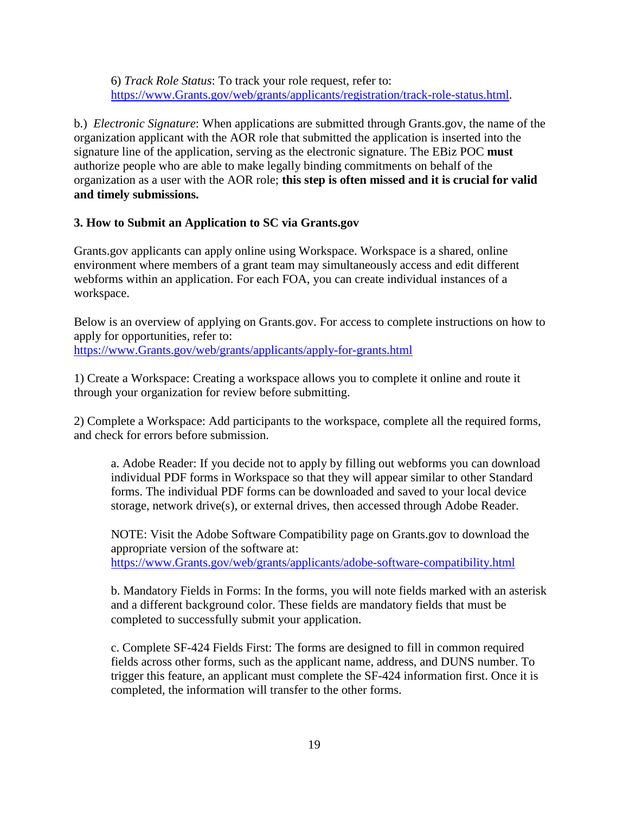6) *Track Role Status*: To track your role request, refer to: [https://www.Grants.gov/web/grants/applicants/registration/track-role-status.html.](https://www.grants.gov/web/grants/applicants/registration/track-role-status.html)

b.) *Electronic Signature*: When applications are submitted through Grants.gov, the name of the organization applicant with the AOR role that submitted the application is inserted into the signature line of the application, serving as the electronic signature. The EBiz POC **must** authorize people who are able to make legally binding commitments on behalf of the organization as a user with the AOR role; **this step is often missed and it is crucial for valid and timely submissions.**

#### **3. How to Submit an Application to SC via Grants.gov**

Grants.gov applicants can apply online using Workspace. Workspace is a shared, online environment where members of a grant team may simultaneously access and edit different webforms within an application. For each FOA, you can create individual instances of a workspace.

Below is an overview of applying on Grants.gov. For access to complete instructions on how to apply for opportunities, refer to: [https://www.Grants.gov/web/grants/applicants/apply-for-grants.html](https://www.grants.gov/web/grants/applicants/apply-for-grants.html)

1) Create a Workspace: Creating a workspace allows you to complete it online and route it through your organization for review before submitting.

2) Complete a Workspace: Add participants to the workspace, complete all the required forms, and check for errors before submission.

a. Adobe Reader: If you decide not to apply by filling out webforms you can download individual PDF forms in Workspace so that they will appear similar to other Standard forms. The individual PDF forms can be downloaded and saved to your local device storage, network drive(s), or external drives, then accessed through Adobe Reader.

NOTE: Visit the Adobe Software Compatibility page on Grants.gov to download the appropriate version of the software at: [https://www.Grants.gov/web/grants/applicants/adobe-software-compatibility.html](https://www.grants.gov/web/grants/applicants/adobe-software-compatibility.html)

b. Mandatory Fields in Forms: In the forms, you will note fields marked with an asterisk and a different background color. These fields are mandatory fields that must be completed to successfully submit your application.

c. Complete SF-424 Fields First: The forms are designed to fill in common required fields across other forms, such as the applicant name, address, and DUNS number. To trigger this feature, an applicant must complete the SF-424 information first. Once it is completed, the information will transfer to the other forms.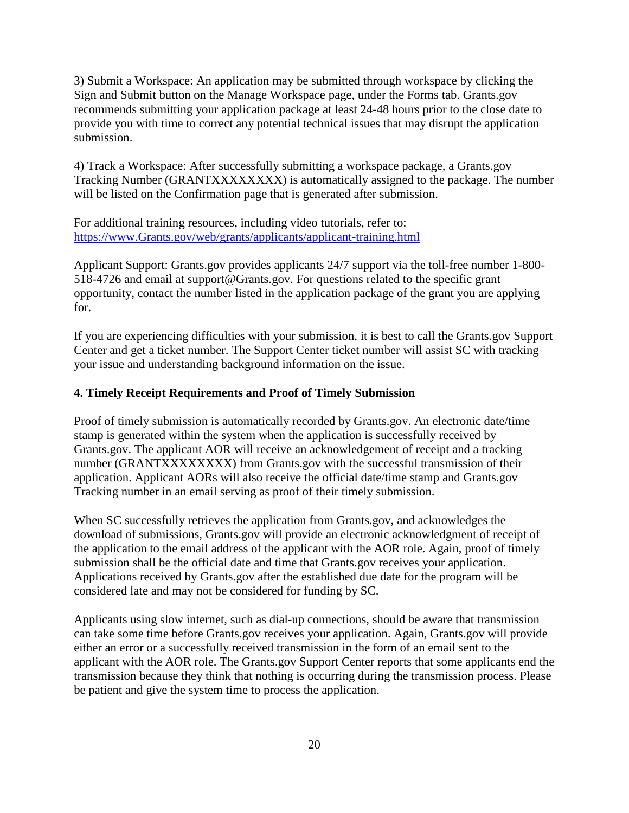3) Submit a Workspace: An application may be submitted through workspace by clicking the Sign and Submit button on the Manage Workspace page, under the Forms tab. Grants.gov recommends submitting your application package at least 24-48 hours prior to the close date to provide you with time to correct any potential technical issues that may disrupt the application submission.

4) Track a Workspace: After successfully submitting a workspace package, a Grants.gov Tracking Number (GRANTXXXXXXXX) is automatically assigned to the package. The number will be listed on the Confirmation page that is generated after submission.

For additional training resources, including video tutorials, refer to: [https://www.Grants.gov/web/grants/applicants/applicant-training.html](https://www.grants.gov/web/grants/applicants/applicant-training.html)

Applicant Support: Grants.gov provides applicants 24/7 support via the toll-free number 1-800- 518-4726 and email at support@Grants.gov. For questions related to the specific grant opportunity, contact the number listed in the application package of the grant you are applying for.

If you are experiencing difficulties with your submission, it is best to call the Grants.gov Support Center and get a ticket number. The Support Center ticket number will assist SC with tracking your issue and understanding background information on the issue.

#### **4. Timely Receipt Requirements and Proof of Timely Submission**

Proof of timely submission is automatically recorded by Grants.gov. An electronic date/time stamp is generated within the system when the application is successfully received by Grants.gov. The applicant AOR will receive an acknowledgement of receipt and a tracking number (GRANTXXXXXXXX) from Grants.gov with the successful transmission of their application. Applicant AORs will also receive the official date/time stamp and Grants.gov Tracking number in an email serving as proof of their timely submission.

When SC successfully retrieves the application from Grants.gov, and acknowledges the download of submissions, Grants.gov will provide an electronic acknowledgment of receipt of the application to the email address of the applicant with the AOR role. Again, proof of timely submission shall be the official date and time that Grants.gov receives your application. Applications received by Grants.gov after the established due date for the program will be considered late and may not be considered for funding by SC.

<span id="page-25-0"></span>Applicants using slow internet, such as dial-up connections, should be aware that transmission can take some time before Grants.gov receives your application. Again, Grants.gov will provide either an error or a successfully received transmission in the form of an email sent to the applicant with the AOR role. The Grants.gov Support Center reports that some applicants end the transmission because they think that nothing is occurring during the transmission process. Please be patient and give the system time to process the application.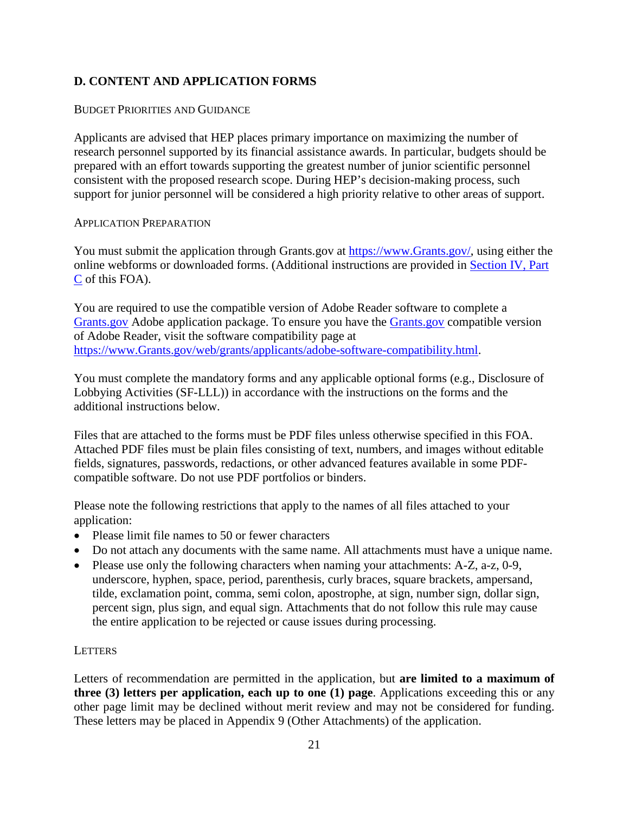## **D. CONTENT AND APPLICATION FORMS**

#### BUDGET PRIORITIES AND GUIDANCE

Applicants are advised that HEP places primary importance on maximizing the number of research personnel supported by its financial assistance awards. In particular, budgets should be prepared with an effort towards supporting the greatest number of junior scientific personnel consistent with the proposed research scope. During HEP's decision-making process, such support for junior personnel will be considered a high priority relative to other areas of support.

#### APPLICATION PREPARATION

You must submit the application through Grants.gov at [https://www.Grants.gov/,](https://www.grants.gov/) using either the online webforms or downloaded forms. (Additional instructions are provided in [Section](#page-22-0) IV, Part [C](#page-22-0) of this FOA).

You are required to use the compatible version of Adobe Reader software to complete a [Grants.gov](https://www.grants.gov/) Adobe application package. To ensure you have the [Grants.gov](https://www.grants.gov/) compatible version of Adobe Reader, visit the software compatibility page at [https://www.Grants.gov/web/grants/applicants/adobe-software-compatibility.html.](http://www.grants.gov/web/grants/applicants/adobe-software-compatibility.html)

You must complete the mandatory forms and any applicable optional forms (e.g., Disclosure of Lobbying Activities (SF-LLL)) in accordance with the instructions on the forms and the additional instructions below.

Files that are attached to the forms must be PDF files unless otherwise specified in this FOA. Attached PDF files must be plain files consisting of text, numbers, and images without editable fields, signatures, passwords, redactions, or other advanced features available in some PDFcompatible software. Do not use PDF portfolios or binders.

Please note the following restrictions that apply to the names of all files attached to your application:

- Please limit file names to 50 or fewer characters
- Do not attach any documents with the same name. All attachments must have a unique name.
- Please use only the following characters when naming your attachments: A-Z, a-z, 0-9, underscore, hyphen, space, period, parenthesis, curly braces, square brackets, ampersand, tilde, exclamation point, comma, semi colon, apostrophe, at sign, number sign, dollar sign, percent sign, plus sign, and equal sign. Attachments that do not follow this rule may cause the entire application to be rejected or cause issues during processing.

#### **LETTERS**

Letters of recommendation are permitted in the application, but **are limited to a maximum of three (3) letters per application, each up to one (1) page**. Applications exceeding this or any other page limit may be declined without merit review and may not be considered for funding. These letters may be placed in Appendix 9 (Other Attachments) of the application.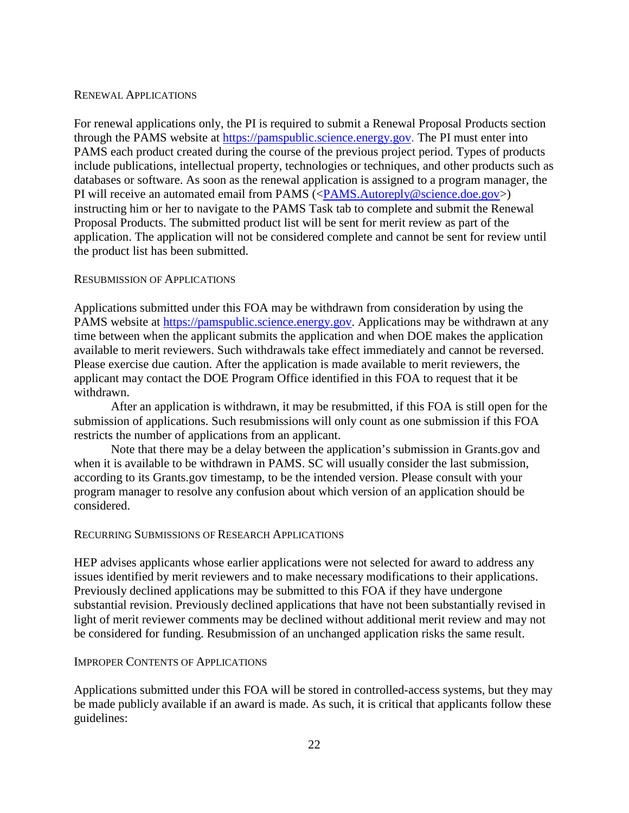#### RENEWAL APPLICATIONS

For renewal applications only, the PI is required to submit a Renewal Proposal Products section through the PAMS website at [https://pamspublic.science.energy.gov.](https://pamspublic.science.energy.gov/) The PI must enter into PAMS each product created during the course of the previous project period. Types of products include publications, intellectual property, technologies or techniques, and other products such as databases or software. As soon as the renewal application is assigned to a program manager, the PI will receive an automated email from PAMS ([<PAMS.Autoreply@science.doe.gov>](mailto:PAMS.Autoreply@science.doe.gov)) instructing him or her to navigate to the PAMS Task tab to complete and submit the Renewal Proposal Products. The submitted product list will be sent for merit review as part of the application. The application will not be considered complete and cannot be sent for review until the product list has been submitted.

#### RESUBMISSION OF APPLICATIONS

Applications submitted under this FOA may be withdrawn from consideration by using the PAMS website at [https://pamspublic.science.energy.gov.](https://pamspublic.science.energy.gov/) Applications may be withdrawn at any time between when the applicant submits the application and when DOE makes the application available to merit reviewers. Such withdrawals take effect immediately and cannot be reversed. Please exercise due caution. After the application is made available to merit reviewers, the applicant may contact the DOE Program Office identified in this FOA to request that it be withdrawn.

After an application is withdrawn, it may be resubmitted, if this FOA is still open for the submission of applications. Such resubmissions will only count as one submission if this FOA restricts the number of applications from an applicant.

Note that there may be a delay between the application's submission in Grants.gov and when it is available to be withdrawn in PAMS. SC will usually consider the last submission, according to its Grants.gov timestamp, to be the intended version. Please consult with your program manager to resolve any confusion about which version of an application should be considered.

#### RECURRING SUBMISSIONS OF RESEARCH APPLICATIONS

HEP advises applicants whose earlier applications were not selected for award to address any issues identified by merit reviewers and to make necessary modifications to their applications. Previously declined applications may be submitted to this FOA if they have undergone substantial revision. Previously declined applications that have not been substantially revised in light of merit reviewer comments may be declined without additional merit review and may not be considered for funding. Resubmission of an unchanged application risks the same result.

#### IMPROPER CONTENTS OF APPLICATIONS

Applications submitted under this FOA will be stored in controlled-access systems, but they may be made publicly available if an award is made. As such, it is critical that applicants follow these guidelines: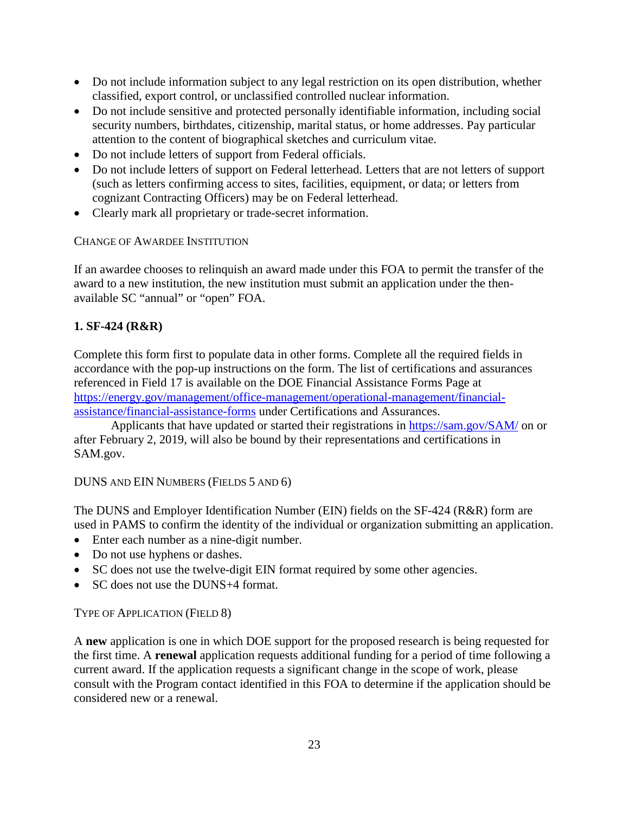- Do not include information subject to any legal restriction on its open distribution, whether classified, export control, or unclassified controlled nuclear information.
- Do not include sensitive and protected personally identifiable information, including social security numbers, birthdates, citizenship, marital status, or home addresses. Pay particular attention to the content of biographical sketches and curriculum vitae.
- Do not include letters of support from Federal officials.
- Do not include letters of support on Federal letterhead. Letters that are not letters of support (such as letters confirming access to sites, facilities, equipment, or data; or letters from cognizant Contracting Officers) may be on Federal letterhead.
- Clearly mark all proprietary or trade-secret information.

#### CHANGE OF AWARDEE INSTITUTION

If an awardee chooses to relinquish an award made under this FOA to permit the transfer of the award to a new institution, the new institution must submit an application under the thenavailable SC "annual" or "open" FOA.

#### **1. SF-424 (R&R)**

Complete this form first to populate data in other forms. Complete all the required fields in accordance with the pop-up instructions on the form. The list of certifications and assurances referenced in Field 17 is available on the DOE Financial Assistance Forms Page at [https://energy.gov/management/office-management/operational-management/financial](https://energy.gov/management/office-management/operational-management/financial-assistance/financial-assistance-forms)[assistance/financial-assistance-forms](https://energy.gov/management/office-management/operational-management/financial-assistance/financial-assistance-forms) under Certifications and Assurances.

Applicants that have updated or started their registrations in<https://sam.gov/SAM/> on or after February 2, 2019, will also be bound by their representations and certifications in SAM.gov.

DUNS AND EIN NUMBERS (FIELDS 5 AND 6)

The DUNS and Employer Identification Number (EIN) fields on the SF-424 (R&R) form are used in PAMS to confirm the identity of the individual or organization submitting an application.

- Enter each number as a nine-digit number.
- Do not use hyphens or dashes.
- SC does not use the twelve-digit EIN format required by some other agencies.
- SC does not use the DUNS+4 format.

### TYPE OF APPLICATION (FIELD 8)

A **new** application is one in which DOE support for the proposed research is being requested for the first time. A **renewal** application requests additional funding for a period of time following a current award. If the application requests a significant change in the scope of work, please consult with the Program contact identified in this FOA to determine if the application should be considered new or a renewal.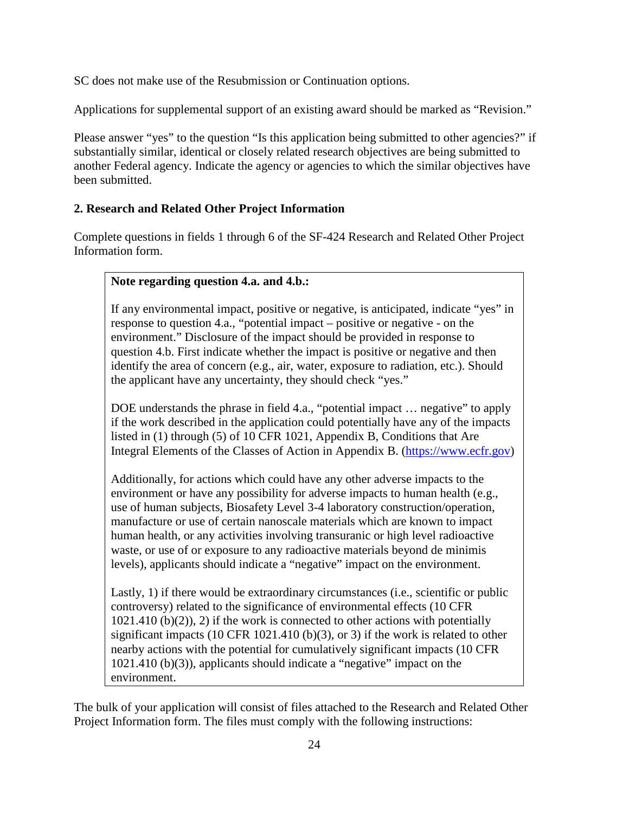SC does not make use of the Resubmission or Continuation options.

Applications for supplemental support of an existing award should be marked as "Revision."

Please answer "yes" to the question "Is this application being submitted to other agencies?" if substantially similar, identical or closely related research objectives are being submitted to another Federal agency. Indicate the agency or agencies to which the similar objectives have been submitted.

### **2. Research and Related Other Project Information**

Complete questions in fields 1 through 6 of the SF-424 Research and Related Other Project Information form.

#### **Note regarding question 4.a. and 4.b.:**

If any environmental impact, positive or negative, is anticipated, indicate "yes" in response to question 4.a., "potential impact – positive or negative - on the environment." Disclosure of the impact should be provided in response to question 4.b. First indicate whether the impact is positive or negative and then identify the area of concern (e.g., air, water, exposure to radiation, etc.). Should the applicant have any uncertainty, they should check "yes."

DOE understands the phrase in field 4.a., "potential impact ... negative" to apply if the work described in the application could potentially have any of the impacts listed in (1) through (5) of 10 CFR 1021, Appendix B, Conditions that Are Integral Elements of the Classes of Action in Appendix B. [\(https://www.ecfr.gov\)](https://www.ecfr.gov/)

Additionally, for actions which could have any other adverse impacts to the environment or have any possibility for adverse impacts to human health (e.g., use of human subjects, Biosafety Level 3-4 laboratory construction/operation, manufacture or use of certain nanoscale materials which are known to impact human health, or any activities involving transuranic or high level radioactive waste, or use of or exposure to any radioactive materials beyond de minimis levels), applicants should indicate a "negative" impact on the environment.

Lastly, 1) if there would be extraordinary circumstances (i.e., scientific or public controversy) related to the significance of environmental effects (10 CFR  $1021.410$  (b)(2)), 2) if the work is connected to other actions with potentially significant impacts (10 CFR 1021.410 (b)(3), or 3) if the work is related to other nearby actions with the potential for cumulatively significant impacts (10 CFR 1021.410 (b)(3)), applicants should indicate a "negative" impact on the environment.

The bulk of your application will consist of files attached to the Research and Related Other Project Information form. The files must comply with the following instructions: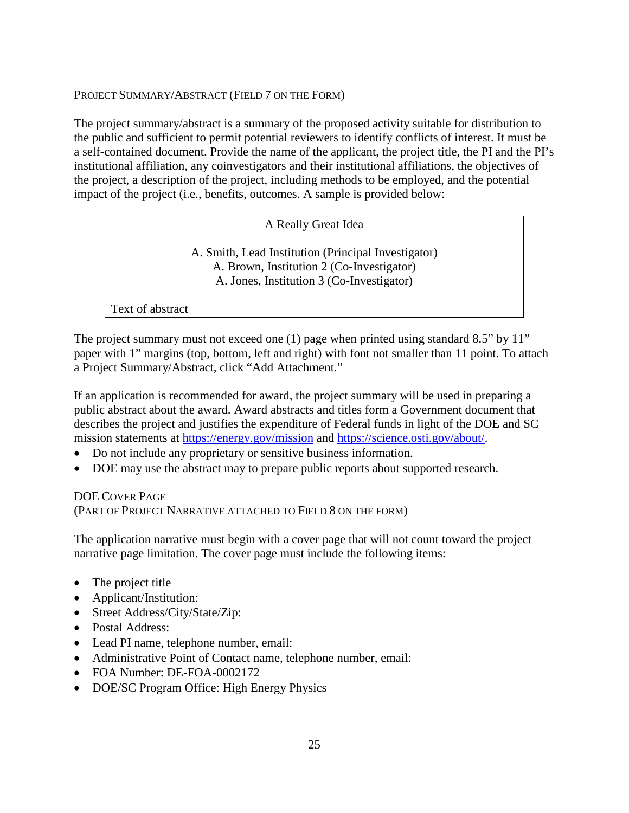#### PROJECT SUMMARY/ABSTRACT (FIELD 7 ON THE FORM)

The project summary/abstract is a summary of the proposed activity suitable for distribution to the public and sufficient to permit potential reviewers to identify conflicts of interest. It must be a self-contained document. Provide the name of the applicant, the project title, the PI and the PI's institutional affiliation, any coinvestigators and their institutional affiliations, the objectives of the project, a description of the project, including methods to be employed, and the potential impact of the project (i.e., benefits, outcomes. A sample is provided below:

A Really Great Idea

A. Smith, Lead Institution (Principal Investigator) A. Brown, Institution 2 (Co-Investigator) A. Jones, Institution 3 (Co-Investigator)

Text of abstract

The project summary must not exceed one (1) page when printed using standard 8.5" by 11" paper with 1" margins (top, bottom, left and right) with font not smaller than 11 point. To attach a Project Summary/Abstract, click "Add Attachment."

If an application is recommended for award, the project summary will be used in preparing a public abstract about the award. Award abstracts and titles form a Government document that describes the project and justifies the expenditure of Federal funds in light of the DOE and SC mission statements at <https://energy.gov/mission> and [https://science.osti.gov/about/.](https://science.osti.gov/about/)

- Do not include any proprietary or sensitive business information.
- DOE may use the abstract may to prepare public reports about supported research.

#### DOE COVER PAGE

(PART OF PROJECT NARRATIVE ATTACHED TO FIELD 8 ON THE FORM)

The application narrative must begin with a cover page that will not count toward the project narrative page limitation. The cover page must include the following items:

- The project title
- Applicant/Institution:
- Street Address/City/State/Zip:
- Postal Address:
- Lead PI name, telephone number, email:
- Administrative Point of Contact name, telephone number, email:
- FOA Number: DE-FOA-0002172
- DOE/SC Program Office: High Energy Physics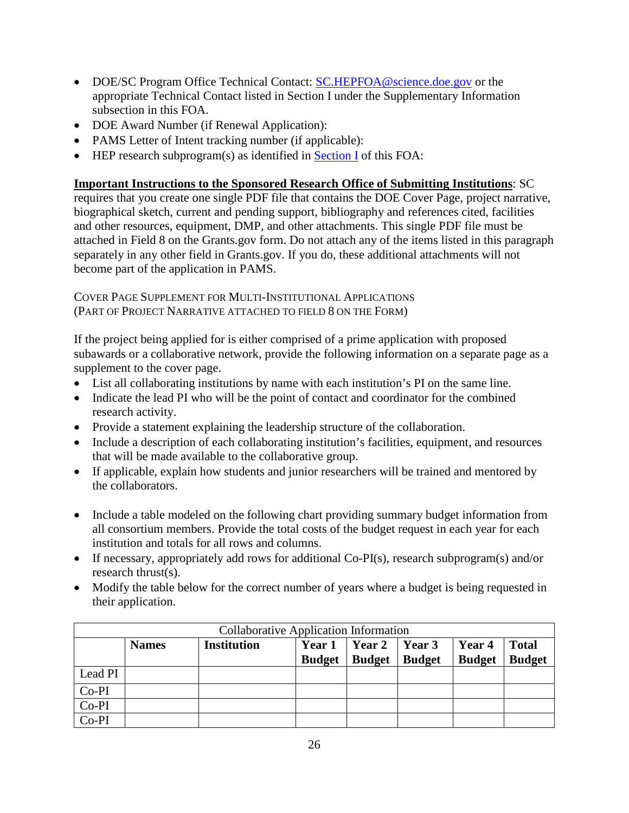- DOE/SC Program Office Technical Contact: [SC.HEPFOA@science.doe.gov](mailto:SC.HEPFOA@science.doe.gov) or the appropriate Technical Contact listed in Section I under the Supplementary Information subsection in this FOA.
- DOE Award Number (if Renewal Application):
- PAMS Letter of Intent tracking number (if applicable):
- HEP research subprogram(s) as identified in [Section](#page-6-0) I of this FOA:

**Important Instructions to the Sponsored Research Office of Submitting Institutions**: SC

requires that you create one single PDF file that contains the DOE Cover Page, project narrative, biographical sketch, current and pending support, bibliography and references cited, facilities and other resources, equipment, DMP, and other attachments. This single PDF file must be attached in Field 8 on the Grants.gov form. Do not attach any of the items listed in this paragraph separately in any other field in Grants.gov. If you do, these additional attachments will not become part of the application in PAMS.

COVER PAGE SUPPLEMENT FOR MULTI-INSTITUTIONAL APPLICATIONS (PART OF PROJECT NARRATIVE ATTACHED TO FIELD 8 ON THE FORM)

If the project being applied for is either comprised of a prime application with proposed subawards or a collaborative network, provide the following information on a separate page as a supplement to the cover page.

- List all collaborating institutions by name with each institution's PI on the same line.
- Indicate the lead PI who will be the point of contact and coordinator for the combined research activity.
- Provide a statement explaining the leadership structure of the collaboration.
- Include a description of each collaborating institution's facilities, equipment, and resources that will be made available to the collaborative group.
- If applicable, explain how students and junior researchers will be trained and mentored by the collaborators.
- Include a table modeled on the following chart providing summary budget information from all consortium members. Provide the total costs of the budget request in each year for each institution and totals for all rows and columns.
- If necessary, appropriately add rows for additional Co-PI(s), research subprogram(s) and/or research thrust(s).
- Modify the table below for the correct number of years where a budget is being requested in their application.

| <b>Collaborative Application Information</b> |              |                    |                         |                         |                                 |                         |                               |
|----------------------------------------------|--------------|--------------------|-------------------------|-------------------------|---------------------------------|-------------------------|-------------------------------|
|                                              | <b>Names</b> | <b>Institution</b> | Year 1<br><b>Budget</b> | Year 2<br><b>Budget</b> | $\vert$ Year 3<br><b>Budget</b> | Year 4<br><b>Budget</b> | <b>Total</b><br><b>Budget</b> |
| Lead PI                                      |              |                    |                         |                         |                                 |                         |                               |
| Co-PI                                        |              |                    |                         |                         |                                 |                         |                               |
| Co-PI                                        |              |                    |                         |                         |                                 |                         |                               |
| Co-PI                                        |              |                    |                         |                         |                                 |                         |                               |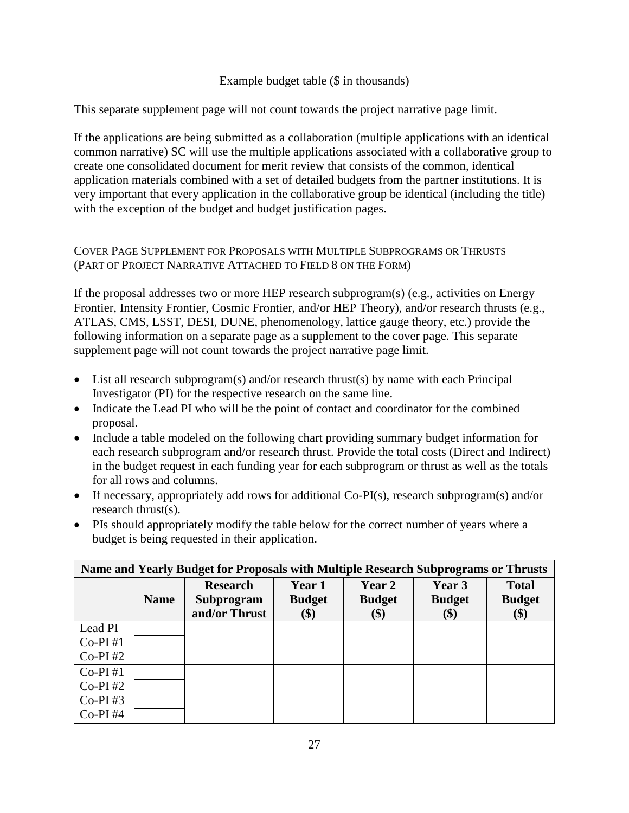#### Example budget table (\$ in thousands)

This separate supplement page will not count towards the project narrative page limit.

If the applications are being submitted as a collaboration (multiple applications with an identical common narrative) SC will use the multiple applications associated with a collaborative group to create one consolidated document for merit review that consists of the common, identical application materials combined with a set of detailed budgets from the partner institutions. It is very important that every application in the collaborative group be identical (including the title) with the exception of the budget and budget justification pages.

### COVER PAGE SUPPLEMENT FOR PROPOSALS WITH MULTIPLE SUBPROGRAMS OR THRUSTS (PART OF PROJECT NARRATIVE ATTACHED TO FIELD 8 ON THE FORM)

If the proposal addresses two or more HEP research subprogram(s) (e.g., activities on Energy Frontier, Intensity Frontier, Cosmic Frontier, and/or HEP Theory), and/or research thrusts (e.g., ATLAS, CMS, LSST, DESI, DUNE, phenomenology, lattice gauge theory, etc.) provide the following information on a separate page as a supplement to the cover page. This separate supplement page will not count towards the project narrative page limit.

- List all research subprogram(s) and/or research thrust(s) by name with each Principal Investigator (PI) for the respective research on the same line.
- Indicate the Lead PI who will be the point of contact and coordinator for the combined proposal.
- Include a table modeled on the following chart providing summary budget information for each research subprogram and/or research thrust. Provide the total costs (Direct and Indirect) in the budget request in each funding year for each subprogram or thrust as well as the totals for all rows and columns.
- If necessary, appropriately add rows for additional Co-PI(s), research subprogram(s) and/or research thrust(s).
- PIs should appropriately modify the table below for the correct number of years where a budget is being requested in their application.

| Name and Yearly Budget for Proposals with Multiple Research Subprograms or Thrusts |             |                 |               |               |                           |               |  |
|------------------------------------------------------------------------------------|-------------|-----------------|---------------|---------------|---------------------------|---------------|--|
|                                                                                    |             | <b>Research</b> | Year 1        | <b>Year 2</b> | Year 3                    | <b>Total</b>  |  |
|                                                                                    | <b>Name</b> | Subprogram      | <b>Budget</b> | <b>Budget</b> | <b>Budget</b>             | <b>Budget</b> |  |
|                                                                                    |             | and/or Thrust   | \$)           | (\$)          | $\left( \text{\$}\right)$ | (\$)          |  |
| Lead PI                                                                            |             |                 |               |               |                           |               |  |
| $Co-PI#1$                                                                          |             |                 |               |               |                           |               |  |
| $Co-PI#2$                                                                          |             |                 |               |               |                           |               |  |
| $Co-PI#1$                                                                          |             |                 |               |               |                           |               |  |
| $Co-PI#2$                                                                          |             |                 |               |               |                           |               |  |
| $Co-PI#3$                                                                          |             |                 |               |               |                           |               |  |
| $Co-PI$ #4                                                                         |             |                 |               |               |                           |               |  |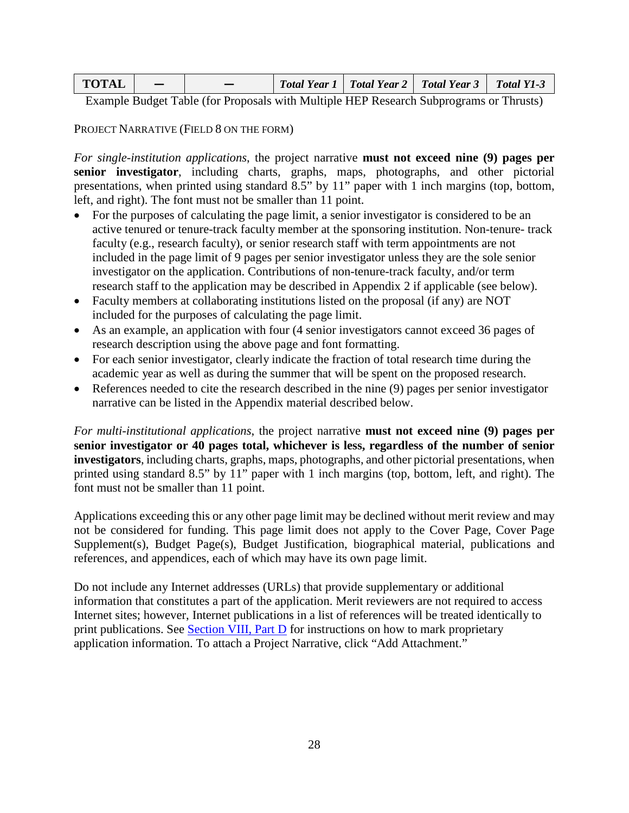| <b>TOTAL</b> |  |  | $\mid$ Total Year 1 $\mid$ Total Year 2 $\mid$ Total Year 3 $\mid$ | <b>Total Y1-3</b> |
|--------------|--|--|--------------------------------------------------------------------|-------------------|
|              |  |  |                                                                    |                   |

Example Budget Table (for Proposals with Multiple HEP Research Subprograms or Thrusts)

PROJECT NARRATIVE (FIELD 8 ON THE FORM)

*For single-institution applications*, the project narrative **must not exceed nine (9) pages per senior investigator**, including charts, graphs, maps, photographs, and other pictorial presentations, when printed using standard 8.5" by 11" paper with 1 inch margins (top, bottom, left, and right). The font must not be smaller than 11 point.

- For the purposes of calculating the page limit, a senior investigator is considered to be an active tenured or tenure-track faculty member at the sponsoring institution. Non-tenure- track faculty (e.g., research faculty), or senior research staff with term appointments are not included in the page limit of 9 pages per senior investigator unless they are the sole senior investigator on the application. Contributions of non-tenure-track faculty, and/or term research staff to the application may be described in Appendix 2 if applicable (see below).
- Faculty members at collaborating institutions listed on the proposal (if any) are NOT included for the purposes of calculating the page limit.
- As an example, an application with four (4 senior investigators cannot exceed 36 pages of research description using the above page and font formatting.
- For each senior investigator, clearly indicate the fraction of total research time during the academic year as well as during the summer that will be spent on the proposed research.
- References needed to cite the research described in the nine (9) pages per senior investigator narrative can be listed in the Appendix material described below.

*For multi-institutional applications*, the project narrative **must not exceed nine (9) pages per senior investigator or 40 pages total, whichever is less, regardless of the number of senior investigators**, including charts, graphs, maps, photographs, and other pictorial presentations, when printed using standard 8.5" by 11" paper with 1 inch margins (top, bottom, left, and right). The font must not be smaller than 11 point.

Applications exceeding this or any other page limit may be declined without merit review and may not be considered for funding. This page limit does not apply to the Cover Page, Cover Page Supplement(s), Budget Page(s), Budget Justification, biographical material, publications and references, and appendices, each of which may have its own page limit.

Do not include any Internet addresses (URLs) that provide supplementary or additional information that constitutes a part of the application. Merit reviewers are not required to access Internet sites; however, Internet publications in a list of references will be treated identically to print publications. See Section [VIII, Part D](#page-66-4) for instructions on how to mark proprietary application information. To attach a Project Narrative, click "Add Attachment."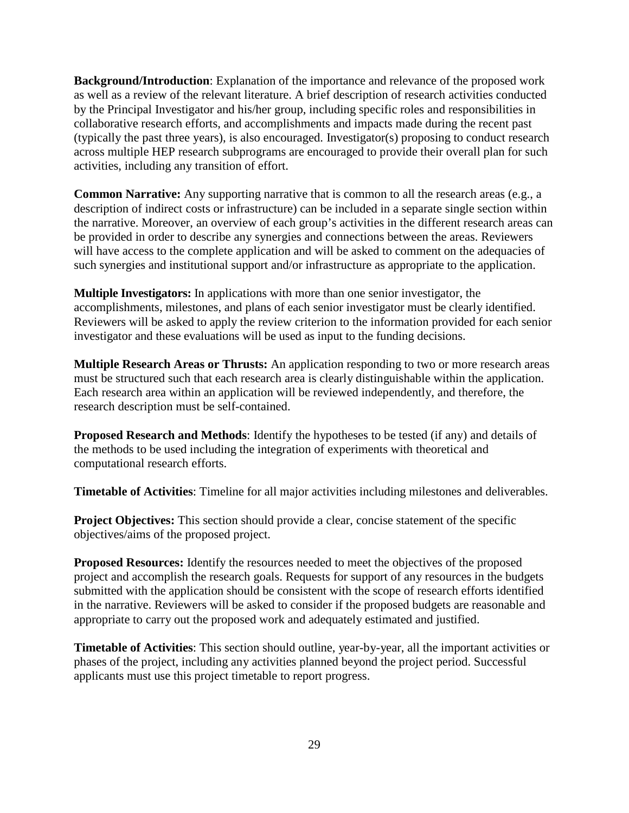**Background/Introduction**: Explanation of the importance and relevance of the proposed work as well as a review of the relevant literature. A brief description of research activities conducted by the Principal Investigator and his/her group, including specific roles and responsibilities in collaborative research efforts, and accomplishments and impacts made during the recent past (typically the past three years), is also encouraged. Investigator(s) proposing to conduct research across multiple HEP research subprograms are encouraged to provide their overall plan for such activities, including any transition of effort.

**Common Narrative:** Any supporting narrative that is common to all the research areas (e.g., a description of indirect costs or infrastructure) can be included in a separate single section within the narrative. Moreover, an overview of each group's activities in the different research areas can be provided in order to describe any synergies and connections between the areas. Reviewers will have access to the complete application and will be asked to comment on the adequacies of such synergies and institutional support and/or infrastructure as appropriate to the application.

**Multiple Investigators:** In applications with more than one senior investigator, the accomplishments, milestones, and plans of each senior investigator must be clearly identified. Reviewers will be asked to apply the review criterion to the information provided for each senior investigator and these evaluations will be used as input to the funding decisions.

**Multiple Research Areas or Thrusts:** An application responding to two or more research areas must be structured such that each research area is clearly distinguishable within the application. Each research area within an application will be reviewed independently, and therefore, the research description must be self-contained.

**Proposed Research and Methods**: Identify the hypotheses to be tested (if any) and details of the methods to be used including the integration of experiments with theoretical and computational research efforts.

**Timetable of Activities**: Timeline for all major activities including milestones and deliverables.

**Project Objectives:** This section should provide a clear, concise statement of the specific objectives/aims of the proposed project.

**Proposed Resources:** Identify the resources needed to meet the objectives of the proposed project and accomplish the research goals. Requests for support of any resources in the budgets submitted with the application should be consistent with the scope of research efforts identified in the narrative. Reviewers will be asked to consider if the proposed budgets are reasonable and appropriate to carry out the proposed work and adequately estimated and justified.

**Timetable of Activities**: This section should outline, year-by-year, all the important activities or phases of the project, including any activities planned beyond the project period. Successful applicants must use this project timetable to report progress.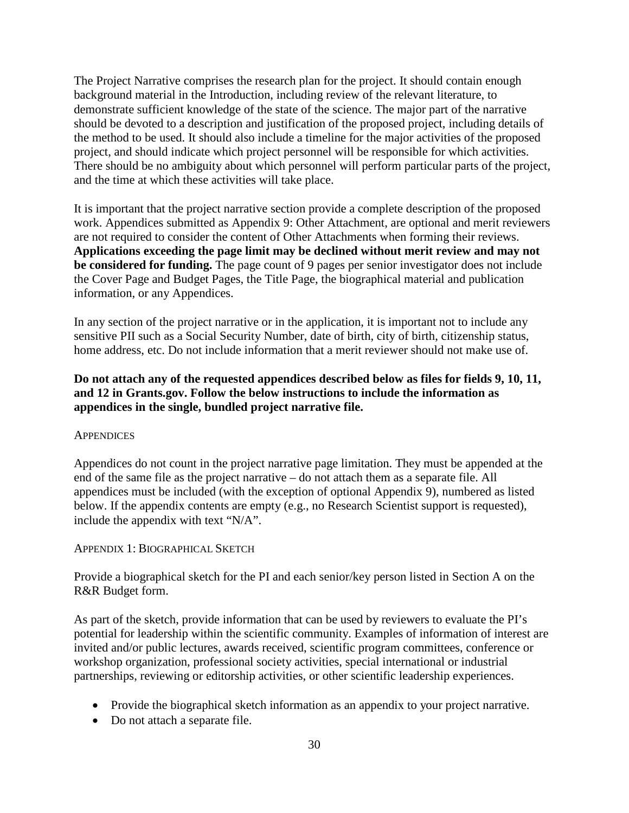The Project Narrative comprises the research plan for the project. It should contain enough background material in the Introduction, including review of the relevant literature, to demonstrate sufficient knowledge of the state of the science. The major part of the narrative should be devoted to a description and justification of the proposed project, including details of the method to be used. It should also include a timeline for the major activities of the proposed project, and should indicate which project personnel will be responsible for which activities. There should be no ambiguity about which personnel will perform particular parts of the project, and the time at which these activities will take place.

It is important that the project narrative section provide a complete description of the proposed work. Appendices submitted as Appendix 9: Other Attachment, are optional and merit reviewers are not required to consider the content of Other Attachments when forming their reviews. **Applications exceeding the page limit may be declined without merit review and may not be considered for funding.** The page count of 9 pages per senior investigator does not include the Cover Page and Budget Pages, the Title Page, the biographical material and publication information, or any Appendices.

In any section of the project narrative or in the application, it is important not to include any sensitive PII such as a Social Security Number, date of birth, city of birth, citizenship status, home address, etc. Do not include information that a merit reviewer should not make use of.

#### **Do not attach any of the requested appendices described below as files for fields 9, 10, 11, and 12 in Grants.gov. Follow the below instructions to include the information as appendices in the single, bundled project narrative file.**

#### **APPENDICES**

Appendices do not count in the project narrative page limitation. They must be appended at the end of the same file as the project narrative – do not attach them as a separate file. All appendices must be included (with the exception of optional Appendix 9), numbered as listed below. If the appendix contents are empty (e.g., no Research Scientist support is requested), include the appendix with text "N/A".

#### APPENDIX 1: BIOGRAPHICAL SKETCH

Provide a biographical sketch for the PI and each senior/key person listed in Section A on the R&R Budget form.

As part of the sketch, provide information that can be used by reviewers to evaluate the PI's potential for leadership within the scientific community. Examples of information of interest are invited and/or public lectures, awards received, scientific program committees, conference or workshop organization, professional society activities, special international or industrial partnerships, reviewing or editorship activities, or other scientific leadership experiences.

- Provide the biographical sketch information as an appendix to your project narrative.
- Do not attach a separate file.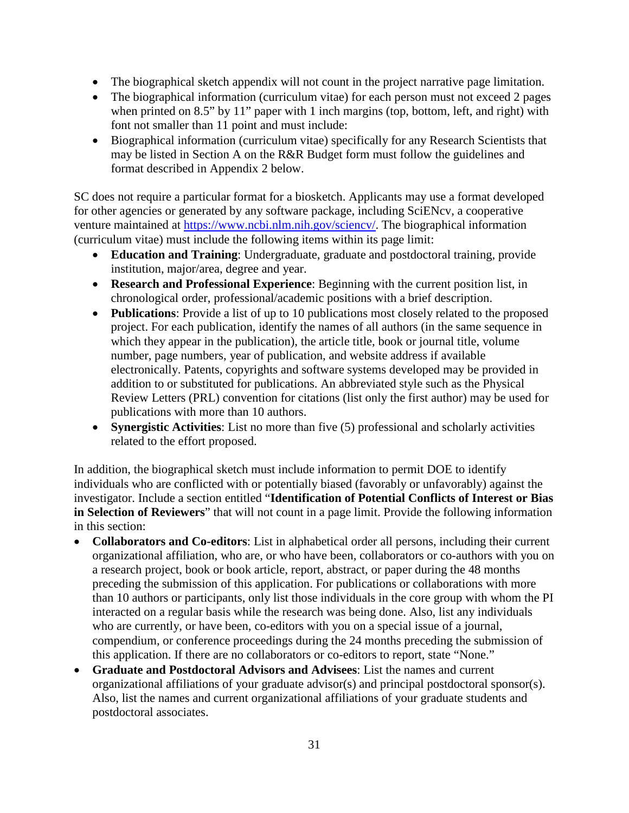- The biographical sketch appendix will not count in the project narrative page limitation.
- The biographical information (curriculum vitae) for each person must not exceed 2 pages when printed on 8.5" by 11" paper with 1 inch margins (top, bottom, left, and right) with font not smaller than 11 point and must include:
- Biographical information (curriculum vitae) specifically for any Research Scientists that may be listed in Section A on the R&R Budget form must follow the guidelines and format described in Appendix 2 below.

SC does not require a particular format for a biosketch. Applicants may use a format developed for other agencies or generated by any software package, including SciENcv, a cooperative venture maintained at [https://www.ncbi.nlm.nih.gov/sciencv/.](https://www.ncbi.nlm.nih.gov/sciencv/) The biographical information (curriculum vitae) must include the following items within its page limit:

- **Education and Training**: Undergraduate, graduate and postdoctoral training, provide institution, major/area, degree and year.
- **Research and Professional Experience**: Beginning with the current position list, in chronological order, professional/academic positions with a brief description.
- **Publications**: Provide a list of up to 10 publications most closely related to the proposed project. For each publication, identify the names of all authors (in the same sequence in which they appear in the publication), the article title, book or journal title, volume number, page numbers, year of publication, and website address if available electronically. Patents, copyrights and software systems developed may be provided in addition to or substituted for publications. An abbreviated style such as the Physical Review Letters (PRL) convention for citations (list only the first author) may be used for publications with more than 10 authors.
- **Synergistic Activities**: List no more than five (5) professional and scholarly activities related to the effort proposed.

In addition, the biographical sketch must include information to permit DOE to identify individuals who are conflicted with or potentially biased (favorably or unfavorably) against the investigator. Include a section entitled "**Identification of Potential Conflicts of Interest or Bias in Selection of Reviewers**" that will not count in a page limit. Provide the following information in this section:

- **Collaborators and Co-editors**: List in alphabetical order all persons, including their current organizational affiliation, who are, or who have been, collaborators or co-authors with you on a research project, book or book article, report, abstract, or paper during the 48 months preceding the submission of this application. For publications or collaborations with more than 10 authors or participants, only list those individuals in the core group with whom the PI interacted on a regular basis while the research was being done. Also, list any individuals who are currently, or have been, co-editors with you on a special issue of a journal, compendium, or conference proceedings during the 24 months preceding the submission of this application. If there are no collaborators or co-editors to report, state "None."
- **Graduate and Postdoctoral Advisors and Advisees**: List the names and current organizational affiliations of your graduate advisor(s) and principal postdoctoral sponsor(s). Also, list the names and current organizational affiliations of your graduate students and postdoctoral associates.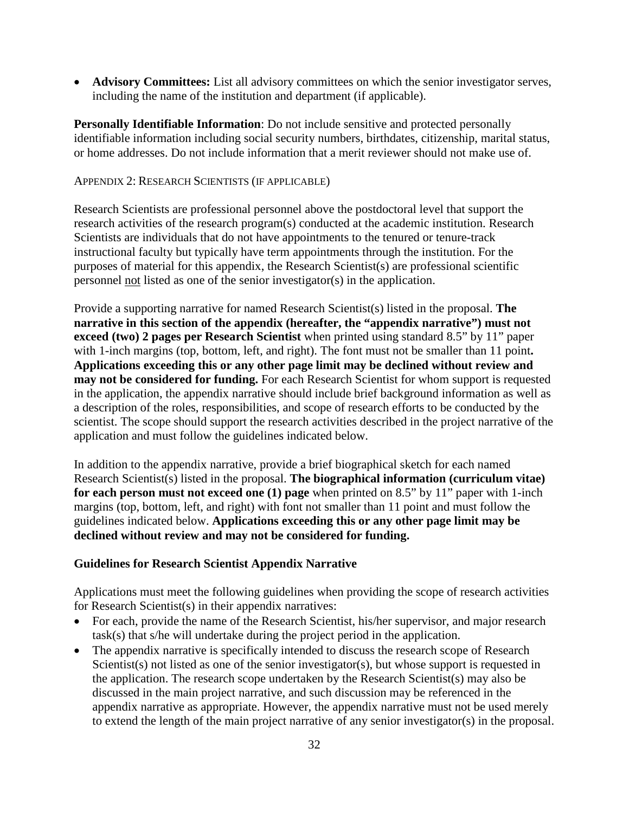• **Advisory Committees:** List all advisory committees on which the senior investigator serves, including the name of the institution and department (if applicable).

**Personally Identifiable Information**: Do not include sensitive and protected personally identifiable information including social security numbers, birthdates, citizenship, marital status, or home addresses. Do not include information that a merit reviewer should not make use of.

#### APPENDIX 2: RESEARCH SCIENTISTS (IF APPLICABLE)

Research Scientists are professional personnel above the postdoctoral level that support the research activities of the research program(s) conducted at the academic institution. Research Scientists are individuals that do not have appointments to the tenured or tenure-track instructional faculty but typically have term appointments through the institution. For the purposes of material for this appendix, the Research Scientist(s) are professional scientific personnel not listed as one of the senior investigator(s) in the application.

Provide a supporting narrative for named Research Scientist(s) listed in the proposal. **The narrative in this section of the appendix (hereafter, the "appendix narrative") must not exceed (two) 2 pages per Research Scientist** when printed using standard 8.5" by 11" paper with 1-inch margins (top, bottom, left, and right). The font must not be smaller than 11 point. **Applications exceeding this or any other page limit may be declined without review and may** not be considered for funding. For each Research Scientist for whom support is requested in the application, the appendix narrative should include brief background information as well as a description of the roles, responsibilities, and scope of research efforts to be conducted by the scientist. The scope should support the research activities described in the project narrative of the application and must follow the guidelines indicated below.

In addition to the appendix narrative, provide a brief biographical sketch for each named Research Scientist(s) listed in the proposal. **The biographical information (curriculum vitae) for each person must not exceed one (1) page** when printed on 8.5" by 11" paper with 1-inch margins (top, bottom, left, and right) with font not smaller than 11 point and must follow the guidelines indicated below. **Applications exceeding this or any other page limit may be declined without review and may not be considered for funding.**

#### **Guidelines for Research Scientist Appendix Narrative**

Applications must meet the following guidelines when providing the scope of research activities for Research Scientist(s) in their appendix narratives:

- For each, provide the name of the Research Scientist, his/her supervisor, and major research task(s) that s/he will undertake during the project period in the application.
- The appendix narrative is specifically intended to discuss the research scope of Research Scientist(s) not listed as one of the senior investigator(s), but whose support is requested in the application. The research scope undertaken by the Research Scientist(s) may also be discussed in the main project narrative, and such discussion may be referenced in the appendix narrative as appropriate. However, the appendix narrative must not be used merely to extend the length of the main project narrative of any senior investigator(s) in the proposal.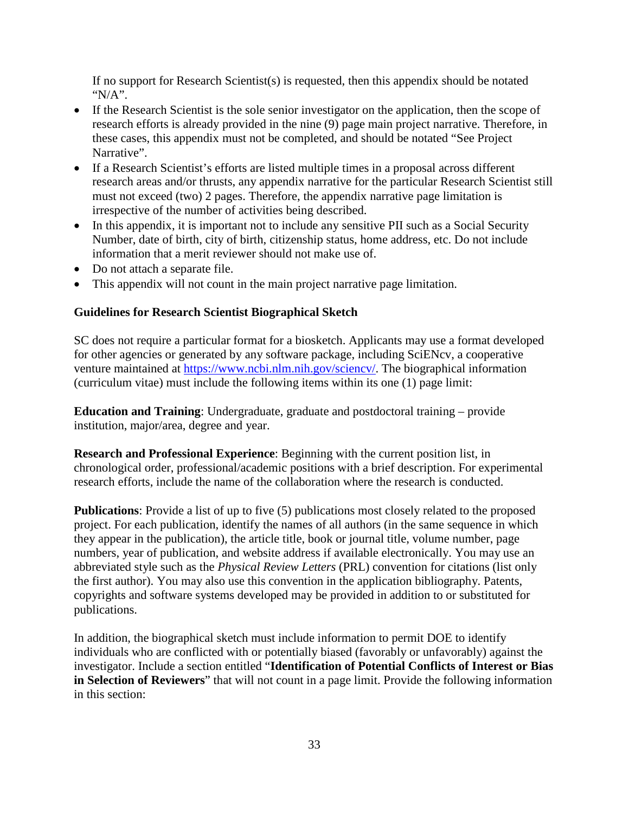If no support for Research Scientist(s) is requested, then this appendix should be notated " $N/A$ ".

- If the Research Scientist is the sole senior investigator on the application, then the scope of research efforts is already provided in the nine (9) page main project narrative. Therefore, in these cases, this appendix must not be completed, and should be notated "See Project Narrative".
- If a Research Scientist's efforts are listed multiple times in a proposal across different research areas and/or thrusts, any appendix narrative for the particular Research Scientist still must not exceed (two) 2 pages. Therefore, the appendix narrative page limitation is irrespective of the number of activities being described.
- In this appendix, it is important not to include any sensitive PII such as a Social Security Number, date of birth, city of birth, citizenship status, home address, etc. Do not include information that a merit reviewer should not make use of.
- Do not attach a separate file.
- This appendix will not count in the main project narrative page limitation.

### **Guidelines for Research Scientist Biographical Sketch**

SC does not require a particular format for a biosketch. Applicants may use a format developed for other agencies or generated by any software package, including SciENcv, a cooperative venture maintained at [https://www.ncbi.nlm.nih.gov/sciencv/.](https://www.ncbi.nlm.nih.gov/sciencv/) The biographical information (curriculum vitae) must include the following items within its one (1) page limit:

**Education and Training**: Undergraduate, graduate and postdoctoral training – provide institution, major/area, degree and year.

**Research and Professional Experience**: Beginning with the current position list, in chronological order, professional/academic positions with a brief description. For experimental research efforts, include the name of the collaboration where the research is conducted.

**Publications**: Provide a list of up to five (5) publications most closely related to the proposed project. For each publication, identify the names of all authors (in the same sequence in which they appear in the publication), the article title, book or journal title, volume number, page numbers, year of publication, and website address if available electronically. You may use an abbreviated style such as the *Physical Review Letters* (PRL) convention for citations (list only the first author). You may also use this convention in the application bibliography. Patents, copyrights and software systems developed may be provided in addition to or substituted for publications.

In addition, the biographical sketch must include information to permit DOE to identify individuals who are conflicted with or potentially biased (favorably or unfavorably) against the investigator. Include a section entitled "**Identification of Potential Conflicts of Interest or Bias in Selection of Reviewers**" that will not count in a page limit. Provide the following information in this section: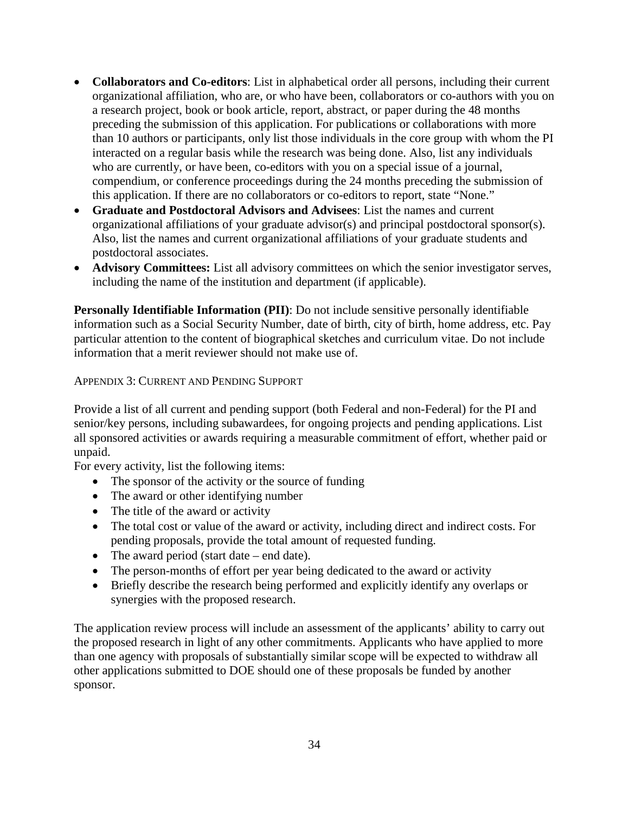- **Collaborators and Co-editors**: List in alphabetical order all persons, including their current organizational affiliation, who are, or who have been, collaborators or co-authors with you on a research project, book or book article, report, abstract, or paper during the 48 months preceding the submission of this application. For publications or collaborations with more than 10 authors or participants, only list those individuals in the core group with whom the PI interacted on a regular basis while the research was being done. Also, list any individuals who are currently, or have been, co-editors with you on a special issue of a journal, compendium, or conference proceedings during the 24 months preceding the submission of this application. If there are no collaborators or co-editors to report, state "None."
- **Graduate and Postdoctoral Advisors and Advisees**: List the names and current organizational affiliations of your graduate advisor(s) and principal postdoctoral sponsor(s). Also, list the names and current organizational affiliations of your graduate students and postdoctoral associates.
- **Advisory Committees:** List all advisory committees on which the senior investigator serves, including the name of the institution and department (if applicable).

**Personally Identifiable Information (PII)**: Do not include sensitive personally identifiable information such as a Social Security Number, date of birth, city of birth, home address, etc. Pay particular attention to the content of biographical sketches and curriculum vitae. Do not include information that a merit reviewer should not make use of.

APPENDIX 3: CURRENT AND PENDING SUPPORT

Provide a list of all current and pending support (both Federal and non-Federal) for the PI and senior/key persons, including subawardees, for ongoing projects and pending applications. List all sponsored activities or awards requiring a measurable commitment of effort, whether paid or unpaid.

For every activity, list the following items:

- The sponsor of the activity or the source of funding
- The award or other identifying number
- The title of the award or activity
- The total cost or value of the award or activity, including direct and indirect costs. For pending proposals, provide the total amount of requested funding.
- The award period (start date end date).
- The person-months of effort per year being dedicated to the award or activity
- Briefly describe the research being performed and explicitly identify any overlaps or synergies with the proposed research.

The application review process will include an assessment of the applicants' ability to carry out the proposed research in light of any other commitments. Applicants who have applied to more than one agency with proposals of substantially similar scope will be expected to withdraw all other applications submitted to DOE should one of these proposals be funded by another sponsor.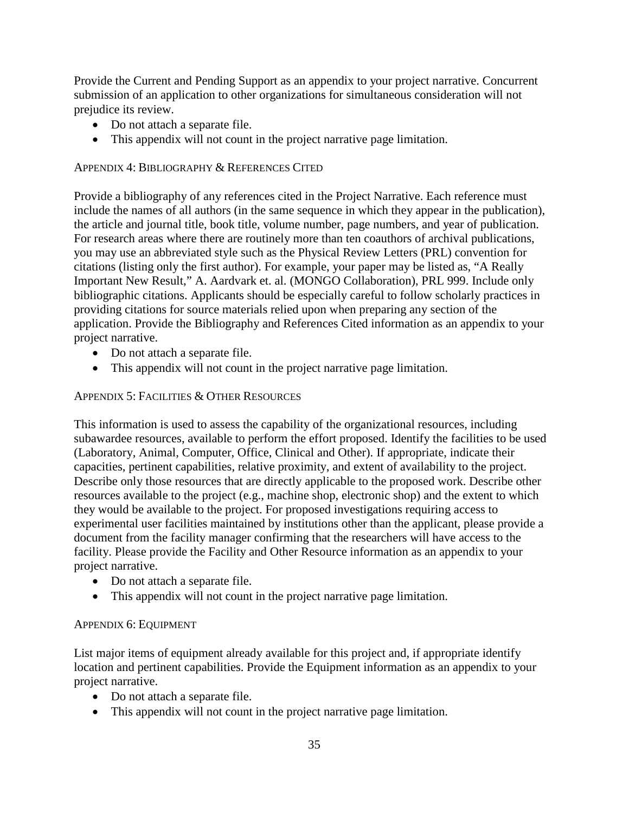Provide the Current and Pending Support as an appendix to your project narrative. Concurrent submission of an application to other organizations for simultaneous consideration will not prejudice its review.

- Do not attach a separate file.
- This appendix will not count in the project narrative page limitation.

### APPENDIX 4: BIBLIOGRAPHY & REFERENCES CITED

Provide a bibliography of any references cited in the Project Narrative. Each reference must include the names of all authors (in the same sequence in which they appear in the publication), the article and journal title, book title, volume number, page numbers, and year of publication. For research areas where there are routinely more than ten coauthors of archival publications, you may use an abbreviated style such as the Physical Review Letters (PRL) convention for citations (listing only the first author). For example, your paper may be listed as, "A Really Important New Result," A. Aardvark et. al. (MONGO Collaboration), PRL 999. Include only bibliographic citations. Applicants should be especially careful to follow scholarly practices in providing citations for source materials relied upon when preparing any section of the application. Provide the Bibliography and References Cited information as an appendix to your project narrative.

- Do not attach a separate file.
- This appendix will not count in the project narrative page limitation.

### APPENDIX 5: FACILITIES & OTHER RESOURCES

This information is used to assess the capability of the organizational resources, including subawardee resources, available to perform the effort proposed. Identify the facilities to be used (Laboratory, Animal, Computer, Office, Clinical and Other). If appropriate, indicate their capacities, pertinent capabilities, relative proximity, and extent of availability to the project. Describe only those resources that are directly applicable to the proposed work. Describe other resources available to the project (e.g., machine shop, electronic shop) and the extent to which they would be available to the project. For proposed investigations requiring access to experimental user facilities maintained by institutions other than the applicant, please provide a document from the facility manager confirming that the researchers will have access to the facility. Please provide the Facility and Other Resource information as an appendix to your project narrative.

- Do not attach a separate file.
- This appendix will not count in the project narrative page limitation.

# APPENDIX 6: EQUIPMENT

List major items of equipment already available for this project and, if appropriate identify location and pertinent capabilities. Provide the Equipment information as an appendix to your project narrative.

- Do not attach a separate file.
- This appendix will not count in the project narrative page limitation.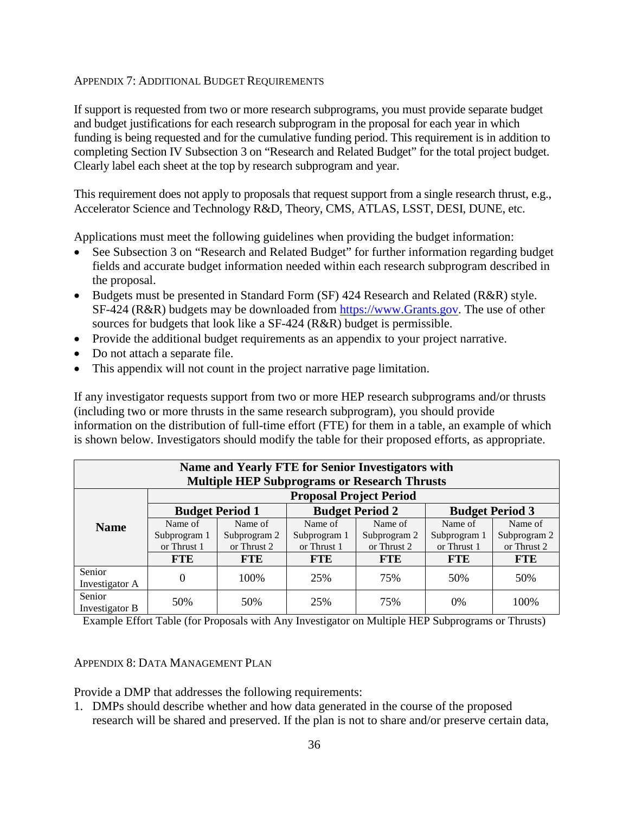#### APPENDIX 7: ADDITIONAL BUDGET REQUIREMENTS

If support is requested from two or more research subprograms, you must provide separate budget and budget justifications for each research subprogram in the proposal for each year in which funding is being requested and for the cumulative funding period. This requirement is in addition to completing Section IV Subsection 3 on "Research and Related Budget" for the total project budget. Clearly label each sheet at the top by research subprogram and year.

This requirement does not apply to proposals that request support from a single research thrust, e.g., Accelerator Science and Technology R&D, Theory, CMS, ATLAS, LSST, DESI, DUNE, etc.

Applications must meet the following guidelines when providing the budget information:

- See Subsection 3 on "Research and Related Budget" for further information regarding budget fields and accurate budget information needed within each research subprogram described in the proposal.
- Budgets must be presented in Standard Form (SF) 424 Research and Related (R&R) style. SF-424 (R&R) budgets may be downloaded from [https://www.Grants.gov.](https://www.grants.gov/) The use of other sources for budgets that look like a SF-424 (R&R) budget is permissible.
- Provide the additional budget requirements as an appendix to your project narrative.
- Do not attach a separate file.
- This appendix will not count in the project narrative page limitation.

If any investigator requests support from two or more HEP research subprograms and/or thrusts (including two or more thrusts in the same research subprogram), you should provide information on the distribution of full-time effort (FTE) for them in a table, an example of which is shown below. Investigators should modify the table for their proposed efforts, as appropriate.

| Name and Yearly FTE for Senior Investigators with<br><b>Multiple HEP Subprograms or Research Thrusts</b> |                        |              |                        |              |                        |              |
|----------------------------------------------------------------------------------------------------------|------------------------|--------------|------------------------|--------------|------------------------|--------------|
| <b>Proposal Project Period</b>                                                                           |                        |              |                        |              |                        |              |
|                                                                                                          | <b>Budget Period 1</b> |              | <b>Budget Period 2</b> |              | <b>Budget Period 3</b> |              |
| <b>Name</b>                                                                                              | Name of                | Name of      | Name of                | Name of      | Name of                | Name of      |
|                                                                                                          | Subprogram 1           | Subprogram 2 | Subprogram 1           | Subprogram 2 | Subprogram 1           | Subprogram 2 |
|                                                                                                          | or Thrust 1            | or Thrust 2  | or Thrust 1            | or Thrust 2  | or Thrust 1            | or Thrust 2  |
|                                                                                                          | <b>FTE</b>             | <b>FTE</b>   | <b>FTE</b>             | <b>FTE</b>   | <b>FTE</b>             | <b>FTE</b>   |
| Senior<br>Investigator A                                                                                 | 0                      | 100\%        | 25%                    | 75%          | 50%                    | 50%          |
| Senior<br>Investigator B                                                                                 | 50%                    | 50%          | 25%                    | 75%          | 0%                     | 100%         |

Example Effort Table (for Proposals with Any Investigator on Multiple HEP Subprograms or Thrusts)

#### APPENDIX 8: DATA MANAGEMENT PLAN

Provide a DMP that addresses the following requirements:

1. DMPs should describe whether and how data generated in the course of the proposed research will be [shared](https://cms1.sc.osti.gov/funding-opportunities/digital-data-management/#Sharing) and [preserved.](https://cms1.sc.osti.gov/funding-opportunities/digital-data-management/#Preservation) If the plan is not to share and/or preserve certain data,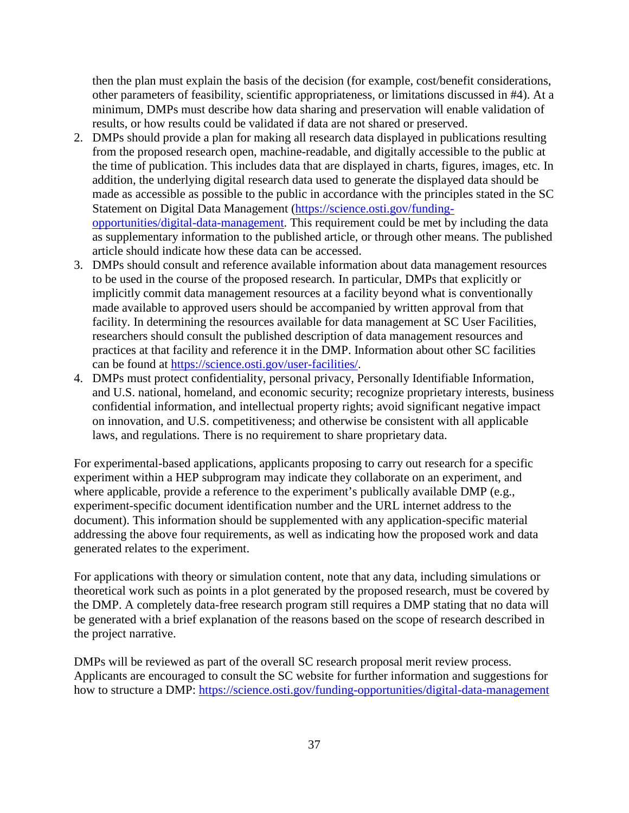then the plan must explain the basis of the decision (for example, cost/benefit considerations, other parameters of feasibility, scientific appropriateness, or limitations discussed in #4). At a minimum, DMPs must describe how data sharing and preservation will enable [validation](https://cms1.sc.osti.gov/funding-opportunities/digital-data-management/#Validate) of results, or how results could be validated if data are not shared or preserved.

- 2. DMPs should provide a plan for making all research data displayed in publications resulting from the proposed research open, machine-readable, and digitally accessible to the public at the time of publication. This includes data that are displayed in charts, figures, images, etc. In addition, the underlying digital research data used to generate the displayed data should be made as accessible as possible to the public in accordance with the principles stated in the SC Statement on Digital Data Management [\(https://science.osti.gov/funding](https://science.osti.gov/funding-opportunities/digital-data-management)[opportunities/digital-data-management.](https://science.osti.gov/funding-opportunities/digital-data-management) This requirement could be met by including the data as supplementary information to the published article, or through other means. The published article should indicate how these data can be accessed.
- 3. DMPs should consult and reference available information about data management resources to be used in the course of the proposed research. In particular, DMPs that explicitly or implicitly commit data management resources at a facility beyond what is conventionally made available to approved users should be accompanied by written approval from that facility. In determining the resources available for data management at SC User Facilities, researchers should consult the published description of data management resources and practices at that facility and reference it in the DMP. Information about other SC facilities can be found at [https://science.osti.gov/user-facilities/.](https://science.osti.gov/user-facilities/)
- 4. DMPs must protect confidentiality, personal privacy, Personally Identifiable [Information,](https://cms1.sc.osti.gov/funding-opportunities/digital-data-management/faqs/#HSRFAQ) and U.S. national, homeland, and economic security; recognize proprietary interests, business confidential information, and intellectual property rights; avoid significant negative impact on innovation, and U.S. competitiveness; and otherwise be consistent with all applicable laws, and regulations. There is no requirement to share proprietary data.

For experimental-based applications, applicants proposing to carry out research for a specific experiment within a HEP subprogram may indicate they collaborate on an experiment, and where applicable, provide a reference to the experiment's publically available DMP (e.g., experiment-specific document identification number and the URL internet address to the document). This information should be supplemented with any application-specific material addressing the above four requirements, as well as indicating how the proposed work and data generated relates to the experiment.

For applications with theory or simulation content, note that any data, including simulations or theoretical work such as points in a plot generated by the proposed research, must be covered by the DMP. A completely data-free research program still requires a DMP stating that no data will be generated with a brief explanation of the reasons based on the scope of research described in the project narrative.

DMPs will be reviewed as part of the overall SC research proposal merit review process. Applicants are encouraged to consult the SC website for further information and suggestions for how to structure a DMP: <https://science.osti.gov/funding-opportunities/digital-data-management>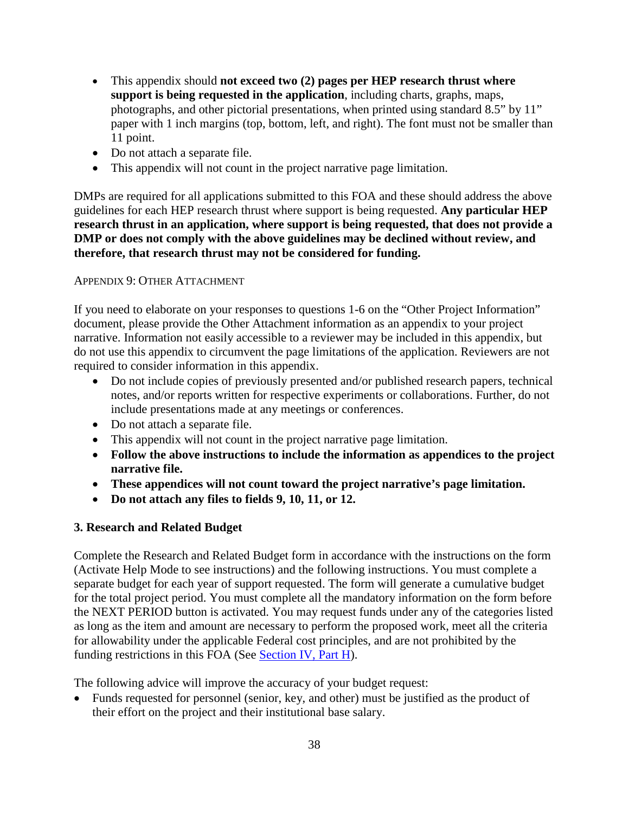- This appendix should **not exceed two (2) pages per HEP research thrust where support is being requested in the application**, including charts, graphs, maps, photographs, and other pictorial presentations, when printed using standard 8.5" by 11" paper with 1 inch margins (top, bottom, left, and right). The font must not be smaller than 11 point.
- Do not attach a separate file.
- This appendix will not count in the project narrative page limitation.

DMPs are required for all applications submitted to this FOA and these should address the above guidelines for each HEP research thrust where support is being requested. **Any particular HEP research thrust in an application, where support is being requested, that does not provide a DMP or does not comply with the above guidelines may be declined without review, and therefore, that research thrust may not be considered for funding.** 

#### APPENDIX 9: OTHER ATTACHMENT

If you need to elaborate on your responses to questions 1-6 on the "Other Project Information" document, please provide the Other Attachment information as an appendix to your project narrative. Information not easily accessible to a reviewer may be included in this appendix, but do not use this appendix to circumvent the page limitations of the application. Reviewers are not required to consider information in this appendix.

- Do not include copies of previously presented and/or published research papers, technical notes, and/or reports written for respective experiments or collaborations. Further, do not include presentations made at any meetings or conferences.
- Do not attach a separate file.
- This appendix will not count in the project narrative page limitation.
- **Follow the above instructions to include the information as appendices to the project narrative file.**
- **These appendices will not count toward the project narrative's page limitation.**
- **Do not attach any files to fields 9, 10, 11, or 12.**

#### **3. Research and Related Budget**

Complete the Research and Related Budget form in accordance with the instructions on the form (Activate Help Mode to see instructions) and the following instructions. You must complete a separate budget for each year of support requested. The form will generate a cumulative budget for the total project period. You must complete all the mandatory information on the form before the NEXT PERIOD button is activated. You may request funds under any of the categories listed as long as the item and amount are necessary to perform the proposed work, meet all the criteria for allowability under the applicable Federal cost principles, and are not prohibited by the funding restrictions in this FOA (See [Section IV, Part H\)](#page-49-0).

The following advice will improve the accuracy of your budget request:

• Funds requested for personnel (senior, key, and other) must be justified as the product of their effort on the project and their institutional base salary.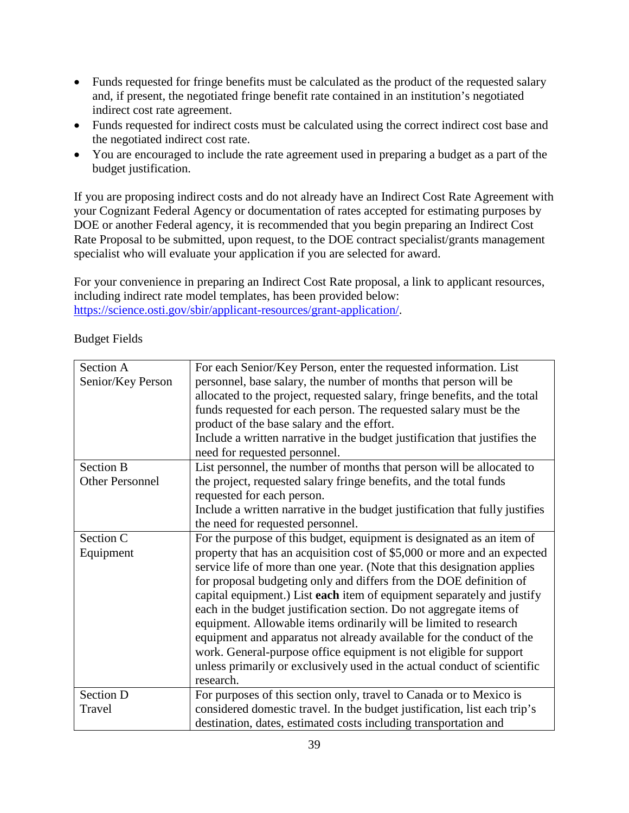- Funds requested for fringe benefits must be calculated as the product of the requested salary and, if present, the negotiated fringe benefit rate contained in an institution's negotiated indirect cost rate agreement.
- Funds requested for indirect costs must be calculated using the correct indirect cost base and the negotiated indirect cost rate.
- You are encouraged to include the rate agreement used in preparing a budget as a part of the budget justification.

If you are proposing indirect costs and do not already have an Indirect Cost Rate Agreement with your Cognizant Federal Agency or documentation of rates accepted for estimating purposes by DOE or another Federal agency, it is recommended that you begin preparing an Indirect Cost Rate Proposal to be submitted, upon request, to the DOE contract specialist/grants management specialist who will evaluate your application if you are selected for award.

For your convenience in preparing an Indirect Cost Rate proposal, a link to applicant resources, including indirect rate model templates, has been provided below: [https://science.osti.gov/sbir/applicant-resources/grant-application/.](https://science.osti.gov/sbir/applicant-resources/grant-application/)

Budget Fields

| Section A              | For each Senior/Key Person, enter the requested information. List            |
|------------------------|------------------------------------------------------------------------------|
| Senior/Key Person      | personnel, base salary, the number of months that person will be             |
|                        | allocated to the project, requested salary, fringe benefits, and the total   |
|                        | funds requested for each person. The requested salary must be the            |
|                        | product of the base salary and the effort.                                   |
|                        | Include a written narrative in the budget justification that justifies the   |
|                        | need for requested personnel.                                                |
| <b>Section B</b>       | List personnel, the number of months that person will be allocated to        |
| <b>Other Personnel</b> | the project, requested salary fringe benefits, and the total funds           |
|                        | requested for each person.                                                   |
|                        | Include a written narrative in the budget justification that fully justifies |
|                        | the need for requested personnel.                                            |
| Section C              | For the purpose of this budget, equipment is designated as an item of        |
| Equipment              | property that has an acquisition cost of \$5,000 or more and an expected     |
|                        | service life of more than one year. (Note that this designation applies      |
|                        | for proposal budgeting only and differs from the DOE definition of           |
|                        | capital equipment.) List each item of equipment separately and justify       |
|                        | each in the budget justification section. Do not aggregate items of          |
|                        | equipment. Allowable items ordinarily will be limited to research            |
|                        | equipment and apparatus not already available for the conduct of the         |
|                        | work. General-purpose office equipment is not eligible for support           |
|                        | unless primarily or exclusively used in the actual conduct of scientific     |
|                        | research.                                                                    |
| Section D              | For purposes of this section only, travel to Canada or to Mexico is          |
| Travel                 | considered domestic travel. In the budget justification, list each trip's    |
|                        | destination, dates, estimated costs including transportation and             |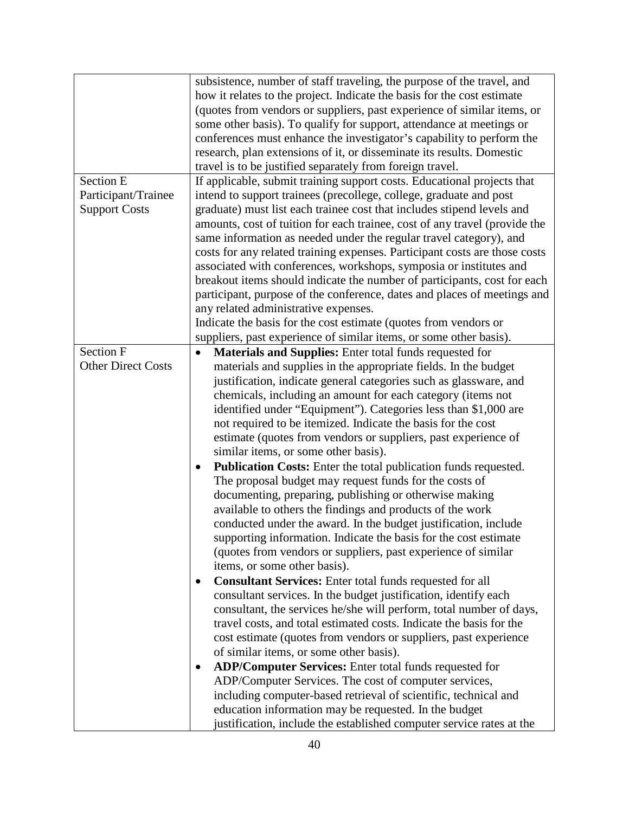|                           | subsistence, number of staff traveling, the purpose of the travel, and                                   |
|---------------------------|----------------------------------------------------------------------------------------------------------|
|                           | how it relates to the project. Indicate the basis for the cost estimate                                  |
|                           | (quotes from vendors or suppliers, past experience of similar items, or                                  |
|                           | some other basis). To qualify for support, attendance at meetings or                                     |
|                           | conferences must enhance the investigator's capability to perform the                                    |
|                           | research, plan extensions of it, or disseminate its results. Domestic                                    |
|                           | travel is to be justified separately from foreign travel.                                                |
| Section E                 | If applicable, submit training support costs. Educational projects that                                  |
| Participant/Trainee       | intend to support trainees (precollege, college, graduate and post                                       |
| <b>Support Costs</b>      | graduate) must list each trainee cost that includes stipend levels and                                   |
|                           | amounts, cost of tuition for each trainee, cost of any travel (provide the                               |
|                           | same information as needed under the regular travel category), and                                       |
|                           | costs for any related training expenses. Participant costs are those costs                               |
|                           | associated with conferences, workshops, symposia or institutes and                                       |
|                           | breakout items should indicate the number of participants, cost for each                                 |
|                           | participant, purpose of the conference, dates and places of meetings and                                 |
|                           |                                                                                                          |
|                           | any related administrative expenses.<br>Indicate the basis for the cost estimate (quotes from vendors or |
|                           |                                                                                                          |
| <b>Section F</b>          | suppliers, past experience of similar items, or some other basis).                                       |
| <b>Other Direct Costs</b> | <b>Materials and Supplies:</b> Enter total funds requested for                                           |
|                           | materials and supplies in the appropriate fields. In the budget                                          |
|                           | justification, indicate general categories such as glassware, and                                        |
|                           | chemicals, including an amount for each category (items not                                              |
|                           | identified under "Equipment"). Categories less than \$1,000 are                                          |
|                           | not required to be itemized. Indicate the basis for the cost                                             |
|                           | estimate (quotes from vendors or suppliers, past experience of                                           |
|                           | similar items, or some other basis).                                                                     |
|                           | Publication Costs: Enter the total publication funds requested.                                          |
|                           | The proposal budget may request funds for the costs of                                                   |
|                           | documenting, preparing, publishing or otherwise making                                                   |
|                           | available to others the findings and products of the work                                                |
|                           | conducted under the award. In the budget justification, include                                          |
|                           | supporting information. Indicate the basis for the cost estimate                                         |
|                           | (quotes from vendors or suppliers, past experience of similar                                            |
|                           | items, or some other basis).                                                                             |
|                           | <b>Consultant Services:</b> Enter total funds requested for all                                          |
|                           | consultant services. In the budget justification, identify each                                          |
|                           | consultant, the services he/she will perform, total number of days,                                      |
|                           | travel costs, and total estimated costs. Indicate the basis for the                                      |
|                           | cost estimate (quotes from vendors or suppliers, past experience                                         |
|                           | of similar items, or some other basis).                                                                  |
|                           | ADP/Computer Services: Enter total funds requested for                                                   |
|                           | ADP/Computer Services. The cost of computer services,                                                    |
|                           | including computer-based retrieval of scientific, technical and                                          |
|                           | education information may be requested. In the budget                                                    |
|                           | justification, include the established computer service rates at the                                     |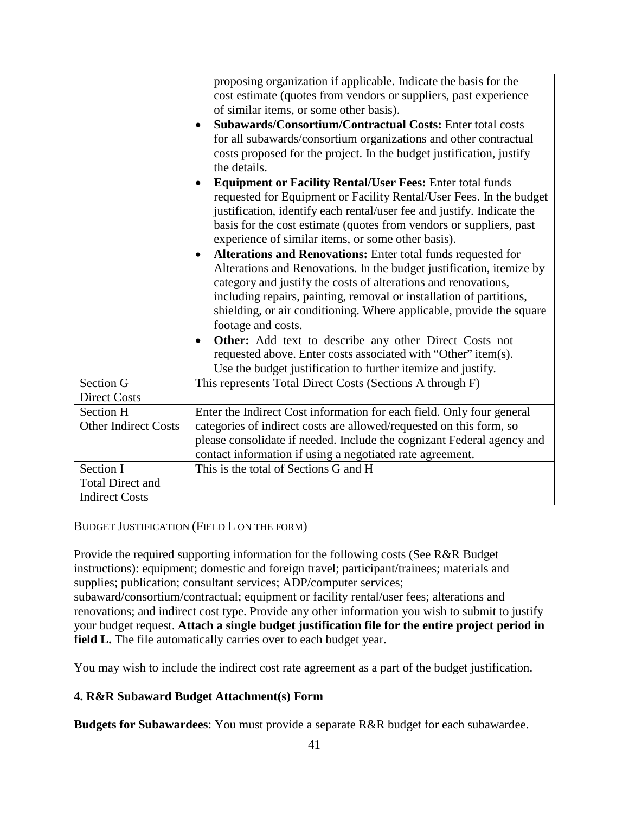|                             | proposing organization if applicable. Indicate the basis for the<br>cost estimate (quotes from vendors or suppliers, past experience<br>of similar items, or some other basis).<br><b>Subawards/Consortium/Contractual Costs: Enter total costs</b><br>for all subawards/consortium organizations and other contractual<br>costs proposed for the project. In the budget justification, justify<br>the details.<br><b>Equipment or Facility Rental/User Fees: Enter total funds</b><br>requested for Equipment or Facility Rental/User Fees. In the budget<br>justification, identify each rental/user fee and justify. Indicate the<br>basis for the cost estimate (quotes from vendors or suppliers, past<br>experience of similar items, or some other basis). |  |
|-----------------------------|-------------------------------------------------------------------------------------------------------------------------------------------------------------------------------------------------------------------------------------------------------------------------------------------------------------------------------------------------------------------------------------------------------------------------------------------------------------------------------------------------------------------------------------------------------------------------------------------------------------------------------------------------------------------------------------------------------------------------------------------------------------------|--|
|                             | Alterations and Renovations: Enter total funds requested for<br>$\bullet$                                                                                                                                                                                                                                                                                                                                                                                                                                                                                                                                                                                                                                                                                         |  |
|                             | Alterations and Renovations. In the budget justification, itemize by                                                                                                                                                                                                                                                                                                                                                                                                                                                                                                                                                                                                                                                                                              |  |
|                             | category and justify the costs of alterations and renovations,                                                                                                                                                                                                                                                                                                                                                                                                                                                                                                                                                                                                                                                                                                    |  |
|                             | including repairs, painting, removal or installation of partitions,                                                                                                                                                                                                                                                                                                                                                                                                                                                                                                                                                                                                                                                                                               |  |
|                             | shielding, or air conditioning. Where applicable, provide the square                                                                                                                                                                                                                                                                                                                                                                                                                                                                                                                                                                                                                                                                                              |  |
|                             | footage and costs.                                                                                                                                                                                                                                                                                                                                                                                                                                                                                                                                                                                                                                                                                                                                                |  |
|                             | Other: Add text to describe any other Direct Costs not<br>$\bullet$                                                                                                                                                                                                                                                                                                                                                                                                                                                                                                                                                                                                                                                                                               |  |
|                             | requested above. Enter costs associated with "Other" item(s).                                                                                                                                                                                                                                                                                                                                                                                                                                                                                                                                                                                                                                                                                                     |  |
| Section G                   | Use the budget justification to further itemize and justify.                                                                                                                                                                                                                                                                                                                                                                                                                                                                                                                                                                                                                                                                                                      |  |
|                             | This represents Total Direct Costs (Sections A through F)                                                                                                                                                                                                                                                                                                                                                                                                                                                                                                                                                                                                                                                                                                         |  |
| <b>Direct Costs</b>         |                                                                                                                                                                                                                                                                                                                                                                                                                                                                                                                                                                                                                                                                                                                                                                   |  |
| <b>Section H</b>            | Enter the Indirect Cost information for each field. Only four general                                                                                                                                                                                                                                                                                                                                                                                                                                                                                                                                                                                                                                                                                             |  |
| <b>Other Indirect Costs</b> | categories of indirect costs are allowed/requested on this form, so                                                                                                                                                                                                                                                                                                                                                                                                                                                                                                                                                                                                                                                                                               |  |
|                             | please consolidate if needed. Include the cognizant Federal agency and                                                                                                                                                                                                                                                                                                                                                                                                                                                                                                                                                                                                                                                                                            |  |
|                             | contact information if using a negotiated rate agreement.                                                                                                                                                                                                                                                                                                                                                                                                                                                                                                                                                                                                                                                                                                         |  |
| Section I                   | This is the total of Sections G and H                                                                                                                                                                                                                                                                                                                                                                                                                                                                                                                                                                                                                                                                                                                             |  |
| <b>Total Direct and</b>     |                                                                                                                                                                                                                                                                                                                                                                                                                                                                                                                                                                                                                                                                                                                                                                   |  |
| <b>Indirect Costs</b>       |                                                                                                                                                                                                                                                                                                                                                                                                                                                                                                                                                                                                                                                                                                                                                                   |  |

#### BUDGET JUSTIFICATION (FIELD L ON THE FORM)

Provide the required supporting information for the following costs (See R&R Budget instructions): equipment; domestic and foreign travel; participant/trainees; materials and supplies; publication; consultant services; ADP/computer services; subaward/consortium/contractual; equipment or facility rental/user fees; alterations and renovations; and indirect cost type. Provide any other information you wish to submit to justify your budget request. **Attach a single budget justification file for the entire project period in field L.** The file automatically carries over to each budget year.

You may wish to include the indirect cost rate agreement as a part of the budget justification.

#### **4. R&R Subaward Budget Attachment(s) Form**

**Budgets for Subawardees**: You must provide a separate R&R budget for each subawardee.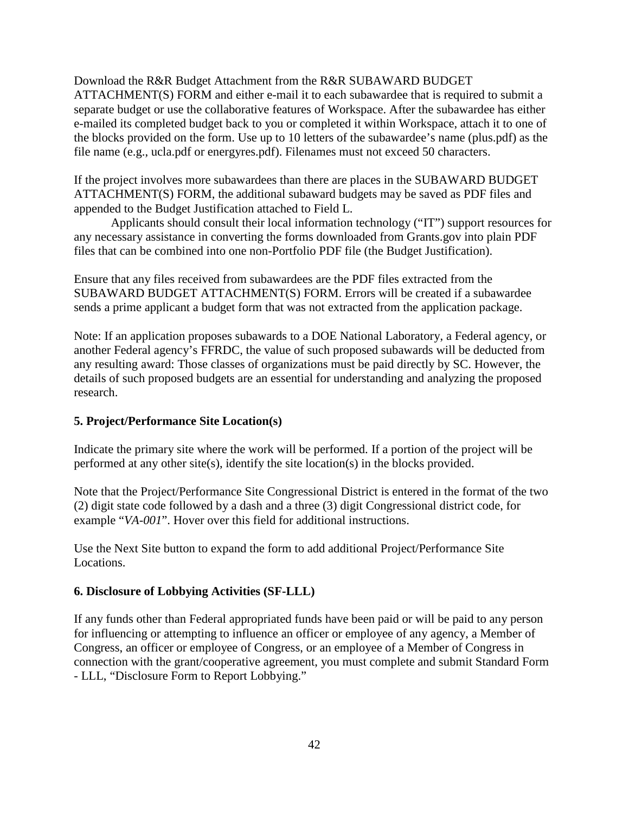Download the R&R Budget Attachment from the R&R SUBAWARD BUDGET ATTACHMENT(S) FORM and either e-mail it to each subawardee that is required to submit a separate budget or use the collaborative features of Workspace. After the subawardee has either e-mailed its completed budget back to you or completed it within Workspace, attach it to one of the blocks provided on the form. Use up to 10 letters of the subawardee's name (plus.pdf) as the file name (e.g., ucla.pdf or energyres.pdf). Filenames must not exceed 50 characters.

If the project involves more subawardees than there are places in the SUBAWARD BUDGET ATTACHMENT(S) FORM, the additional subaward budgets may be saved as PDF files and appended to the Budget Justification attached to Field L.

Applicants should consult their local information technology ("IT") support resources for any necessary assistance in converting the forms downloaded from Grants.gov into plain PDF files that can be combined into one non-Portfolio PDF file (the Budget Justification).

Ensure that any files received from subawardees are the PDF files extracted from the SUBAWARD BUDGET ATTACHMENT(S) FORM. Errors will be created if a subawardee sends a prime applicant a budget form that was not extracted from the application package.

Note: If an application proposes subawards to a DOE National Laboratory, a Federal agency, or another Federal agency's FFRDC, the value of such proposed subawards will be deducted from any resulting award: Those classes of organizations must be paid directly by SC. However, the details of such proposed budgets are an essential for understanding and analyzing the proposed research.

# **5. Project/Performance Site Location(s)**

Indicate the primary site where the work will be performed. If a portion of the project will be performed at any other site(s), identify the site location(s) in the blocks provided.

Note that the Project/Performance Site Congressional District is entered in the format of the two (2) digit state code followed by a dash and a three (3) digit Congressional district code, for example "*VA-001*". Hover over this field for additional instructions.

Use the Next Site button to expand the form to add additional Project/Performance Site Locations.

#### **6. Disclosure of Lobbying Activities (SF-LLL)**

If any funds other than Federal appropriated funds have been paid or will be paid to any person for influencing or attempting to influence an officer or employee of any agency, a Member of Congress, an officer or employee of Congress, or an employee of a Member of Congress in connection with the grant/cooperative agreement, you must complete and submit Standard Form - LLL, "Disclosure Form to Report Lobbying."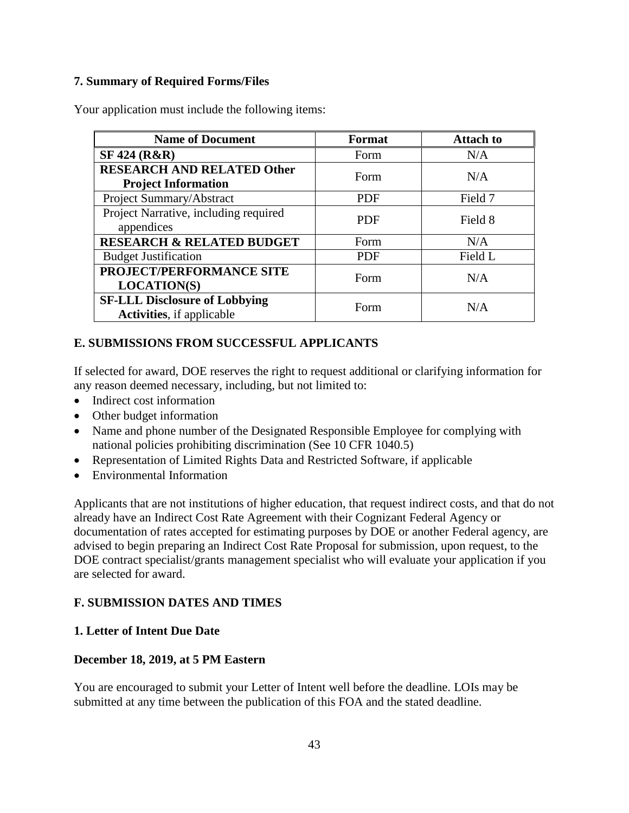#### **7. Summary of Required Forms/Files**

Your application must include the following items:

| <b>Name of Document</b>                                                   | <b>Format</b> | <b>Attach to</b> |
|---------------------------------------------------------------------------|---------------|------------------|
| <b>SF 424 (R&amp;R)</b>                                                   | Form          | N/A              |
| <b>RESEARCH AND RELATED Other</b><br><b>Project Information</b>           | Form          | N/A              |
| Project Summary/Abstract                                                  | <b>PDF</b>    | Field 7          |
| Project Narrative, including required<br>appendices                       | <b>PDF</b>    | Field 8          |
| <b>RESEARCH &amp; RELATED BUDGET</b>                                      | Form          | N/A              |
| <b>Budget Justification</b>                                               | <b>PDF</b>    | Field L          |
| PROJECT/PERFORMANCE SITE<br><b>LOCATION(S)</b>                            | Form          | N/A              |
| <b>SF-LLL Disclosure of Lobbying</b><br><b>Activities</b> , if applicable | Form          | N/A              |

# **E. SUBMISSIONS FROM SUCCESSFUL APPLICANTS**

If selected for award, DOE reserves the right to request additional or clarifying information for any reason deemed necessary, including, but not limited to:

- Indirect cost information
- Other budget information
- Name and phone number of the Designated Responsible Employee for complying with national policies prohibiting discrimination (See 10 CFR 1040.5)
- Representation of Limited Rights Data and Restricted Software, if applicable
- Environmental Information

Applicants that are not institutions of higher education, that request indirect costs, and that do not already have an Indirect Cost Rate Agreement with their Cognizant Federal Agency or documentation of rates accepted for estimating purposes by DOE or another Federal agency, are advised to begin preparing an Indirect Cost Rate Proposal for submission, upon request, to the DOE contract specialist/grants management specialist who will evaluate your application if you are selected for award.

# **F. SUBMISSION DATES AND TIMES**

#### **1. Letter of Intent Due Date**

#### **December 18, 2019, at 5 PM Eastern**

You are encouraged to submit your Letter of Intent well before the deadline. LOIs may be submitted at any time between the publication of this FOA and the stated deadline.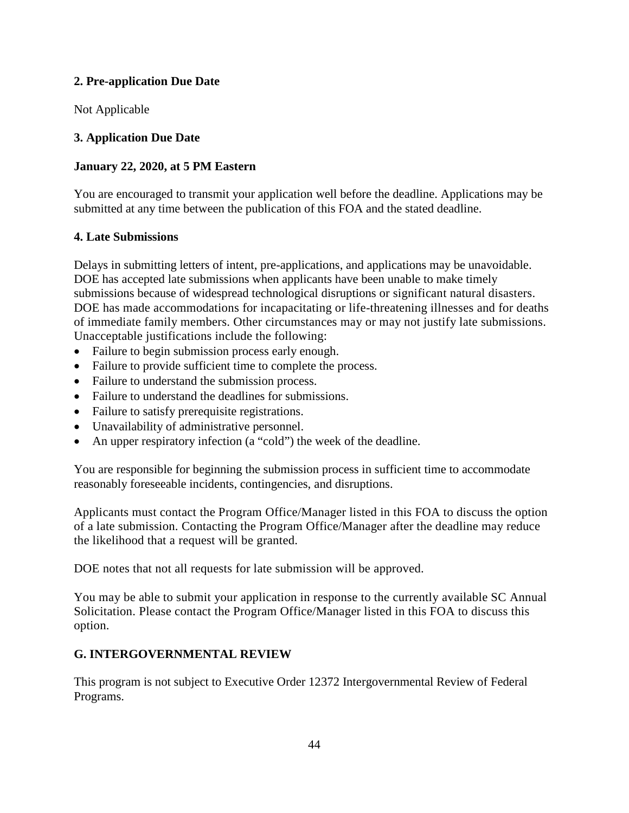# **2. Pre-application Due Date**

Not Applicable

# **3. Application Due Date**

# **January 22, 2020, at 5 PM Eastern**

You are encouraged to transmit your application well before the deadline. Applications may be submitted at any time between the publication of this FOA and the stated deadline.

# **4. Late Submissions**

Delays in submitting letters of intent, pre-applications, and applications may be unavoidable. DOE has accepted late submissions when applicants have been unable to make timely submissions because of widespread technological disruptions or significant natural disasters. DOE has made accommodations for incapacitating or life-threatening illnesses and for deaths of immediate family members. Other circumstances may or may not justify late submissions. Unacceptable justifications include the following:

- Failure to begin submission process early enough.
- Failure to provide sufficient time to complete the process.
- Failure to understand the submission process.
- Failure to understand the deadlines for submissions.
- Failure to satisfy prerequisite registrations.
- Unavailability of administrative personnel.
- An upper respiratory infection (a "cold") the week of the deadline.

You are responsible for beginning the submission process in sufficient time to accommodate reasonably foreseeable incidents, contingencies, and disruptions.

Applicants must contact the Program Office/Manager listed in this FOA to discuss the option of a late submission. Contacting the Program Office/Manager after the deadline may reduce the likelihood that a request will be granted.

DOE notes that not all requests for late submission will be approved.

You may be able to submit your application in response to the currently available SC Annual Solicitation. Please contact the Program Office/Manager listed in this FOA to discuss this option.

# **G. INTERGOVERNMENTAL REVIEW**

<span id="page-49-0"></span>This program is not subject to Executive Order 12372 Intergovernmental Review of Federal Programs.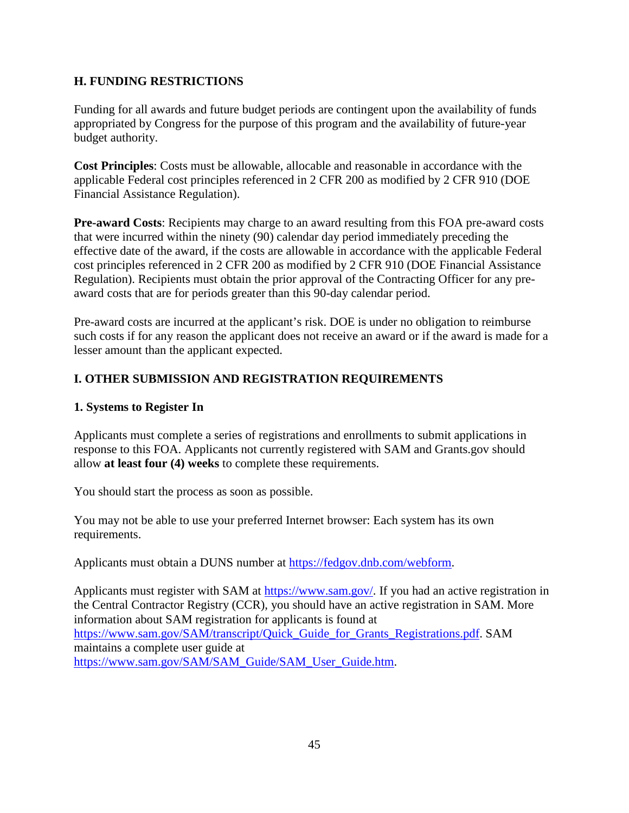# **H. FUNDING RESTRICTIONS**

Funding for all awards and future budget periods are contingent upon the availability of funds appropriated by Congress for the purpose of this program and the availability of future-year budget authority.

**Cost Principles**: Costs must be allowable, allocable and reasonable in accordance with the applicable Federal cost principles referenced in 2 CFR 200 as modified by 2 CFR 910 (DOE Financial Assistance Regulation).

**Pre-award Costs**: Recipients may charge to an award resulting from this FOA pre-award costs that were incurred within the ninety (90) calendar day period immediately preceding the effective date of the award, if the costs are allowable in accordance with the applicable Federal cost principles referenced in 2 CFR 200 as modified by 2 CFR 910 (DOE Financial Assistance Regulation). Recipients must obtain the prior approval of the Contracting Officer for any preaward costs that are for periods greater than this 90-day calendar period.

Pre-award costs are incurred at the applicant's risk. DOE is under no obligation to reimburse such costs if for any reason the applicant does not receive an award or if the award is made for a lesser amount than the applicant expected.

# **I. OTHER SUBMISSION AND REGISTRATION REQUIREMENTS**

# **1. Systems to Register In**

Applicants must complete a series of registrations and enrollments to submit applications in response to this FOA. Applicants not currently registered with SAM and Grants.gov should allow **at least four (4) weeks** to complete these requirements.

You should start the process as soon as possible.

You may not be able to use your preferred Internet browser: Each system has its own requirements.

Applicants must obtain a DUNS number at [https://fedgov.dnb.com/webform.](https://fedgov.dnb.com/webform)

Applicants must register with SAM at [https://www.sam.gov/.](https://www.sam.gov/) If you had an active registration in the Central Contractor Registry (CCR), you should have an active registration in SAM. More information about SAM registration for applicants is found at [https://www.sam.gov/SAM/transcript/Quick\\_Guide\\_for\\_Grants\\_Registrations.pdf.](https://www.sam.gov/SAM/transcript/Quick_Guide_for_Grants_Registrations.pdf) SAM maintains a complete user guide at [https://www.sam.gov/SAM/SAM\\_Guide/SAM\\_User\\_Guide.htm.](https://www.sam.gov/SAM/SAM_Guide/SAM_User_Guide.htm)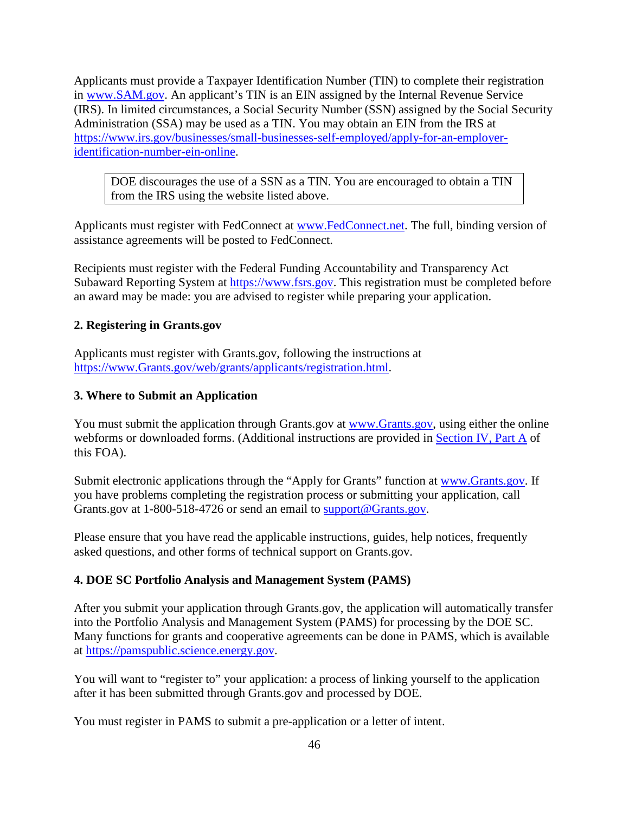Applicants must provide a Taxpayer Identification Number (TIN) to complete their registration in [www.SAM.gov.](https://www.sam.gov/) An applicant's TIN is an EIN assigned by the Internal Revenue Service (IRS). In limited circumstances, a Social Security Number (SSN) assigned by the Social Security Administration (SSA) may be used as a TIN. You may obtain an EIN from the IRS at [https://www.irs.gov/businesses/small-businesses-self-employed/apply-for-an-employer](https://www.irs.gov/businesses/small-businesses-self-employed/apply-for-an-employer-identification-number-ein-online)[identification-number-ein-online.](https://www.irs.gov/businesses/small-businesses-self-employed/apply-for-an-employer-identification-number-ein-online)

DOE discourages the use of a SSN as a TIN. You are encouraged to obtain a TIN from the IRS using the website listed above.

Applicants must register with FedConnect at [www.FedConnect.net.](https://www.fedconnect.net/) The full, binding version of assistance agreements will be posted to FedConnect.

Recipients must register with the Federal Funding Accountability and Transparency Act Subaward Reporting System at [https://www.fsrs.gov.](https://www.fsrs.gov/) This registration must be completed before an award may be made: you are advised to register while preparing your application.

#### **2. Registering in Grants.gov**

Applicants must register with Grants.gov, following the instructions at [https://www.Grants.gov/web/grants/applicants/registration.html.](https://www.grants.gov/web/grants/applicants/registration.html)

#### **3. Where to Submit an Application**

You must submit the application through Grants.gov at [www.Grants.gov,](https://www.grants.gov/) using either the online webforms or downloaded forms. (Additional instructions are provided in [Section IV, Part A](#page-20-0) of this FOA).

Submit electronic applications through the "Apply for Grants" function at [www.Grants.gov.](https://www.grants.gov/) If you have problems completing the registration process or submitting your application, call Grants.gov at 1-800-518-4726 or send an email to [support@Grants.gov.](mailto:support@grants.gov)

Please ensure that you have read the applicable instructions, guides, help notices, frequently asked questions, and other forms of technical support on Grants.gov.

#### **4. DOE SC Portfolio Analysis and Management System (PAMS)**

After you submit your application through Grants.gov, the application will automatically transfer into the Portfolio Analysis and Management System (PAMS) for processing by the DOE SC. Many functions for grants and cooperative agreements can be done in PAMS, which is available at [https://pamspublic.science.energy.gov.](https://pamspublic.science.energy.gov/)

You will want to "register to" your application: a process of linking yourself to the application after it has been submitted through Grants.gov and processed by DOE.

You must register in PAMS to submit a pre-application or a letter of intent.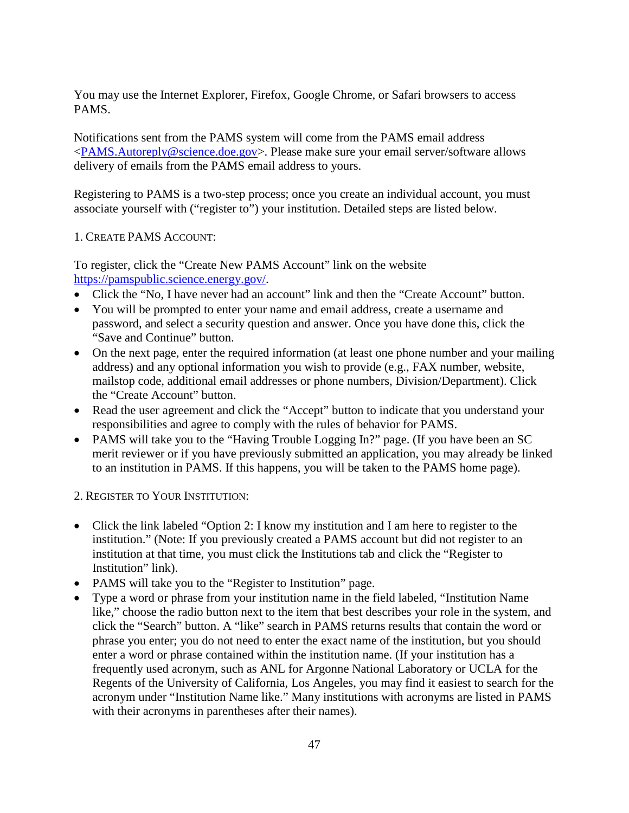You may use the Internet Explorer, Firefox, Google Chrome, or Safari browsers to access PAMS.

Notifications sent from the PAMS system will come from the PAMS email address [<PAMS.Autoreply@science.doe.gov>](mailto:PAMS.Autoreply@science.doe.gov). Please make sure your email server/software allows delivery of emails from the PAMS email address to yours.

Registering to PAMS is a two-step process; once you create an individual account, you must associate yourself with ("register to") your institution. Detailed steps are listed below.

#### 1. CREATE PAMS ACCOUNT:

To register, click the "Create New PAMS Account" link on the website [https://pamspublic.science.energy.gov/.](https://pamspublic.science.energy.gov/)

- Click the "No, I have never had an account" link and then the "Create Account" button.
- You will be prompted to enter your name and email address, create a username and password, and select a security question and answer. Once you have done this, click the "Save and Continue" button.
- On the next page, enter the required information (at least one phone number and your mailing address) and any optional information you wish to provide (e.g., FAX number, website, mailstop code, additional email addresses or phone numbers, Division/Department). Click the "Create Account" button.
- Read the user agreement and click the "Accept" button to indicate that you understand your responsibilities and agree to comply with the rules of behavior for PAMS.
- PAMS will take you to the "Having Trouble Logging In?" page. (If you have been an SC merit reviewer or if you have previously submitted an application, you may already be linked to an institution in PAMS. If this happens, you will be taken to the PAMS home page).

2. REGISTER TO YOUR INSTITUTION:

- Click the link labeled "Option 2: I know my institution and I am here to register to the institution." (Note: If you previously created a PAMS account but did not register to an institution at that time, you must click the Institutions tab and click the "Register to Institution" link).
- PAMS will take you to the "Register to Institution" page.
- Type a word or phrase from your institution name in the field labeled, "Institution Name like," choose the radio button next to the item that best describes your role in the system, and click the "Search" button. A "like" search in PAMS returns results that contain the word or phrase you enter; you do not need to enter the exact name of the institution, but you should enter a word or phrase contained within the institution name. (If your institution has a frequently used acronym, such as ANL for Argonne National Laboratory or UCLA for the Regents of the University of California, Los Angeles, you may find it easiest to search for the acronym under "Institution Name like." Many institutions with acronyms are listed in PAMS with their acronyms in parentheses after their names).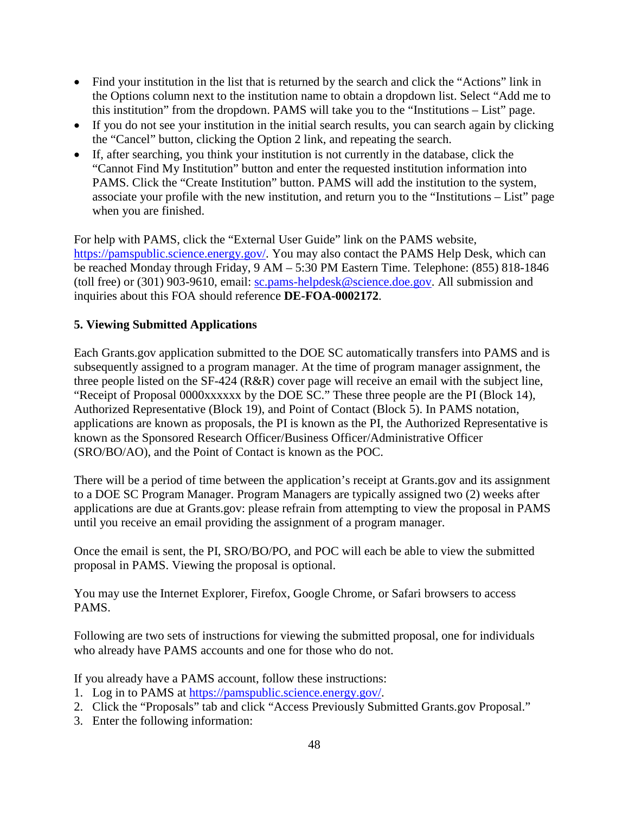- Find your institution in the list that is returned by the search and click the "Actions" link in the Options column next to the institution name to obtain a dropdown list. Select "Add me to this institution" from the dropdown. PAMS will take you to the "Institutions – List" page.
- If you do not see your institution in the initial search results, you can search again by clicking the "Cancel" button, clicking the Option 2 link, and repeating the search.
- If, after searching, you think your institution is not currently in the database, click the "Cannot Find My Institution" button and enter the requested institution information into PAMS. Click the "Create Institution" button. PAMS will add the institution to the system, associate your profile with the new institution, and return you to the "Institutions – List" page when you are finished.

For help with PAMS, click the "External User Guide" link on the PAMS website, [https://pamspublic.science.energy.gov/.](https://pamspublic.science.energy.gov/) You may also contact the PAMS Help Desk, which can be reached Monday through Friday, 9 AM – 5:30 PM Eastern Time. Telephone: (855) 818-1846 (toll free) or (301) 903-9610, email: [sc.pams-helpdesk@science.doe.gov.](mailto:sc.pams-helpdesk@science.doe.gov) All submission and inquiries about this FOA should reference **DE-FOA-0002172**.

# **5. Viewing Submitted Applications**

Each Grants.gov application submitted to the DOE SC automatically transfers into PAMS and is subsequently assigned to a program manager. At the time of program manager assignment, the three people listed on the SF-424 (R&R) cover page will receive an email with the subject line, "Receipt of Proposal 0000xxxxxx by the DOE SC." These three people are the PI (Block 14), Authorized Representative (Block 19), and Point of Contact (Block 5). In PAMS notation, applications are known as proposals, the PI is known as the PI, the Authorized Representative is known as the Sponsored Research Officer/Business Officer/Administrative Officer (SRO/BO/AO), and the Point of Contact is known as the POC.

There will be a period of time between the application's receipt at Grants.gov and its assignment to a DOE SC Program Manager. Program Managers are typically assigned two (2) weeks after applications are due at Grants.gov: please refrain from attempting to view the proposal in PAMS until you receive an email providing the assignment of a program manager.

Once the email is sent, the PI, SRO/BO/PO, and POC will each be able to view the submitted proposal in PAMS. Viewing the proposal is optional.

You may use the Internet Explorer, Firefox, Google Chrome, or Safari browsers to access PAMS.

Following are two sets of instructions for viewing the submitted proposal, one for individuals who already have PAMS accounts and one for those who do not.

If you already have a PAMS account, follow these instructions:

- 1. Log in to PAMS at [https://pamspublic.science.energy.gov/.](https://pamspublic.science.energy.gov/)
- 2. Click the "Proposals" tab and click "Access Previously Submitted Grants.gov Proposal."
- 3. Enter the following information: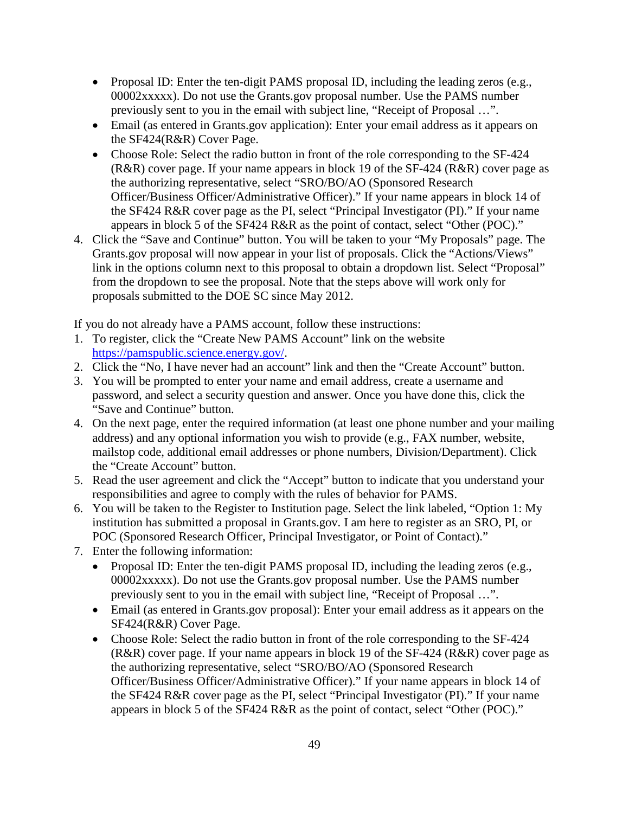- Proposal ID: Enter the ten-digit PAMS proposal ID, including the leading zeros (e.g., 00002xxxxx). Do not use the Grants.gov proposal number. Use the PAMS number previously sent to you in the email with subject line, "Receipt of Proposal …".
- Email (as entered in Grants.gov application): Enter your email address as it appears on the SF424(R&R) Cover Page.
- Choose Role: Select the radio button in front of the role corresponding to the SF-424 (R&R) cover page. If your name appears in block 19 of the SF-424 (R&R) cover page as the authorizing representative, select "SRO/BO/AO (Sponsored Research Officer/Business Officer/Administrative Officer)." If your name appears in block 14 of the SF424 R&R cover page as the PI, select "Principal Investigator (PI)." If your name appears in block 5 of the SF424 R&R as the point of contact, select "Other (POC)."
- 4. Click the "Save and Continue" button. You will be taken to your "My Proposals" page. The Grants.gov proposal will now appear in your list of proposals. Click the "Actions/Views" link in the options column next to this proposal to obtain a dropdown list. Select "Proposal" from the dropdown to see the proposal. Note that the steps above will work only for proposals submitted to the DOE SC since May 2012.

If you do not already have a PAMS account, follow these instructions:

- 1. To register, click the "Create New PAMS Account" link on the website [https://pamspublic.science.energy.gov/.](https://pamspublic.science.energy.gov/)
- 2. Click the "No, I have never had an account" link and then the "Create Account" button.
- 3. You will be prompted to enter your name and email address, create a username and password, and select a security question and answer. Once you have done this, click the "Save and Continue" button.
- 4. On the next page, enter the required information (at least one phone number and your mailing address) and any optional information you wish to provide (e.g., FAX number, website, mailstop code, additional email addresses or phone numbers, Division/Department). Click the "Create Account" button.
- 5. Read the user agreement and click the "Accept" button to indicate that you understand your responsibilities and agree to comply with the rules of behavior for PAMS.
- 6. You will be taken to the Register to Institution page. Select the link labeled, "Option 1: My institution has submitted a proposal in Grants.gov. I am here to register as an SRO, PI, or POC (Sponsored Research Officer, Principal Investigator, or Point of Contact)."
- 7. Enter the following information:
	- Proposal ID: Enter the ten-digit PAMS proposal ID, including the leading zeros (e.g., 00002xxxxx). Do not use the Grants.gov proposal number. Use the PAMS number previously sent to you in the email with subject line, "Receipt of Proposal …".
	- Email (as entered in Grants.gov proposal): Enter your email address as it appears on the SF424(R&R) Cover Page.
	- Choose Role: Select the radio button in front of the role corresponding to the SF-424 (R&R) cover page. If your name appears in block 19 of the SF-424 (R&R) cover page as the authorizing representative, select "SRO/BO/AO (Sponsored Research Officer/Business Officer/Administrative Officer)." If your name appears in block 14 of the SF424 R&R cover page as the PI, select "Principal Investigator (PI)." If your name appears in block 5 of the SF424 R&R as the point of contact, select "Other (POC)."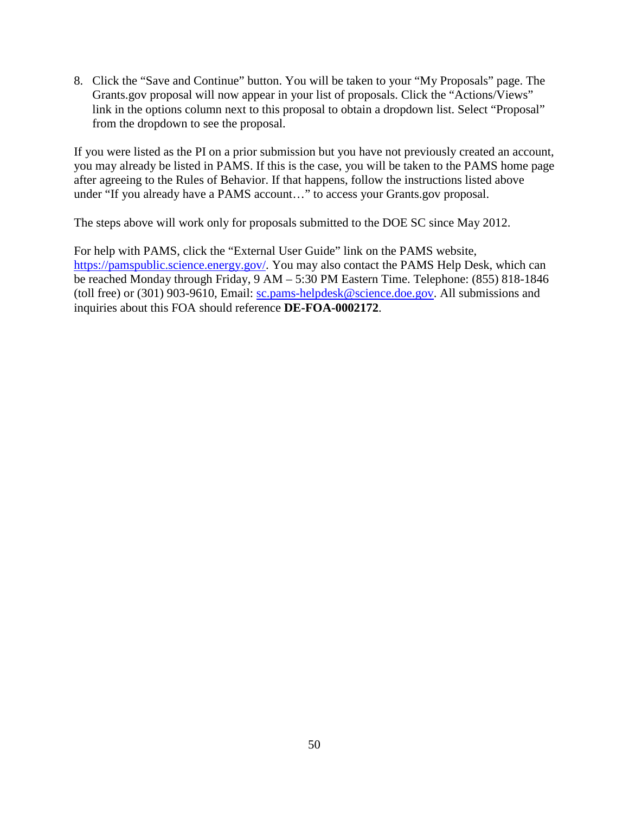8. Click the "Save and Continue" button. You will be taken to your "My Proposals" page. The Grants.gov proposal will now appear in your list of proposals. Click the "Actions/Views" link in the options column next to this proposal to obtain a dropdown list. Select "Proposal" from the dropdown to see the proposal.

If you were listed as the PI on a prior submission but you have not previously created an account, you may already be listed in PAMS. If this is the case, you will be taken to the PAMS home page after agreeing to the Rules of Behavior. If that happens, follow the instructions listed above under "If you already have a PAMS account…" to access your Grants.gov proposal.

The steps above will work only for proposals submitted to the DOE SC since May 2012.

For help with PAMS, click the "External User Guide" link on the PAMS website, [https://pamspublic.science.energy.gov/.](https://pamspublic.science.energy.gov/) You may also contact the PAMS Help Desk, which can be reached Monday through Friday, 9 AM – 5:30 PM Eastern Time. Telephone: (855) 818-1846 (toll free) or (301) 903-9610, Email: [sc.pams-helpdesk@science.doe.gov.](mailto:sc.pams-helpdesk@science.doe.gov) All submissions and inquiries about this FOA should reference **DE-FOA-0002172**.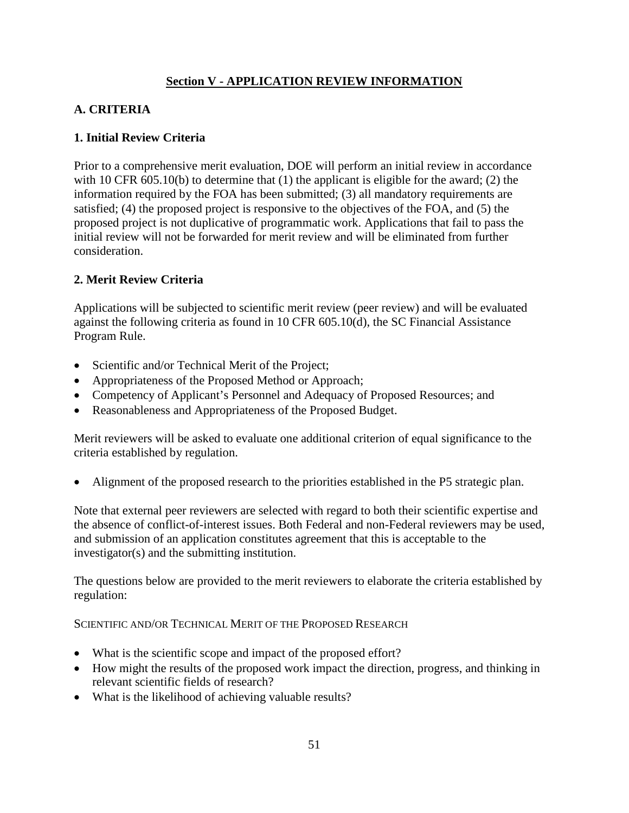# **Section V - APPLICATION REVIEW INFORMATION**

# **A. CRITERIA**

## **1. Initial Review Criteria**

Prior to a comprehensive merit evaluation, DOE will perform an initial review in accordance with 10 CFR 605.10(b) to determine that (1) the applicant is eligible for the award; (2) the information required by the FOA has been submitted; (3) all mandatory requirements are satisfied; (4) the proposed project is responsive to the objectives of the FOA, and (5) the proposed project is not duplicative of programmatic work. Applications that fail to pass the initial review will not be forwarded for merit review and will be eliminated from further consideration.

# **2. Merit Review Criteria**

Applications will be subjected to scientific merit review (peer review) and will be evaluated against the following criteria as found in 10 CFR 605.10(d), the SC Financial Assistance Program Rule.

- Scientific and/or Technical Merit of the Project;
- Appropriateness of the Proposed Method or Approach;
- Competency of Applicant's Personnel and Adequacy of Proposed Resources; and
- Reasonableness and Appropriateness of the Proposed Budget.

Merit reviewers will be asked to evaluate one additional criterion of equal significance to the criteria established by regulation.

• Alignment of the proposed research to the priorities established in the P5 strategic plan.

Note that external peer reviewers are selected with regard to both their scientific expertise and the absence of conflict-of-interest issues. Both Federal and non-Federal reviewers may be used, and submission of an application constitutes agreement that this is acceptable to the investigator(s) and the submitting institution.

The questions below are provided to the merit reviewers to elaborate the criteria established by regulation:

SCIENTIFIC AND/OR TECHNICAL MERIT OF THE PROPOSED RESEARCH

- What is the scientific scope and impact of the proposed effort?
- How might the results of the proposed work impact the direction, progress, and thinking in relevant scientific fields of research?
- What is the likelihood of achieving valuable results?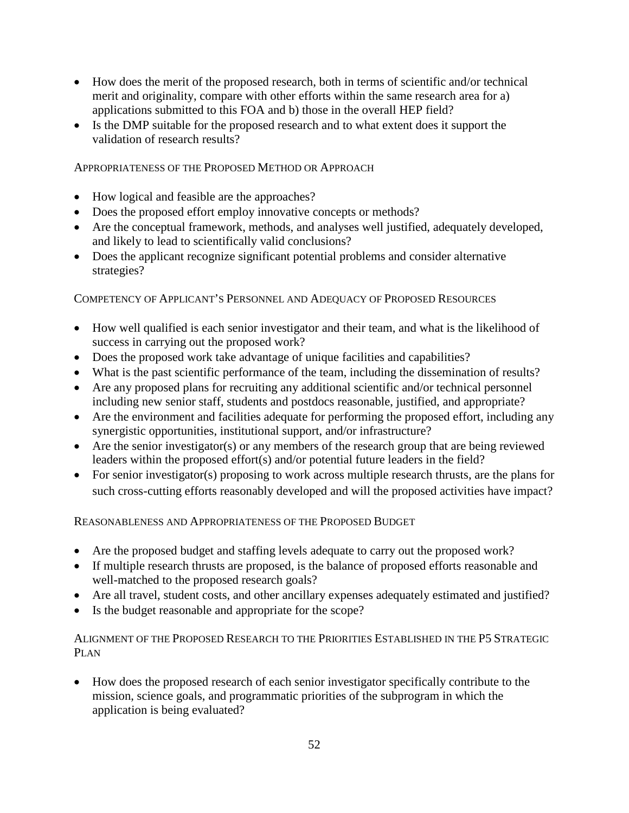- How does the merit of the proposed research, both in terms of scientific and/or technical merit and originality, compare with other efforts within the same research area for a) applications submitted to this FOA and b) those in the overall HEP field?
- Is the DMP suitable for the proposed research and to what extent does it support the validation of research results?

APPROPRIATENESS OF THE PROPOSED METHOD OR APPROACH

- How logical and feasible are the approaches?
- Does the proposed effort employ innovative concepts or methods?
- Are the conceptual framework, methods, and analyses well justified, adequately developed, and likely to lead to scientifically valid conclusions?
- Does the applicant recognize significant potential problems and consider alternative strategies?

### COMPETENCY OF APPLICANT'S PERSONNEL AND ADEQUACY OF PROPOSED RESOURCES

- How well qualified is each senior investigator and their team, and what is the likelihood of success in carrying out the proposed work?
- Does the proposed work take advantage of unique facilities and capabilities?
- What is the past scientific performance of the team, including the dissemination of results?
- Are any proposed plans for recruiting any additional scientific and/or technical personnel including new senior staff, students and postdocs reasonable, justified, and appropriate?
- Are the environment and facilities adequate for performing the proposed effort, including any synergistic opportunities, institutional support, and/or infrastructure?
- Are the senior investigator(s) or any members of the research group that are being reviewed leaders within the proposed effort(s) and/or potential future leaders in the field?
- For senior investigator(s) proposing to work across multiple research thrusts, are the plans for such cross-cutting efforts reasonably developed and will the proposed activities have impact?

REASONABLENESS AND APPROPRIATENESS OF THE PROPOSED BUDGET

- Are the proposed budget and staffing levels adequate to carry out the proposed work?
- If multiple research thrusts are proposed, is the balance of proposed efforts reasonable and well-matched to the proposed research goals?
- Are all travel, student costs, and other ancillary expenses adequately estimated and justified?
- Is the budget reasonable and appropriate for the scope?

### ALIGNMENT OF THE PROPOSED RESEARCH TO THE PRIORITIES ESTABLISHED IN THE P5 STRATEGIC PLAN

• How does the proposed research of each senior investigator specifically contribute to the mission, science goals, and programmatic priorities of the subprogram in which the application is being evaluated?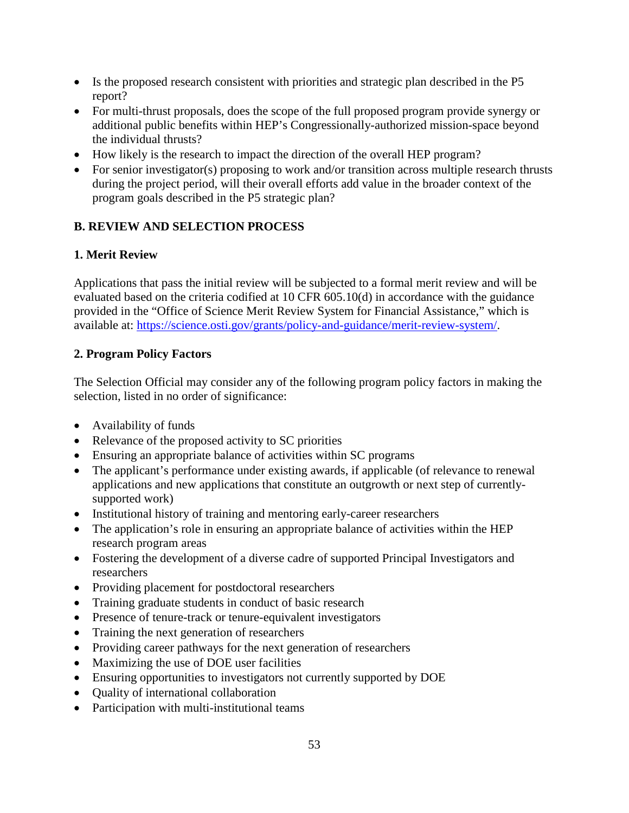- Is the proposed research consistent with priorities and strategic plan described in the P5 report?
- For multi-thrust proposals, does the scope of the full proposed program provide synergy or additional public benefits within HEP's Congressionally-authorized mission-space beyond the individual thrusts?
- How likely is the research to impact the direction of the overall HEP program?
- For senior investigator(s) proposing to work and/or transition across multiple research thrusts during the project period, will their overall efforts add value in the broader context of the program goals described in the P5 strategic plan?

# **B. REVIEW AND SELECTION PROCESS**

# **1. Merit Review**

Applications that pass the initial review will be subjected to a formal merit review and will be evaluated based on the criteria codified at 10 CFR 605.10(d) in accordance with the guidance provided in the "Office of Science Merit Review System for Financial Assistance," which is available at: [https://science.osti.gov/grants/policy-and-guidance/merit-review-system/.](https://science.osti.gov/grants/policy-and-guidance/merit-review-system/)

# **2. Program Policy Factors**

The Selection Official may consider any of the following program policy factors in making the selection, listed in no order of significance:

- Availability of funds
- Relevance of the proposed activity to SC priorities
- Ensuring an appropriate balance of activities within SC programs
- The applicant's performance under existing awards, if applicable (of relevance to renewal applications and new applications that constitute an outgrowth or next step of currentlysupported work)
- Institutional history of training and mentoring early-career researchers
- The application's role in ensuring an appropriate balance of activities within the HEP research program areas
- Fostering the development of a diverse cadre of supported Principal Investigators and researchers
- Providing placement for postdoctoral researchers
- Training graduate students in conduct of basic research
- Presence of tenure-track or tenure-equivalent investigators
- Training the next generation of researchers
- Providing career pathways for the next generation of researchers
- Maximizing the use of DOE user facilities
- Ensuring opportunities to investigators not currently supported by DOE
- Quality of international collaboration
- Participation with multi-institutional teams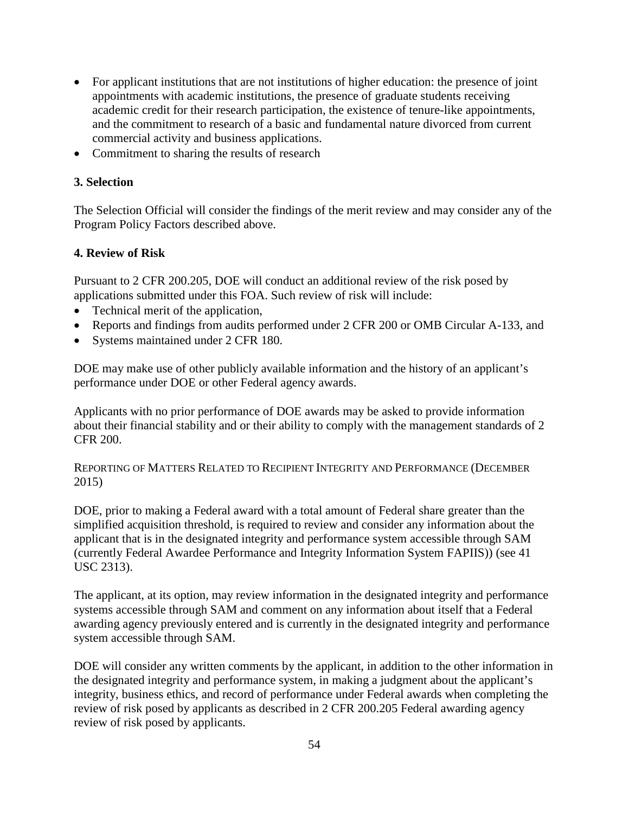- For applicant institutions that are not institutions of higher education: the presence of joint appointments with academic institutions, the presence of graduate students receiving academic credit for their research participation, the existence of tenure-like appointments, and the commitment to research of a basic and fundamental nature divorced from current commercial activity and business applications.
- Commitment to sharing the results of research

#### **3. Selection**

The Selection Official will consider the findings of the merit review and may consider any of the Program Policy Factors described above.

### **4. Review of Risk**

Pursuant to 2 CFR 200.205, DOE will conduct an additional review of the risk posed by applications submitted under this FOA. Such review of risk will include:

- Technical merit of the application,
- Reports and findings from audits performed under 2 CFR 200 or OMB Circular A-133, and
- Systems maintained under 2 CFR 180.

DOE may make use of other publicly available information and the history of an applicant's performance under DOE or other Federal agency awards.

Applicants with no prior performance of DOE awards may be asked to provide information about their financial stability and or their ability to comply with the management standards of 2 CFR 200.

REPORTING OF MATTERS RELATED TO RECIPIENT INTEGRITY AND PERFORMANCE (DECEMBER 2015)

DOE, prior to making a Federal award with a total amount of Federal share greater than the simplified acquisition threshold, is required to review and consider any information about the applicant that is in the designated integrity and performance system accessible through SAM (currently Federal Awardee Performance and Integrity Information System FAPIIS)) (see 41 USC 2313).

The applicant, at its option, may review information in the designated integrity and performance systems accessible through SAM and comment on any information about itself that a Federal awarding agency previously entered and is currently in the designated integrity and performance system accessible through SAM.

DOE will consider any written comments by the applicant, in addition to the other information in the designated integrity and performance system, in making a judgment about the applicant's integrity, business ethics, and record of performance under Federal awards when completing the review of risk posed by applicants as described in 2 CFR 200.205 Federal awarding agency review of risk posed by applicants.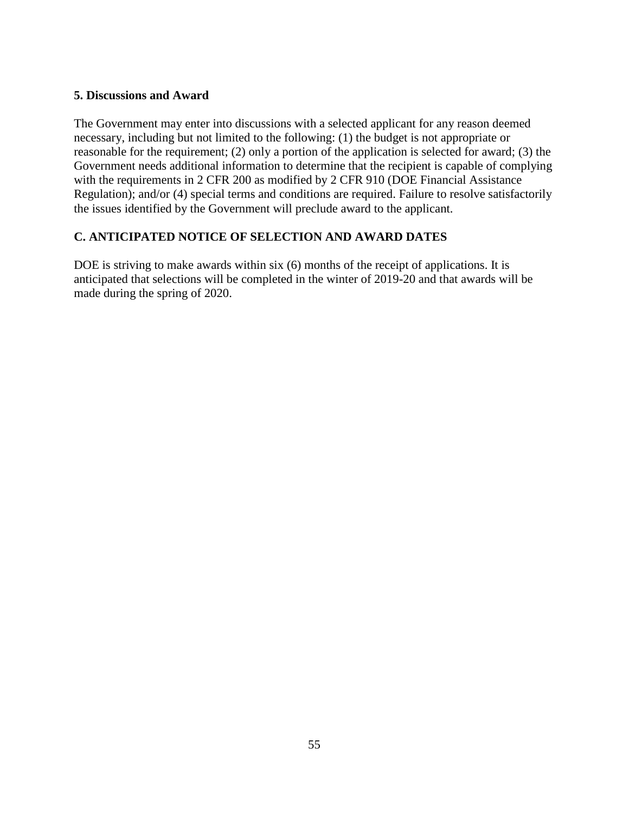#### **5. Discussions and Award**

The Government may enter into discussions with a selected applicant for any reason deemed necessary, including but not limited to the following: (1) the budget is not appropriate or reasonable for the requirement; (2) only a portion of the application is selected for award; (3) the Government needs additional information to determine that the recipient is capable of complying with the requirements in 2 CFR 200 as modified by 2 CFR 910 (DOE Financial Assistance Regulation); and/or (4) special terms and conditions are required. Failure to resolve satisfactorily the issues identified by the Government will preclude award to the applicant.

### **C. ANTICIPATED NOTICE OF SELECTION AND AWARD DATES**

DOE is striving to make awards within six (6) months of the receipt of applications. It is anticipated that selections will be completed in the winter of 2019-20 and that awards will be made during the spring of 2020.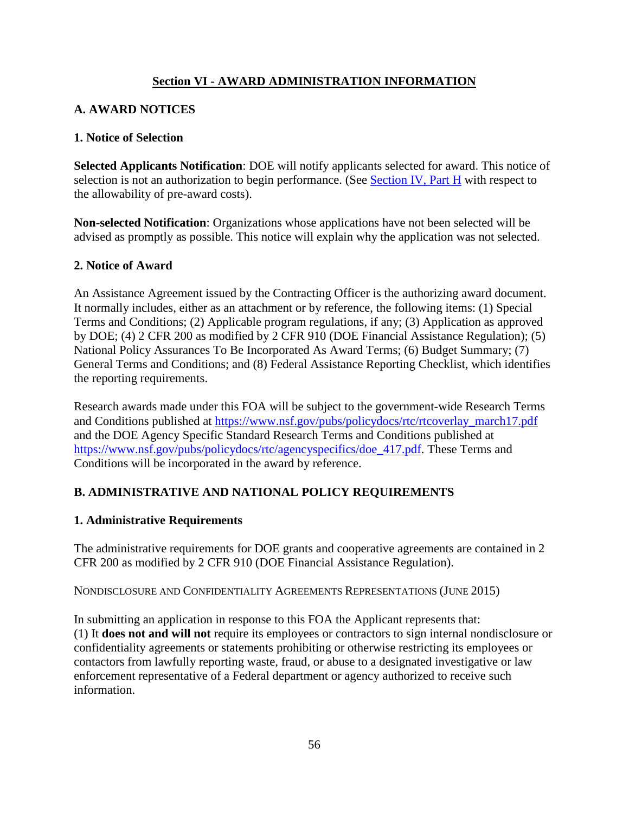# **Section VI - AWARD ADMINISTRATION INFORMATION**

# **A. AWARD NOTICES**

### **1. Notice of Selection**

**Selected Applicants Notification**: DOE will notify applicants selected for award. This notice of selection is not an authorization to begin performance. (See [Section IV, Part H](#page-49-0) with respect to the allowability of pre-award costs).

**Non-selected Notification**: Organizations whose applications have not been selected will be advised as promptly as possible. This notice will explain why the application was not selected.

### **2. Notice of Award**

An Assistance Agreement issued by the Contracting Officer is the authorizing award document. It normally includes, either as an attachment or by reference, the following items: (1) Special Terms and Conditions; (2) Applicable program regulations, if any; (3) Application as approved by DOE; (4) 2 CFR 200 as modified by 2 CFR 910 (DOE Financial Assistance Regulation); (5) National Policy Assurances To Be Incorporated As Award Terms; (6) Budget Summary; (7) General Terms and Conditions; and (8) Federal Assistance Reporting Checklist, which identifies the reporting requirements.

Research awards made under this FOA will be subject to the government-wide Research Terms and Conditions published at [https://www.nsf.gov/pubs/policydocs/rtc/rtcoverlay\\_march17.pdf](https://www.nsf.gov/pubs/policydocs/rtc/rtcoverlay_march17.pdf) and the DOE Agency Specific Standard Research Terms and Conditions published at https://www.nsf.gov/pubs/policydocs/rtc/agencyspecifics/doe 417.pdf. These Terms and Conditions will be incorporated in the award by reference.

# **B. ADMINISTRATIVE AND NATIONAL POLICY REQUIREMENTS**

# **1. Administrative Requirements**

The administrative requirements for DOE grants and cooperative agreements are contained in 2 CFR 200 as modified by 2 CFR 910 (DOE Financial Assistance Regulation).

NONDISCLOSURE AND CONFIDENTIALITY AGREEMENTS REPRESENTATIONS (JUNE 2015)

In submitting an application in response to this FOA the Applicant represents that: (1) It **does not and will not** require its employees or contractors to sign internal nondisclosure or confidentiality agreements or statements prohibiting or otherwise restricting its employees or contactors from lawfully reporting waste, fraud, or abuse to a designated investigative or law enforcement representative of a Federal department or agency authorized to receive such information.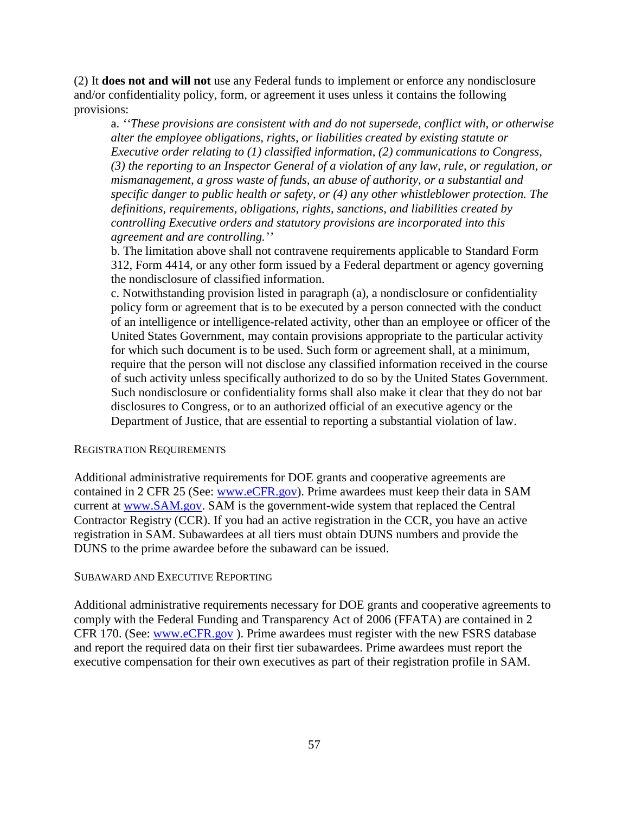(2) It **does not and will not** use any Federal funds to implement or enforce any nondisclosure and/or confidentiality policy, form, or agreement it uses unless it contains the following provisions:

a. *''These provisions are consistent with and do not supersede, conflict with, or otherwise alter the employee obligations, rights, or liabilities created by existing statute or Executive order relating to (1) classified information, (2) communications to Congress, (3) the reporting to an Inspector General of a violation of any law, rule, or regulation, or mismanagement, a gross waste of funds, an abuse of authority, or a substantial and specific danger to public health or safety, or (4) any other whistleblower protection. The definitions, requirements, obligations, rights, sanctions, and liabilities created by controlling Executive orders and statutory provisions are incorporated into this agreement and are controlling.''*

b. The limitation above shall not contravene requirements applicable to Standard Form 312, Form 4414, or any other form issued by a Federal department or agency governing the nondisclosure of classified information.

c. Notwithstanding provision listed in paragraph (a), a nondisclosure or confidentiality policy form or agreement that is to be executed by a person connected with the conduct of an intelligence or intelligence-related activity, other than an employee or officer of the United States Government, may contain provisions appropriate to the particular activity for which such document is to be used. Such form or agreement shall, at a minimum, require that the person will not disclose any classified information received in the course of such activity unless specifically authorized to do so by the United States Government. Such nondisclosure or confidentiality forms shall also make it clear that they do not bar disclosures to Congress, or to an authorized official of an executive agency or the Department of Justice, that are essential to reporting a substantial violation of law.

#### REGISTRATION REQUIREMENTS

Additional administrative requirements for DOE grants and cooperative agreements are contained in 2 CFR 25 (See: [www.eCFR.gov\)](https://www.ecfr.gov/). Prime awardees must keep their data in SAM current at [www.SAM.gov.](https://www.sam.gov/) SAM is the government-wide system that replaced the Central Contractor Registry (CCR). If you had an active registration in the CCR, you have an active registration in SAM. Subawardees at all tiers must obtain DUNS numbers and provide the DUNS to the prime awardee before the subaward can be issued.

#### SUBAWARD AND EXECUTIVE REPORTING

Additional administrative requirements necessary for DOE grants and cooperative agreements to comply with the Federal Funding and Transparency Act of 2006 (FFATA) are contained in 2 CFR 170. (See: [www.eCFR.gov](https://www.ecfr.gov/) ). Prime awardees must register with the new FSRS database and report the required data on their first tier subawardees. Prime awardees must report the executive compensation for their own executives as part of their registration profile in SAM.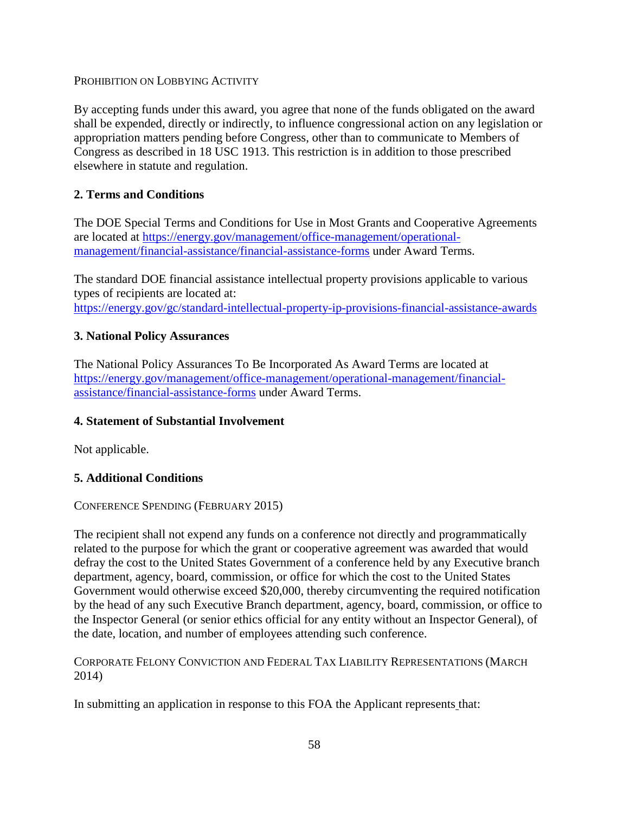PROHIBITION ON LOBBYING ACTIVITY

By accepting funds under this award, you agree that none of the funds obligated on the award shall be expended, directly or indirectly, to influence congressional action on any legislation or appropriation matters pending before Congress, other than to communicate to Members of Congress as described in 18 USC 1913. This restriction is in addition to those prescribed elsewhere in statute and regulation.

# **2. Terms and Conditions**

The DOE Special Terms and Conditions for Use in Most Grants and Cooperative Agreements are located at [https://energy.gov/management/office-management/operational](https://energy.gov/management/office-management/operational-management/financial-assistance/financial-assistance-forms)[management/financial-assistance/financial-assistance-forms](https://energy.gov/management/office-management/operational-management/financial-assistance/financial-assistance-forms) under Award Terms.

The standard DOE financial assistance intellectual property provisions applicable to various types of recipients are located at: <https://energy.gov/gc/standard-intellectual-property-ip-provisions-financial-assistance-awards>

### **3. National Policy Assurances**

The National Policy Assurances To Be Incorporated As Award Terms are located at [https://energy.gov/management/office-management/operational-management/financial](https://energy.gov/management/office-management/operational-management/financial-assistance/financial-assistance-forms)[assistance/financial-assistance-forms](https://energy.gov/management/office-management/operational-management/financial-assistance/financial-assistance-forms) under Award Terms.

#### **4. Statement of Substantial Involvement**

Not applicable.

# **5. Additional Conditions**

#### CONFERENCE SPENDING (FEBRUARY 2015)

The recipient shall not expend any funds on a conference not directly and programmatically related to the purpose for which the grant or cooperative agreement was awarded that would defray the cost to the United States Government of a conference held by any Executive branch department, agency, board, commission, or office for which the cost to the United States Government would otherwise exceed \$20,000, thereby circumventing the required notification by the head of any such Executive Branch department, agency, board, commission, or office to the Inspector General (or senior ethics official for any entity without an Inspector General), of the date, location, and number of employees attending such conference.

CORPORATE FELONY CONVICTION AND FEDERAL TAX LIABILITY REPRESENTATIONS (MARCH 2014)

In submitting an application in response to this FOA the Applicant represents that: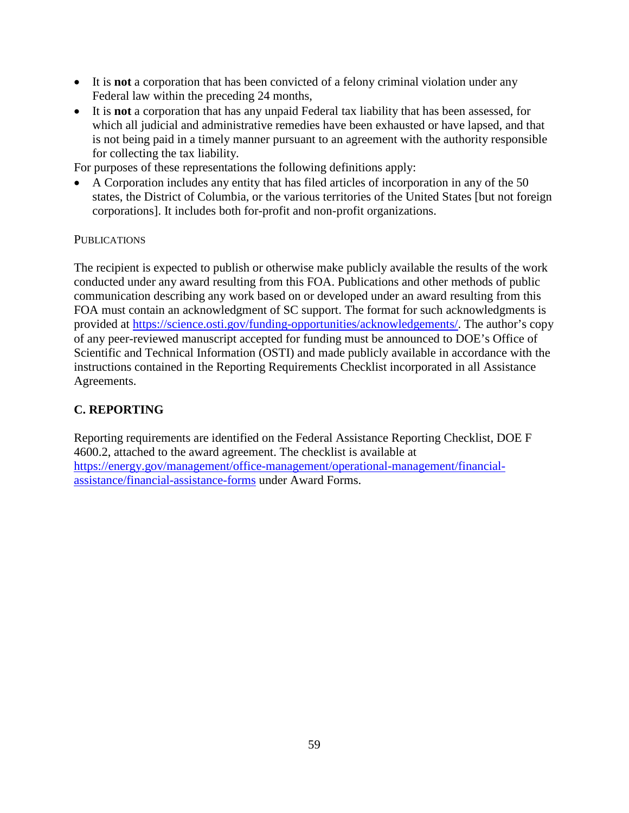- It is **not** a corporation that has been convicted of a felony criminal violation under any Federal law within the preceding 24 months,
- It is **not** a corporation that has any unpaid Federal tax liability that has been assessed, for which all judicial and administrative remedies have been exhausted or have lapsed, and that is not being paid in a timely manner pursuant to an agreement with the authority responsible for collecting the tax liability.

For purposes of these representations the following definitions apply:

• A Corporation includes any entity that has filed articles of incorporation in any of the 50 states, the District of Columbia, or the various territories of the United States [but not foreign corporations]. It includes both for-profit and non-profit organizations.

#### **PUBLICATIONS**

The recipient is expected to publish or otherwise make publicly available the results of the work conducted under any award resulting from this FOA. Publications and other methods of public communication describing any work based on or developed under an award resulting from this FOA must contain an acknowledgment of SC support. The format for such acknowledgments is provided at [https://science.osti.gov/funding-opportunities/acknowledgements/.](https://science.osti.gov/funding-opportunities/acknowledgements/) The author's copy of any peer-reviewed manuscript accepted for funding must be announced to DOE's Office of Scientific and Technical Information (OSTI) and made publicly available in accordance with the instructions contained in the Reporting Requirements Checklist incorporated in all Assistance Agreements.

# **C. REPORTING**

Reporting requirements are identified on the Federal Assistance Reporting Checklist, DOE F 4600.2, attached to the award agreement. The checklist is available at [https://energy.gov/management/office-management/operational-management/financial](https://energy.gov/management/office-management/operational-management/financial-assistance/financial-assistance-forms)[assistance/financial-assistance-forms](https://energy.gov/management/office-management/operational-management/financial-assistance/financial-assistance-forms) under Award Forms.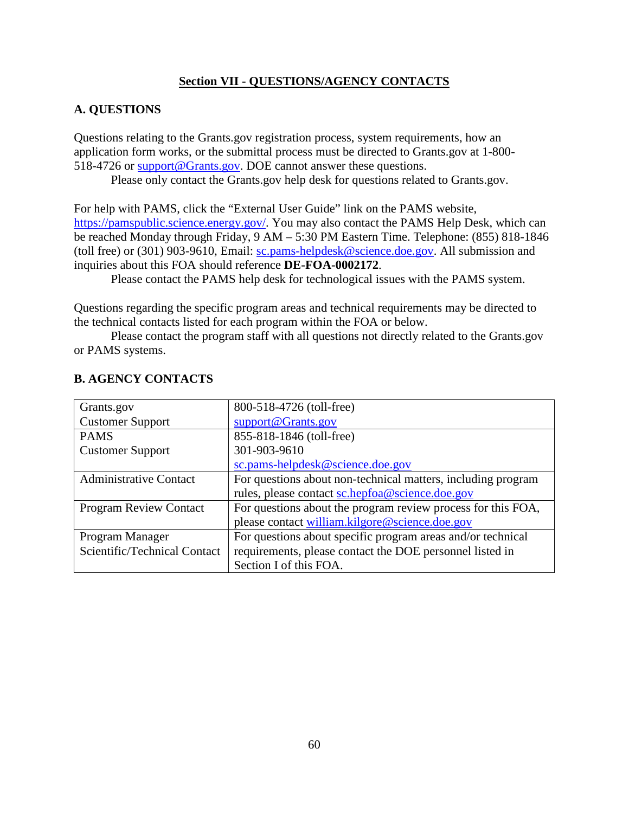## **Section VII - QUESTIONS/AGENCY CONTACTS**

#### **A. QUESTIONS**

Questions relating to the Grants.gov registration process, system requirements, how an application form works, or the submittal process must be directed to Grants.gov at 1-800- 518-4726 or [support@Grants.gov.](mailto:support@grants.gov) DOE cannot answer these questions.

Please only contact the Grants.gov help desk for questions related to Grants.gov.

For help with PAMS, click the "External User Guide" link on the PAMS website, [https://pamspublic.science.energy.gov/.](https://pamspublic.science.energy.gov/) You may also contact the PAMS Help Desk, which can be reached Monday through Friday, 9 AM – 5:30 PM Eastern Time. Telephone: (855) 818-1846 (toll free) or (301) 903-9610, Email: [sc.pams-helpdesk@science.doe.gov.](mailto:sc.pams-helpdesk@science.doe.gov) All submission and inquiries about this FOA should reference **DE-FOA-0002172**.

Please contact the PAMS help desk for technological issues with the PAMS system.

Questions regarding the specific program areas and technical requirements may be directed to the technical contacts listed for each program within the FOA or below.

Please contact the program staff with all questions not directly related to the Grants.gov or PAMS systems.

| Grants.gov                    | 800-518-4726 (toll-free)                                     |
|-------------------------------|--------------------------------------------------------------|
| <b>Customer Support</b>       | support@Grants.gov                                           |
| <b>PAMS</b>                   | 855-818-1846 (toll-free)                                     |
| <b>Customer Support</b>       | 301-903-9610                                                 |
|                               | sc.pams-helpdesk@science.doe.gov                             |
| <b>Administrative Contact</b> | For questions about non-technical matters, including program |
|                               | rules, please contact sc.hepfoa@science.doe.gov              |
| <b>Program Review Contact</b> | For questions about the program review process for this FOA, |
|                               | please contact william.kilgore@science.doe.gov               |
| Program Manager               | For questions about specific program areas and/or technical  |
| Scientific/Technical Contact  | requirements, please contact the DOE personnel listed in     |
|                               | Section I of this FOA.                                       |

# **B. AGENCY CONTACTS**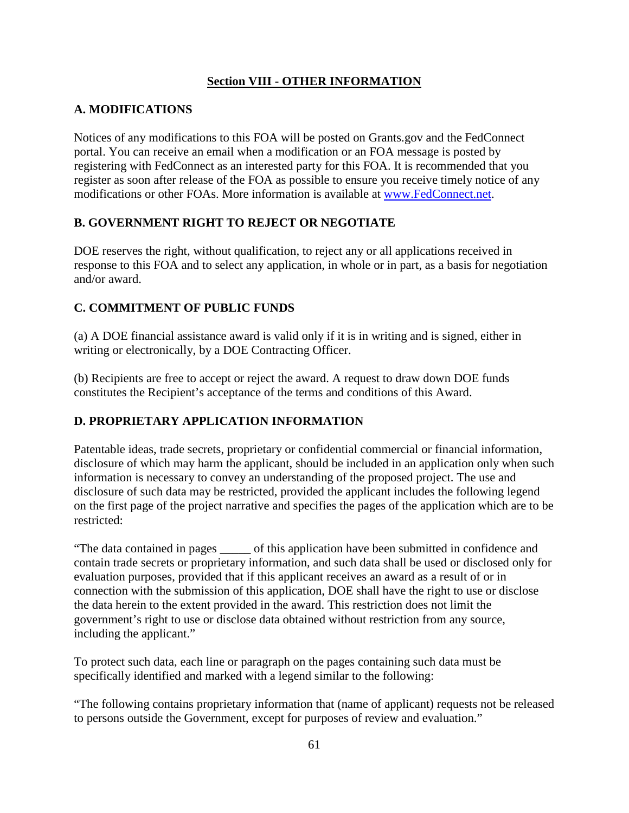# **Section VIII - OTHER INFORMATION**

# **A. MODIFICATIONS**

Notices of any modifications to this FOA will be posted on Grants.gov and the FedConnect portal. You can receive an email when a modification or an FOA message is posted by registering with FedConnect as an interested party for this FOA. It is recommended that you register as soon after release of the FOA as possible to ensure you receive timely notice of any modifications or other FOAs. More information is available at [www.FedConnect.net.](https://www.fedconnect.net/)

# **B. GOVERNMENT RIGHT TO REJECT OR NEGOTIATE**

DOE reserves the right, without qualification, to reject any or all applications received in response to this FOA and to select any application, in whole or in part, as a basis for negotiation and/or award.

# **C. COMMITMENT OF PUBLIC FUNDS**

(a) A DOE financial assistance award is valid only if it is in writing and is signed, either in writing or electronically, by a DOE Contracting Officer.

(b) Recipients are free to accept or reject the award. A request to draw down DOE funds constitutes the Recipient's acceptance of the terms and conditions of this Award.

# **D. PROPRIETARY APPLICATION INFORMATION**

Patentable ideas, trade secrets, proprietary or confidential commercial or financial information, disclosure of which may harm the applicant, should be included in an application only when such information is necessary to convey an understanding of the proposed project. The use and disclosure of such data may be restricted, provided the applicant includes the following legend on the first page of the project narrative and specifies the pages of the application which are to be restricted:

"The data contained in pages \_\_\_\_\_ of this application have been submitted in confidence and contain trade secrets or proprietary information, and such data shall be used or disclosed only for evaluation purposes, provided that if this applicant receives an award as a result of or in connection with the submission of this application, DOE shall have the right to use or disclose the data herein to the extent provided in the award. This restriction does not limit the government's right to use or disclose data obtained without restriction from any source, including the applicant."

To protect such data, each line or paragraph on the pages containing such data must be specifically identified and marked with a legend similar to the following:

"The following contains proprietary information that (name of applicant) requests not be released to persons outside the Government, except for purposes of review and evaluation."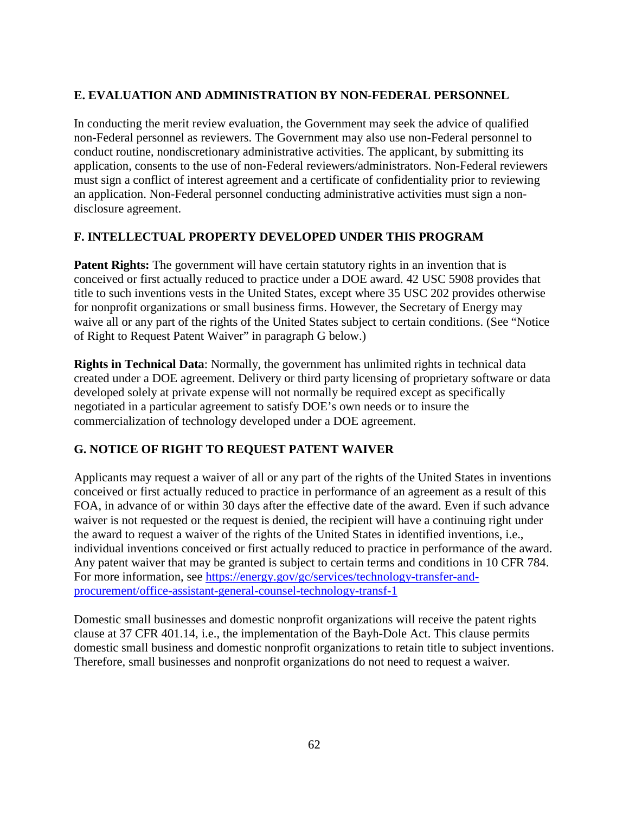# **E. EVALUATION AND ADMINISTRATION BY NON-FEDERAL PERSONNEL**

In conducting the merit review evaluation, the Government may seek the advice of qualified non-Federal personnel as reviewers. The Government may also use non-Federal personnel to conduct routine, nondiscretionary administrative activities. The applicant, by submitting its application, consents to the use of non-Federal reviewers/administrators. Non-Federal reviewers must sign a conflict of interest agreement and a certificate of confidentiality prior to reviewing an application. Non-Federal personnel conducting administrative activities must sign a nondisclosure agreement.

# **F. INTELLECTUAL PROPERTY DEVELOPED UNDER THIS PROGRAM**

**Patent Rights:** The government will have certain statutory rights in an invention that is conceived or first actually reduced to practice under a DOE award. 42 USC 5908 provides that title to such inventions vests in the United States, except where 35 USC 202 provides otherwise for nonprofit organizations or small business firms. However, the Secretary of Energy may waive all or any part of the rights of the United States subject to certain conditions. (See "Notice of Right to Request Patent Waiver" in paragraph G below.)

**Rights in Technical Data**: Normally, the government has unlimited rights in technical data created under a DOE agreement. Delivery or third party licensing of proprietary software or data developed solely at private expense will not normally be required except as specifically negotiated in a particular agreement to satisfy DOE's own needs or to insure the commercialization of technology developed under a DOE agreement.

# **G. NOTICE OF RIGHT TO REQUEST PATENT WAIVER**

Applicants may request a waiver of all or any part of the rights of the United States in inventions conceived or first actually reduced to practice in performance of an agreement as a result of this FOA, in advance of or within 30 days after the effective date of the award. Even if such advance waiver is not requested or the request is denied, the recipient will have a continuing right under the award to request a waiver of the rights of the United States in identified inventions, i.e., individual inventions conceived or first actually reduced to practice in performance of the award. Any patent waiver that may be granted is subject to certain terms and conditions in 10 CFR 784. For more information, see [https://energy.gov/gc/services/technology-transfer-and](https://energy.gov/gc/services/technology-transfer-and-procurement/office-assistant-general-counsel-technology-transf-1)[procurement/office-assistant-general-counsel-technology-transf-1](https://energy.gov/gc/services/technology-transfer-and-procurement/office-assistant-general-counsel-technology-transf-1)

Domestic small businesses and domestic nonprofit organizations will receive the patent rights clause at 37 CFR 401.14, i.e., the implementation of the Bayh-Dole Act. This clause permits domestic small business and domestic nonprofit organizations to retain title to subject inventions. Therefore, small businesses and nonprofit organizations do not need to request a waiver.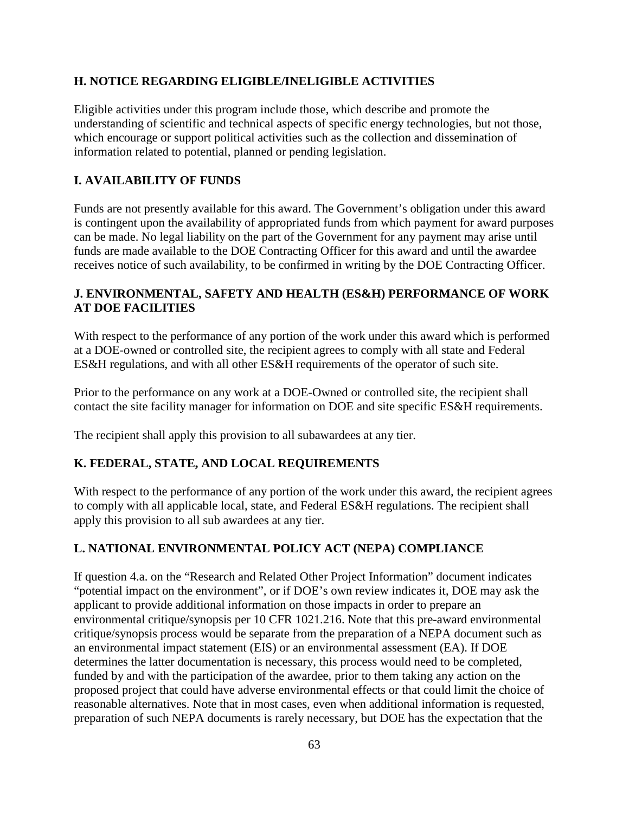### **H. NOTICE REGARDING ELIGIBLE/INELIGIBLE ACTIVITIES**

Eligible activities under this program include those, which describe and promote the understanding of scientific and technical aspects of specific energy technologies, but not those, which encourage or support political activities such as the collection and dissemination of information related to potential, planned or pending legislation.

# **I. AVAILABILITY OF FUNDS**

Funds are not presently available for this award. The Government's obligation under this award is contingent upon the availability of appropriated funds from which payment for award purposes can be made. No legal liability on the part of the Government for any payment may arise until funds are made available to the DOE Contracting Officer for this award and until the awardee receives notice of such availability, to be confirmed in writing by the DOE Contracting Officer.

## **J. ENVIRONMENTAL, SAFETY AND HEALTH (ES&H) PERFORMANCE OF WORK AT DOE FACILITIES**

With respect to the performance of any portion of the work under this award which is performed at a DOE-owned or controlled site, the recipient agrees to comply with all state and Federal ES&H regulations, and with all other ES&H requirements of the operator of such site.

Prior to the performance on any work at a DOE-Owned or controlled site, the recipient shall contact the site facility manager for information on DOE and site specific ES&H requirements.

The recipient shall apply this provision to all subawardees at any tier.

#### **K. FEDERAL, STATE, AND LOCAL REQUIREMENTS**

With respect to the performance of any portion of the work under this award, the recipient agrees to comply with all applicable local, state, and Federal ES&H regulations. The recipient shall apply this provision to all sub awardees at any tier.

#### **L. NATIONAL ENVIRONMENTAL POLICY ACT (NEPA) COMPLIANCE**

If question 4.a. on the "Research and Related Other Project Information" document indicates "potential impact on the environment", or if DOE's own review indicates it, DOE may ask the applicant to provide additional information on those impacts in order to prepare an environmental critique/synopsis per 10 CFR 1021.216. Note that this pre-award environmental critique/synopsis process would be separate from the preparation of a NEPA document such as an environmental impact statement (EIS) or an environmental assessment (EA). If DOE determines the latter documentation is necessary, this process would need to be completed, funded by and with the participation of the awardee, prior to them taking any action on the proposed project that could have adverse environmental effects or that could limit the choice of reasonable alternatives. Note that in most cases, even when additional information is requested, preparation of such NEPA documents is rarely necessary, but DOE has the expectation that the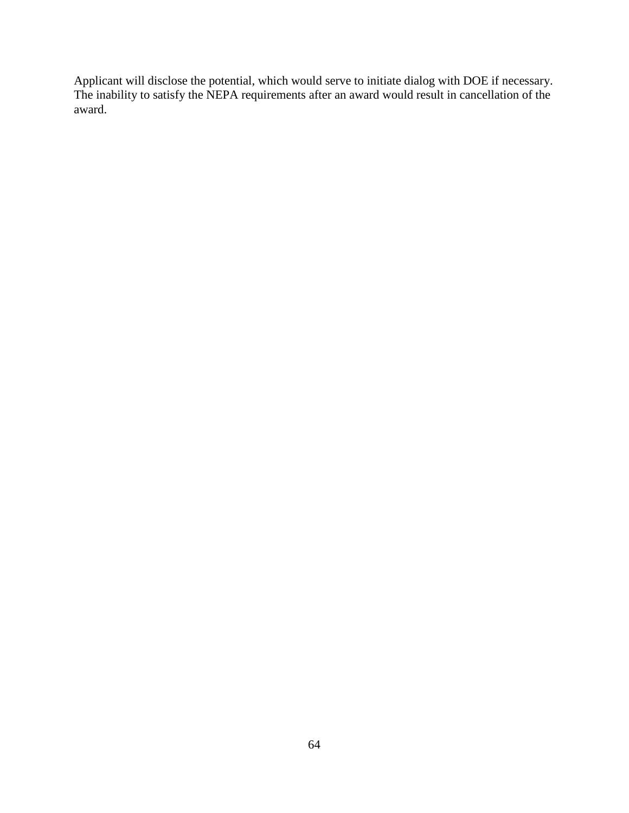Applicant will disclose the potential, which would serve to initiate dialog with DOE if necessary. The inability to satisfy the NEPA requirements after an award would result in cancellation of the award.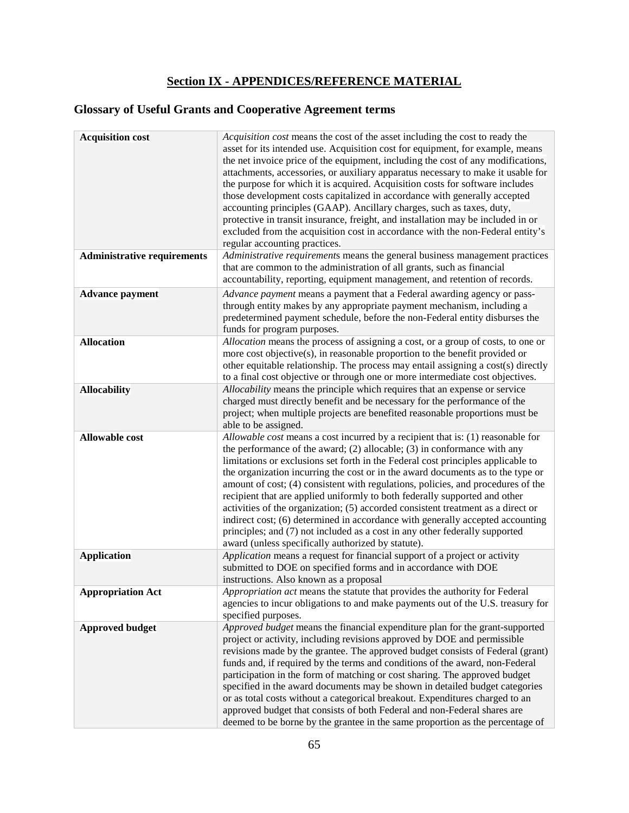# **Section IX - APPENDICES/REFERENCE MATERIAL**

# **Glossary of Useful Grants and Cooperative Agreement terms**

| <b>Acquisition cost</b>            | Acquisition cost means the cost of the asset including the cost to ready the<br>asset for its intended use. Acquisition cost for equipment, for example, means<br>the net invoice price of the equipment, including the cost of any modifications,<br>attachments, accessories, or auxiliary apparatus necessary to make it usable for<br>the purpose for which it is acquired. Acquisition costs for software includes<br>those development costs capitalized in accordance with generally accepted<br>accounting principles (GAAP). Ancillary charges, such as taxes, duty,<br>protective in transit insurance, freight, and installation may be included in or<br>excluded from the acquisition cost in accordance with the non-Federal entity's<br>regular accounting practices.                                |
|------------------------------------|---------------------------------------------------------------------------------------------------------------------------------------------------------------------------------------------------------------------------------------------------------------------------------------------------------------------------------------------------------------------------------------------------------------------------------------------------------------------------------------------------------------------------------------------------------------------------------------------------------------------------------------------------------------------------------------------------------------------------------------------------------------------------------------------------------------------|
| <b>Administrative requirements</b> | Administrative requirements means the general business management practices<br>that are common to the administration of all grants, such as financial<br>accountability, reporting, equipment management, and retention of records.                                                                                                                                                                                                                                                                                                                                                                                                                                                                                                                                                                                 |
| <b>Advance payment</b>             | Advance payment means a payment that a Federal awarding agency or pass-<br>through entity makes by any appropriate payment mechanism, including a<br>predetermined payment schedule, before the non-Federal entity disburses the<br>funds for program purposes.                                                                                                                                                                                                                                                                                                                                                                                                                                                                                                                                                     |
| <b>Allocation</b>                  | Allocation means the process of assigning a cost, or a group of costs, to one or<br>more cost objective(s), in reasonable proportion to the benefit provided or<br>other equitable relationship. The process may entail assigning a cost(s) directly<br>to a final cost objective or through one or more intermediate cost objectives.                                                                                                                                                                                                                                                                                                                                                                                                                                                                              |
| <b>Allocability</b>                | Allocability means the principle which requires that an expense or service<br>charged must directly benefit and be necessary for the performance of the<br>project; when multiple projects are benefited reasonable proportions must be<br>able to be assigned.                                                                                                                                                                                                                                                                                                                                                                                                                                                                                                                                                     |
| <b>Allowable cost</b>              | Allowable cost means a cost incurred by a recipient that is: (1) reasonable for<br>the performance of the award; $(2)$ allocable; $(3)$ in conformance with any<br>limitations or exclusions set forth in the Federal cost principles applicable to<br>the organization incurring the cost or in the award documents as to the type or<br>amount of cost; (4) consistent with regulations, policies, and procedures of the<br>recipient that are applied uniformly to both federally supported and other<br>activities of the organization; (5) accorded consistent treatment as a direct or<br>indirect cost; (6) determined in accordance with generally accepted accounting<br>principles; and (7) not included as a cost in any other federally supported<br>award (unless specifically authorized by statute). |
| <b>Application</b>                 | Application means a request for financial support of a project or activity<br>submitted to DOE on specified forms and in accordance with DOE<br>instructions. Also known as a proposal                                                                                                                                                                                                                                                                                                                                                                                                                                                                                                                                                                                                                              |
| <b>Appropriation Act</b>           | Appropriation act means the statute that provides the authority for Federal<br>agencies to incur obligations to and make payments out of the U.S. treasury for<br>specified purposes.                                                                                                                                                                                                                                                                                                                                                                                                                                                                                                                                                                                                                               |
| <b>Approved budget</b>             | Approved budget means the financial expenditure plan for the grant-supported<br>project or activity, including revisions approved by DOE and permissible<br>revisions made by the grantee. The approved budget consists of Federal (grant)<br>funds and, if required by the terms and conditions of the award, non-Federal<br>participation in the form of matching or cost sharing. The approved budget<br>specified in the award documents may be shown in detailed budget categories<br>or as total costs without a categorical breakout. Expenditures charged to an<br>approved budget that consists of both Federal and non-Federal shares are<br>deemed to be borne by the grantee in the same proportion as the percentage of                                                                                |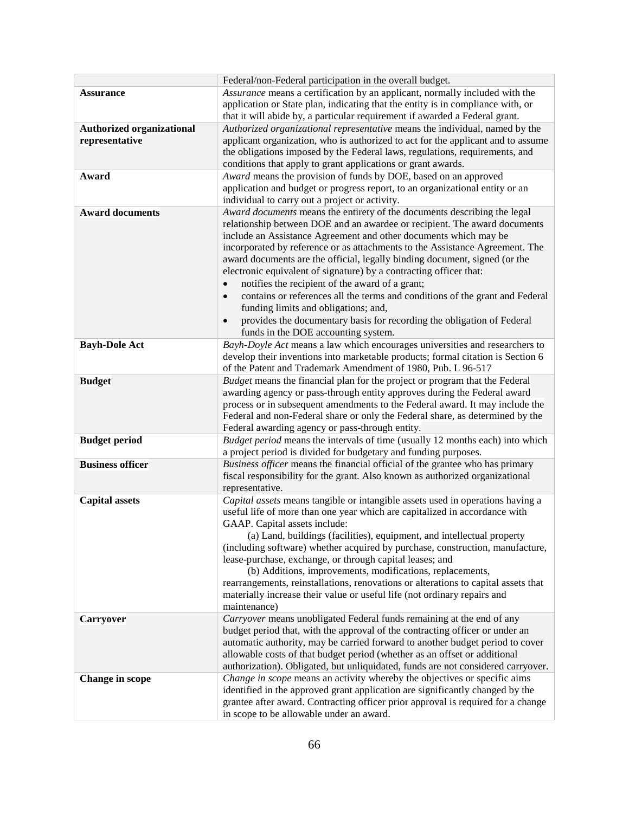| Assurance means a certification by an applicant, normally included with the<br><b>Assurance</b><br>application or State plan, indicating that the entity is in compliance with, or<br>that it will abide by, a particular requirement if awarded a Federal grant.<br><b>Authorized organizational</b><br>Authorized organizational representative means the individual, named by the<br>applicant organization, who is authorized to act for the applicant and to assume<br>representative<br>the obligations imposed by the Federal laws, regulations, requirements, and<br>conditions that apply to grant applications or grant awards.<br>Award means the provision of funds by DOE, based on an approved<br>Award<br>application and budget or progress report, to an organizational entity or an<br>individual to carry out a project or activity.<br><b>Award documents</b><br>Award documents means the entirety of the documents describing the legal<br>relationship between DOE and an awardee or recipient. The award documents<br>include an Assistance Agreement and other documents which may be<br>incorporated by reference or as attachments to the Assistance Agreement. The<br>award documents are the official, legally binding document, signed (or the<br>electronic equivalent of signature) by a contracting officer that:<br>notifies the recipient of the award of a grant;<br>$\bullet$<br>contains or references all the terms and conditions of the grant and Federal<br>$\bullet$<br>funding limits and obligations; and,<br>provides the documentary basis for recording the obligation of Federal<br>funds in the DOE accounting system.<br>Bayh-Doyle Act means a law which encourages universities and researchers to<br><b>Bayh-Dole Act</b><br>develop their inventions into marketable products; formal citation is Section 6<br>of the Patent and Trademark Amendment of 1980, Pub. L 96-517<br><b>Budget</b><br>Budget means the financial plan for the project or program that the Federal<br>awarding agency or pass-through entity approves during the Federal award<br>process or in subsequent amendments to the Federal award. It may include the<br>Federal and non-Federal share or only the Federal share, as determined by the<br>Federal awarding agency or pass-through entity.<br>Budget period means the intervals of time (usually 12 months each) into which<br><b>Budget period</b><br>a project period is divided for budgetary and funding purposes.<br><b>Business officer</b><br>Business officer means the financial official of the grantee who has primary<br>fiscal responsibility for the grant. Also known as authorized organizational<br>representative.<br>Capital assets means tangible or intangible assets used in operations having a<br><b>Capital assets</b><br>useful life of more than one year which are capitalized in accordance with<br>GAAP. Capital assets include:<br>(a) Land, buildings (facilities), equipment, and intellectual property<br>(including software) whether acquired by purchase, construction, manufacture,<br>lease-purchase, exchange, or through capital leases; and<br>(b) Additions, improvements, modifications, replacements,<br>rearrangements, reinstallations, renovations or alterations to capital assets that<br>materially increase their value or useful life (not ordinary repairs and<br>maintenance)<br>Carryover means unobligated Federal funds remaining at the end of any<br><b>Carryover</b><br>budget period that, with the approval of the contracting officer or under an<br>automatic authority, may be carried forward to another budget period to cover<br>allowable costs of that budget period (whether as an offset or additional<br>authorization). Obligated, but unliquidated, funds are not considered carryover.<br>Change in scope means an activity whereby the objectives or specific aims<br><b>Change in scope</b> | Federal/non-Federal participation in the overall budget.                      |
|--------------------------------------------------------------------------------------------------------------------------------------------------------------------------------------------------------------------------------------------------------------------------------------------------------------------------------------------------------------------------------------------------------------------------------------------------------------------------------------------------------------------------------------------------------------------------------------------------------------------------------------------------------------------------------------------------------------------------------------------------------------------------------------------------------------------------------------------------------------------------------------------------------------------------------------------------------------------------------------------------------------------------------------------------------------------------------------------------------------------------------------------------------------------------------------------------------------------------------------------------------------------------------------------------------------------------------------------------------------------------------------------------------------------------------------------------------------------------------------------------------------------------------------------------------------------------------------------------------------------------------------------------------------------------------------------------------------------------------------------------------------------------------------------------------------------------------------------------------------------------------------------------------------------------------------------------------------------------------------------------------------------------------------------------------------------------------------------------------------------------------------------------------------------------------------------------------------------------------------------------------------------------------------------------------------------------------------------------------------------------------------------------------------------------------------------------------------------------------------------------------------------------------------------------------------------------------------------------------------------------------------------------------------------------------------------------------------------------------------------------------------------------------------------------------------------------------------------------------------------------------------------------------------------------------------------------------------------------------------------------------------------------------------------------------------------------------------------------------------------------------------------------------------------------------------------------------------------------------------------------------------------------------------------------------------------------------------------------------------------------------------------------------------------------------------------------------------------------------------------------------------------------------------------------------------------------------------------------------------------------------------------------------------------------------------------------------------------------------------------------------------------------------------------------------------------------------------------------------------------------------------------------------------------------------------------------------------------|-------------------------------------------------------------------------------|
|                                                                                                                                                                                                                                                                                                                                                                                                                                                                                                                                                                                                                                                                                                                                                                                                                                                                                                                                                                                                                                                                                                                                                                                                                                                                                                                                                                                                                                                                                                                                                                                                                                                                                                                                                                                                                                                                                                                                                                                                                                                                                                                                                                                                                                                                                                                                                                                                                                                                                                                                                                                                                                                                                                                                                                                                                                                                                                                                                                                                                                                                                                                                                                                                                                                                                                                                                                                                                                                                                                                                                                                                                                                                                                                                                                                                                                                                                                                                                                    |                                                                               |
|                                                                                                                                                                                                                                                                                                                                                                                                                                                                                                                                                                                                                                                                                                                                                                                                                                                                                                                                                                                                                                                                                                                                                                                                                                                                                                                                                                                                                                                                                                                                                                                                                                                                                                                                                                                                                                                                                                                                                                                                                                                                                                                                                                                                                                                                                                                                                                                                                                                                                                                                                                                                                                                                                                                                                                                                                                                                                                                                                                                                                                                                                                                                                                                                                                                                                                                                                                                                                                                                                                                                                                                                                                                                                                                                                                                                                                                                                                                                                                    |                                                                               |
|                                                                                                                                                                                                                                                                                                                                                                                                                                                                                                                                                                                                                                                                                                                                                                                                                                                                                                                                                                                                                                                                                                                                                                                                                                                                                                                                                                                                                                                                                                                                                                                                                                                                                                                                                                                                                                                                                                                                                                                                                                                                                                                                                                                                                                                                                                                                                                                                                                                                                                                                                                                                                                                                                                                                                                                                                                                                                                                                                                                                                                                                                                                                                                                                                                                                                                                                                                                                                                                                                                                                                                                                                                                                                                                                                                                                                                                                                                                                                                    |                                                                               |
|                                                                                                                                                                                                                                                                                                                                                                                                                                                                                                                                                                                                                                                                                                                                                                                                                                                                                                                                                                                                                                                                                                                                                                                                                                                                                                                                                                                                                                                                                                                                                                                                                                                                                                                                                                                                                                                                                                                                                                                                                                                                                                                                                                                                                                                                                                                                                                                                                                                                                                                                                                                                                                                                                                                                                                                                                                                                                                                                                                                                                                                                                                                                                                                                                                                                                                                                                                                                                                                                                                                                                                                                                                                                                                                                                                                                                                                                                                                                                                    |                                                                               |
|                                                                                                                                                                                                                                                                                                                                                                                                                                                                                                                                                                                                                                                                                                                                                                                                                                                                                                                                                                                                                                                                                                                                                                                                                                                                                                                                                                                                                                                                                                                                                                                                                                                                                                                                                                                                                                                                                                                                                                                                                                                                                                                                                                                                                                                                                                                                                                                                                                                                                                                                                                                                                                                                                                                                                                                                                                                                                                                                                                                                                                                                                                                                                                                                                                                                                                                                                                                                                                                                                                                                                                                                                                                                                                                                                                                                                                                                                                                                                                    |                                                                               |
|                                                                                                                                                                                                                                                                                                                                                                                                                                                                                                                                                                                                                                                                                                                                                                                                                                                                                                                                                                                                                                                                                                                                                                                                                                                                                                                                                                                                                                                                                                                                                                                                                                                                                                                                                                                                                                                                                                                                                                                                                                                                                                                                                                                                                                                                                                                                                                                                                                                                                                                                                                                                                                                                                                                                                                                                                                                                                                                                                                                                                                                                                                                                                                                                                                                                                                                                                                                                                                                                                                                                                                                                                                                                                                                                                                                                                                                                                                                                                                    |                                                                               |
|                                                                                                                                                                                                                                                                                                                                                                                                                                                                                                                                                                                                                                                                                                                                                                                                                                                                                                                                                                                                                                                                                                                                                                                                                                                                                                                                                                                                                                                                                                                                                                                                                                                                                                                                                                                                                                                                                                                                                                                                                                                                                                                                                                                                                                                                                                                                                                                                                                                                                                                                                                                                                                                                                                                                                                                                                                                                                                                                                                                                                                                                                                                                                                                                                                                                                                                                                                                                                                                                                                                                                                                                                                                                                                                                                                                                                                                                                                                                                                    |                                                                               |
|                                                                                                                                                                                                                                                                                                                                                                                                                                                                                                                                                                                                                                                                                                                                                                                                                                                                                                                                                                                                                                                                                                                                                                                                                                                                                                                                                                                                                                                                                                                                                                                                                                                                                                                                                                                                                                                                                                                                                                                                                                                                                                                                                                                                                                                                                                                                                                                                                                                                                                                                                                                                                                                                                                                                                                                                                                                                                                                                                                                                                                                                                                                                                                                                                                                                                                                                                                                                                                                                                                                                                                                                                                                                                                                                                                                                                                                                                                                                                                    |                                                                               |
|                                                                                                                                                                                                                                                                                                                                                                                                                                                                                                                                                                                                                                                                                                                                                                                                                                                                                                                                                                                                                                                                                                                                                                                                                                                                                                                                                                                                                                                                                                                                                                                                                                                                                                                                                                                                                                                                                                                                                                                                                                                                                                                                                                                                                                                                                                                                                                                                                                                                                                                                                                                                                                                                                                                                                                                                                                                                                                                                                                                                                                                                                                                                                                                                                                                                                                                                                                                                                                                                                                                                                                                                                                                                                                                                                                                                                                                                                                                                                                    |                                                                               |
|                                                                                                                                                                                                                                                                                                                                                                                                                                                                                                                                                                                                                                                                                                                                                                                                                                                                                                                                                                                                                                                                                                                                                                                                                                                                                                                                                                                                                                                                                                                                                                                                                                                                                                                                                                                                                                                                                                                                                                                                                                                                                                                                                                                                                                                                                                                                                                                                                                                                                                                                                                                                                                                                                                                                                                                                                                                                                                                                                                                                                                                                                                                                                                                                                                                                                                                                                                                                                                                                                                                                                                                                                                                                                                                                                                                                                                                                                                                                                                    |                                                                               |
|                                                                                                                                                                                                                                                                                                                                                                                                                                                                                                                                                                                                                                                                                                                                                                                                                                                                                                                                                                                                                                                                                                                                                                                                                                                                                                                                                                                                                                                                                                                                                                                                                                                                                                                                                                                                                                                                                                                                                                                                                                                                                                                                                                                                                                                                                                                                                                                                                                                                                                                                                                                                                                                                                                                                                                                                                                                                                                                                                                                                                                                                                                                                                                                                                                                                                                                                                                                                                                                                                                                                                                                                                                                                                                                                                                                                                                                                                                                                                                    |                                                                               |
|                                                                                                                                                                                                                                                                                                                                                                                                                                                                                                                                                                                                                                                                                                                                                                                                                                                                                                                                                                                                                                                                                                                                                                                                                                                                                                                                                                                                                                                                                                                                                                                                                                                                                                                                                                                                                                                                                                                                                                                                                                                                                                                                                                                                                                                                                                                                                                                                                                                                                                                                                                                                                                                                                                                                                                                                                                                                                                                                                                                                                                                                                                                                                                                                                                                                                                                                                                                                                                                                                                                                                                                                                                                                                                                                                                                                                                                                                                                                                                    |                                                                               |
|                                                                                                                                                                                                                                                                                                                                                                                                                                                                                                                                                                                                                                                                                                                                                                                                                                                                                                                                                                                                                                                                                                                                                                                                                                                                                                                                                                                                                                                                                                                                                                                                                                                                                                                                                                                                                                                                                                                                                                                                                                                                                                                                                                                                                                                                                                                                                                                                                                                                                                                                                                                                                                                                                                                                                                                                                                                                                                                                                                                                                                                                                                                                                                                                                                                                                                                                                                                                                                                                                                                                                                                                                                                                                                                                                                                                                                                                                                                                                                    |                                                                               |
|                                                                                                                                                                                                                                                                                                                                                                                                                                                                                                                                                                                                                                                                                                                                                                                                                                                                                                                                                                                                                                                                                                                                                                                                                                                                                                                                                                                                                                                                                                                                                                                                                                                                                                                                                                                                                                                                                                                                                                                                                                                                                                                                                                                                                                                                                                                                                                                                                                                                                                                                                                                                                                                                                                                                                                                                                                                                                                                                                                                                                                                                                                                                                                                                                                                                                                                                                                                                                                                                                                                                                                                                                                                                                                                                                                                                                                                                                                                                                                    |                                                                               |
|                                                                                                                                                                                                                                                                                                                                                                                                                                                                                                                                                                                                                                                                                                                                                                                                                                                                                                                                                                                                                                                                                                                                                                                                                                                                                                                                                                                                                                                                                                                                                                                                                                                                                                                                                                                                                                                                                                                                                                                                                                                                                                                                                                                                                                                                                                                                                                                                                                                                                                                                                                                                                                                                                                                                                                                                                                                                                                                                                                                                                                                                                                                                                                                                                                                                                                                                                                                                                                                                                                                                                                                                                                                                                                                                                                                                                                                                                                                                                                    |                                                                               |
|                                                                                                                                                                                                                                                                                                                                                                                                                                                                                                                                                                                                                                                                                                                                                                                                                                                                                                                                                                                                                                                                                                                                                                                                                                                                                                                                                                                                                                                                                                                                                                                                                                                                                                                                                                                                                                                                                                                                                                                                                                                                                                                                                                                                                                                                                                                                                                                                                                                                                                                                                                                                                                                                                                                                                                                                                                                                                                                                                                                                                                                                                                                                                                                                                                                                                                                                                                                                                                                                                                                                                                                                                                                                                                                                                                                                                                                                                                                                                                    |                                                                               |
|                                                                                                                                                                                                                                                                                                                                                                                                                                                                                                                                                                                                                                                                                                                                                                                                                                                                                                                                                                                                                                                                                                                                                                                                                                                                                                                                                                                                                                                                                                                                                                                                                                                                                                                                                                                                                                                                                                                                                                                                                                                                                                                                                                                                                                                                                                                                                                                                                                                                                                                                                                                                                                                                                                                                                                                                                                                                                                                                                                                                                                                                                                                                                                                                                                                                                                                                                                                                                                                                                                                                                                                                                                                                                                                                                                                                                                                                                                                                                                    |                                                                               |
|                                                                                                                                                                                                                                                                                                                                                                                                                                                                                                                                                                                                                                                                                                                                                                                                                                                                                                                                                                                                                                                                                                                                                                                                                                                                                                                                                                                                                                                                                                                                                                                                                                                                                                                                                                                                                                                                                                                                                                                                                                                                                                                                                                                                                                                                                                                                                                                                                                                                                                                                                                                                                                                                                                                                                                                                                                                                                                                                                                                                                                                                                                                                                                                                                                                                                                                                                                                                                                                                                                                                                                                                                                                                                                                                                                                                                                                                                                                                                                    |                                                                               |
|                                                                                                                                                                                                                                                                                                                                                                                                                                                                                                                                                                                                                                                                                                                                                                                                                                                                                                                                                                                                                                                                                                                                                                                                                                                                                                                                                                                                                                                                                                                                                                                                                                                                                                                                                                                                                                                                                                                                                                                                                                                                                                                                                                                                                                                                                                                                                                                                                                                                                                                                                                                                                                                                                                                                                                                                                                                                                                                                                                                                                                                                                                                                                                                                                                                                                                                                                                                                                                                                                                                                                                                                                                                                                                                                                                                                                                                                                                                                                                    |                                                                               |
|                                                                                                                                                                                                                                                                                                                                                                                                                                                                                                                                                                                                                                                                                                                                                                                                                                                                                                                                                                                                                                                                                                                                                                                                                                                                                                                                                                                                                                                                                                                                                                                                                                                                                                                                                                                                                                                                                                                                                                                                                                                                                                                                                                                                                                                                                                                                                                                                                                                                                                                                                                                                                                                                                                                                                                                                                                                                                                                                                                                                                                                                                                                                                                                                                                                                                                                                                                                                                                                                                                                                                                                                                                                                                                                                                                                                                                                                                                                                                                    |                                                                               |
|                                                                                                                                                                                                                                                                                                                                                                                                                                                                                                                                                                                                                                                                                                                                                                                                                                                                                                                                                                                                                                                                                                                                                                                                                                                                                                                                                                                                                                                                                                                                                                                                                                                                                                                                                                                                                                                                                                                                                                                                                                                                                                                                                                                                                                                                                                                                                                                                                                                                                                                                                                                                                                                                                                                                                                                                                                                                                                                                                                                                                                                                                                                                                                                                                                                                                                                                                                                                                                                                                                                                                                                                                                                                                                                                                                                                                                                                                                                                                                    |                                                                               |
|                                                                                                                                                                                                                                                                                                                                                                                                                                                                                                                                                                                                                                                                                                                                                                                                                                                                                                                                                                                                                                                                                                                                                                                                                                                                                                                                                                                                                                                                                                                                                                                                                                                                                                                                                                                                                                                                                                                                                                                                                                                                                                                                                                                                                                                                                                                                                                                                                                                                                                                                                                                                                                                                                                                                                                                                                                                                                                                                                                                                                                                                                                                                                                                                                                                                                                                                                                                                                                                                                                                                                                                                                                                                                                                                                                                                                                                                                                                                                                    |                                                                               |
|                                                                                                                                                                                                                                                                                                                                                                                                                                                                                                                                                                                                                                                                                                                                                                                                                                                                                                                                                                                                                                                                                                                                                                                                                                                                                                                                                                                                                                                                                                                                                                                                                                                                                                                                                                                                                                                                                                                                                                                                                                                                                                                                                                                                                                                                                                                                                                                                                                                                                                                                                                                                                                                                                                                                                                                                                                                                                                                                                                                                                                                                                                                                                                                                                                                                                                                                                                                                                                                                                                                                                                                                                                                                                                                                                                                                                                                                                                                                                                    |                                                                               |
|                                                                                                                                                                                                                                                                                                                                                                                                                                                                                                                                                                                                                                                                                                                                                                                                                                                                                                                                                                                                                                                                                                                                                                                                                                                                                                                                                                                                                                                                                                                                                                                                                                                                                                                                                                                                                                                                                                                                                                                                                                                                                                                                                                                                                                                                                                                                                                                                                                                                                                                                                                                                                                                                                                                                                                                                                                                                                                                                                                                                                                                                                                                                                                                                                                                                                                                                                                                                                                                                                                                                                                                                                                                                                                                                                                                                                                                                                                                                                                    |                                                                               |
|                                                                                                                                                                                                                                                                                                                                                                                                                                                                                                                                                                                                                                                                                                                                                                                                                                                                                                                                                                                                                                                                                                                                                                                                                                                                                                                                                                                                                                                                                                                                                                                                                                                                                                                                                                                                                                                                                                                                                                                                                                                                                                                                                                                                                                                                                                                                                                                                                                                                                                                                                                                                                                                                                                                                                                                                                                                                                                                                                                                                                                                                                                                                                                                                                                                                                                                                                                                                                                                                                                                                                                                                                                                                                                                                                                                                                                                                                                                                                                    |                                                                               |
|                                                                                                                                                                                                                                                                                                                                                                                                                                                                                                                                                                                                                                                                                                                                                                                                                                                                                                                                                                                                                                                                                                                                                                                                                                                                                                                                                                                                                                                                                                                                                                                                                                                                                                                                                                                                                                                                                                                                                                                                                                                                                                                                                                                                                                                                                                                                                                                                                                                                                                                                                                                                                                                                                                                                                                                                                                                                                                                                                                                                                                                                                                                                                                                                                                                                                                                                                                                                                                                                                                                                                                                                                                                                                                                                                                                                                                                                                                                                                                    |                                                                               |
|                                                                                                                                                                                                                                                                                                                                                                                                                                                                                                                                                                                                                                                                                                                                                                                                                                                                                                                                                                                                                                                                                                                                                                                                                                                                                                                                                                                                                                                                                                                                                                                                                                                                                                                                                                                                                                                                                                                                                                                                                                                                                                                                                                                                                                                                                                                                                                                                                                                                                                                                                                                                                                                                                                                                                                                                                                                                                                                                                                                                                                                                                                                                                                                                                                                                                                                                                                                                                                                                                                                                                                                                                                                                                                                                                                                                                                                                                                                                                                    |                                                                               |
|                                                                                                                                                                                                                                                                                                                                                                                                                                                                                                                                                                                                                                                                                                                                                                                                                                                                                                                                                                                                                                                                                                                                                                                                                                                                                                                                                                                                                                                                                                                                                                                                                                                                                                                                                                                                                                                                                                                                                                                                                                                                                                                                                                                                                                                                                                                                                                                                                                                                                                                                                                                                                                                                                                                                                                                                                                                                                                                                                                                                                                                                                                                                                                                                                                                                                                                                                                                                                                                                                                                                                                                                                                                                                                                                                                                                                                                                                                                                                                    |                                                                               |
|                                                                                                                                                                                                                                                                                                                                                                                                                                                                                                                                                                                                                                                                                                                                                                                                                                                                                                                                                                                                                                                                                                                                                                                                                                                                                                                                                                                                                                                                                                                                                                                                                                                                                                                                                                                                                                                                                                                                                                                                                                                                                                                                                                                                                                                                                                                                                                                                                                                                                                                                                                                                                                                                                                                                                                                                                                                                                                                                                                                                                                                                                                                                                                                                                                                                                                                                                                                                                                                                                                                                                                                                                                                                                                                                                                                                                                                                                                                                                                    |                                                                               |
|                                                                                                                                                                                                                                                                                                                                                                                                                                                                                                                                                                                                                                                                                                                                                                                                                                                                                                                                                                                                                                                                                                                                                                                                                                                                                                                                                                                                                                                                                                                                                                                                                                                                                                                                                                                                                                                                                                                                                                                                                                                                                                                                                                                                                                                                                                                                                                                                                                                                                                                                                                                                                                                                                                                                                                                                                                                                                                                                                                                                                                                                                                                                                                                                                                                                                                                                                                                                                                                                                                                                                                                                                                                                                                                                                                                                                                                                                                                                                                    |                                                                               |
|                                                                                                                                                                                                                                                                                                                                                                                                                                                                                                                                                                                                                                                                                                                                                                                                                                                                                                                                                                                                                                                                                                                                                                                                                                                                                                                                                                                                                                                                                                                                                                                                                                                                                                                                                                                                                                                                                                                                                                                                                                                                                                                                                                                                                                                                                                                                                                                                                                                                                                                                                                                                                                                                                                                                                                                                                                                                                                                                                                                                                                                                                                                                                                                                                                                                                                                                                                                                                                                                                                                                                                                                                                                                                                                                                                                                                                                                                                                                                                    |                                                                               |
|                                                                                                                                                                                                                                                                                                                                                                                                                                                                                                                                                                                                                                                                                                                                                                                                                                                                                                                                                                                                                                                                                                                                                                                                                                                                                                                                                                                                                                                                                                                                                                                                                                                                                                                                                                                                                                                                                                                                                                                                                                                                                                                                                                                                                                                                                                                                                                                                                                                                                                                                                                                                                                                                                                                                                                                                                                                                                                                                                                                                                                                                                                                                                                                                                                                                                                                                                                                                                                                                                                                                                                                                                                                                                                                                                                                                                                                                                                                                                                    |                                                                               |
|                                                                                                                                                                                                                                                                                                                                                                                                                                                                                                                                                                                                                                                                                                                                                                                                                                                                                                                                                                                                                                                                                                                                                                                                                                                                                                                                                                                                                                                                                                                                                                                                                                                                                                                                                                                                                                                                                                                                                                                                                                                                                                                                                                                                                                                                                                                                                                                                                                                                                                                                                                                                                                                                                                                                                                                                                                                                                                                                                                                                                                                                                                                                                                                                                                                                                                                                                                                                                                                                                                                                                                                                                                                                                                                                                                                                                                                                                                                                                                    |                                                                               |
|                                                                                                                                                                                                                                                                                                                                                                                                                                                                                                                                                                                                                                                                                                                                                                                                                                                                                                                                                                                                                                                                                                                                                                                                                                                                                                                                                                                                                                                                                                                                                                                                                                                                                                                                                                                                                                                                                                                                                                                                                                                                                                                                                                                                                                                                                                                                                                                                                                                                                                                                                                                                                                                                                                                                                                                                                                                                                                                                                                                                                                                                                                                                                                                                                                                                                                                                                                                                                                                                                                                                                                                                                                                                                                                                                                                                                                                                                                                                                                    |                                                                               |
|                                                                                                                                                                                                                                                                                                                                                                                                                                                                                                                                                                                                                                                                                                                                                                                                                                                                                                                                                                                                                                                                                                                                                                                                                                                                                                                                                                                                                                                                                                                                                                                                                                                                                                                                                                                                                                                                                                                                                                                                                                                                                                                                                                                                                                                                                                                                                                                                                                                                                                                                                                                                                                                                                                                                                                                                                                                                                                                                                                                                                                                                                                                                                                                                                                                                                                                                                                                                                                                                                                                                                                                                                                                                                                                                                                                                                                                                                                                                                                    |                                                                               |
|                                                                                                                                                                                                                                                                                                                                                                                                                                                                                                                                                                                                                                                                                                                                                                                                                                                                                                                                                                                                                                                                                                                                                                                                                                                                                                                                                                                                                                                                                                                                                                                                                                                                                                                                                                                                                                                                                                                                                                                                                                                                                                                                                                                                                                                                                                                                                                                                                                                                                                                                                                                                                                                                                                                                                                                                                                                                                                                                                                                                                                                                                                                                                                                                                                                                                                                                                                                                                                                                                                                                                                                                                                                                                                                                                                                                                                                                                                                                                                    |                                                                               |
|                                                                                                                                                                                                                                                                                                                                                                                                                                                                                                                                                                                                                                                                                                                                                                                                                                                                                                                                                                                                                                                                                                                                                                                                                                                                                                                                                                                                                                                                                                                                                                                                                                                                                                                                                                                                                                                                                                                                                                                                                                                                                                                                                                                                                                                                                                                                                                                                                                                                                                                                                                                                                                                                                                                                                                                                                                                                                                                                                                                                                                                                                                                                                                                                                                                                                                                                                                                                                                                                                                                                                                                                                                                                                                                                                                                                                                                                                                                                                                    |                                                                               |
|                                                                                                                                                                                                                                                                                                                                                                                                                                                                                                                                                                                                                                                                                                                                                                                                                                                                                                                                                                                                                                                                                                                                                                                                                                                                                                                                                                                                                                                                                                                                                                                                                                                                                                                                                                                                                                                                                                                                                                                                                                                                                                                                                                                                                                                                                                                                                                                                                                                                                                                                                                                                                                                                                                                                                                                                                                                                                                                                                                                                                                                                                                                                                                                                                                                                                                                                                                                                                                                                                                                                                                                                                                                                                                                                                                                                                                                                                                                                                                    |                                                                               |
|                                                                                                                                                                                                                                                                                                                                                                                                                                                                                                                                                                                                                                                                                                                                                                                                                                                                                                                                                                                                                                                                                                                                                                                                                                                                                                                                                                                                                                                                                                                                                                                                                                                                                                                                                                                                                                                                                                                                                                                                                                                                                                                                                                                                                                                                                                                                                                                                                                                                                                                                                                                                                                                                                                                                                                                                                                                                                                                                                                                                                                                                                                                                                                                                                                                                                                                                                                                                                                                                                                                                                                                                                                                                                                                                                                                                                                                                                                                                                                    |                                                                               |
|                                                                                                                                                                                                                                                                                                                                                                                                                                                                                                                                                                                                                                                                                                                                                                                                                                                                                                                                                                                                                                                                                                                                                                                                                                                                                                                                                                                                                                                                                                                                                                                                                                                                                                                                                                                                                                                                                                                                                                                                                                                                                                                                                                                                                                                                                                                                                                                                                                                                                                                                                                                                                                                                                                                                                                                                                                                                                                                                                                                                                                                                                                                                                                                                                                                                                                                                                                                                                                                                                                                                                                                                                                                                                                                                                                                                                                                                                                                                                                    |                                                                               |
|                                                                                                                                                                                                                                                                                                                                                                                                                                                                                                                                                                                                                                                                                                                                                                                                                                                                                                                                                                                                                                                                                                                                                                                                                                                                                                                                                                                                                                                                                                                                                                                                                                                                                                                                                                                                                                                                                                                                                                                                                                                                                                                                                                                                                                                                                                                                                                                                                                                                                                                                                                                                                                                                                                                                                                                                                                                                                                                                                                                                                                                                                                                                                                                                                                                                                                                                                                                                                                                                                                                                                                                                                                                                                                                                                                                                                                                                                                                                                                    |                                                                               |
|                                                                                                                                                                                                                                                                                                                                                                                                                                                                                                                                                                                                                                                                                                                                                                                                                                                                                                                                                                                                                                                                                                                                                                                                                                                                                                                                                                                                                                                                                                                                                                                                                                                                                                                                                                                                                                                                                                                                                                                                                                                                                                                                                                                                                                                                                                                                                                                                                                                                                                                                                                                                                                                                                                                                                                                                                                                                                                                                                                                                                                                                                                                                                                                                                                                                                                                                                                                                                                                                                                                                                                                                                                                                                                                                                                                                                                                                                                                                                                    |                                                                               |
|                                                                                                                                                                                                                                                                                                                                                                                                                                                                                                                                                                                                                                                                                                                                                                                                                                                                                                                                                                                                                                                                                                                                                                                                                                                                                                                                                                                                                                                                                                                                                                                                                                                                                                                                                                                                                                                                                                                                                                                                                                                                                                                                                                                                                                                                                                                                                                                                                                                                                                                                                                                                                                                                                                                                                                                                                                                                                                                                                                                                                                                                                                                                                                                                                                                                                                                                                                                                                                                                                                                                                                                                                                                                                                                                                                                                                                                                                                                                                                    |                                                                               |
|                                                                                                                                                                                                                                                                                                                                                                                                                                                                                                                                                                                                                                                                                                                                                                                                                                                                                                                                                                                                                                                                                                                                                                                                                                                                                                                                                                                                                                                                                                                                                                                                                                                                                                                                                                                                                                                                                                                                                                                                                                                                                                                                                                                                                                                                                                                                                                                                                                                                                                                                                                                                                                                                                                                                                                                                                                                                                                                                                                                                                                                                                                                                                                                                                                                                                                                                                                                                                                                                                                                                                                                                                                                                                                                                                                                                                                                                                                                                                                    |                                                                               |
|                                                                                                                                                                                                                                                                                                                                                                                                                                                                                                                                                                                                                                                                                                                                                                                                                                                                                                                                                                                                                                                                                                                                                                                                                                                                                                                                                                                                                                                                                                                                                                                                                                                                                                                                                                                                                                                                                                                                                                                                                                                                                                                                                                                                                                                                                                                                                                                                                                                                                                                                                                                                                                                                                                                                                                                                                                                                                                                                                                                                                                                                                                                                                                                                                                                                                                                                                                                                                                                                                                                                                                                                                                                                                                                                                                                                                                                                                                                                                                    |                                                                               |
|                                                                                                                                                                                                                                                                                                                                                                                                                                                                                                                                                                                                                                                                                                                                                                                                                                                                                                                                                                                                                                                                                                                                                                                                                                                                                                                                                                                                                                                                                                                                                                                                                                                                                                                                                                                                                                                                                                                                                                                                                                                                                                                                                                                                                                                                                                                                                                                                                                                                                                                                                                                                                                                                                                                                                                                                                                                                                                                                                                                                                                                                                                                                                                                                                                                                                                                                                                                                                                                                                                                                                                                                                                                                                                                                                                                                                                                                                                                                                                    |                                                                               |
|                                                                                                                                                                                                                                                                                                                                                                                                                                                                                                                                                                                                                                                                                                                                                                                                                                                                                                                                                                                                                                                                                                                                                                                                                                                                                                                                                                                                                                                                                                                                                                                                                                                                                                                                                                                                                                                                                                                                                                                                                                                                                                                                                                                                                                                                                                                                                                                                                                                                                                                                                                                                                                                                                                                                                                                                                                                                                                                                                                                                                                                                                                                                                                                                                                                                                                                                                                                                                                                                                                                                                                                                                                                                                                                                                                                                                                                                                                                                                                    |                                                                               |
|                                                                                                                                                                                                                                                                                                                                                                                                                                                                                                                                                                                                                                                                                                                                                                                                                                                                                                                                                                                                                                                                                                                                                                                                                                                                                                                                                                                                                                                                                                                                                                                                                                                                                                                                                                                                                                                                                                                                                                                                                                                                                                                                                                                                                                                                                                                                                                                                                                                                                                                                                                                                                                                                                                                                                                                                                                                                                                                                                                                                                                                                                                                                                                                                                                                                                                                                                                                                                                                                                                                                                                                                                                                                                                                                                                                                                                                                                                                                                                    |                                                                               |
|                                                                                                                                                                                                                                                                                                                                                                                                                                                                                                                                                                                                                                                                                                                                                                                                                                                                                                                                                                                                                                                                                                                                                                                                                                                                                                                                                                                                                                                                                                                                                                                                                                                                                                                                                                                                                                                                                                                                                                                                                                                                                                                                                                                                                                                                                                                                                                                                                                                                                                                                                                                                                                                                                                                                                                                                                                                                                                                                                                                                                                                                                                                                                                                                                                                                                                                                                                                                                                                                                                                                                                                                                                                                                                                                                                                                                                                                                                                                                                    |                                                                               |
|                                                                                                                                                                                                                                                                                                                                                                                                                                                                                                                                                                                                                                                                                                                                                                                                                                                                                                                                                                                                                                                                                                                                                                                                                                                                                                                                                                                                                                                                                                                                                                                                                                                                                                                                                                                                                                                                                                                                                                                                                                                                                                                                                                                                                                                                                                                                                                                                                                                                                                                                                                                                                                                                                                                                                                                                                                                                                                                                                                                                                                                                                                                                                                                                                                                                                                                                                                                                                                                                                                                                                                                                                                                                                                                                                                                                                                                                                                                                                                    | identified in the approved grant application are significantly changed by the |
| grantee after award. Contracting officer prior approval is required for a change                                                                                                                                                                                                                                                                                                                                                                                                                                                                                                                                                                                                                                                                                                                                                                                                                                                                                                                                                                                                                                                                                                                                                                                                                                                                                                                                                                                                                                                                                                                                                                                                                                                                                                                                                                                                                                                                                                                                                                                                                                                                                                                                                                                                                                                                                                                                                                                                                                                                                                                                                                                                                                                                                                                                                                                                                                                                                                                                                                                                                                                                                                                                                                                                                                                                                                                                                                                                                                                                                                                                                                                                                                                                                                                                                                                                                                                                                   |                                                                               |
| in scope to be allowable under an award.                                                                                                                                                                                                                                                                                                                                                                                                                                                                                                                                                                                                                                                                                                                                                                                                                                                                                                                                                                                                                                                                                                                                                                                                                                                                                                                                                                                                                                                                                                                                                                                                                                                                                                                                                                                                                                                                                                                                                                                                                                                                                                                                                                                                                                                                                                                                                                                                                                                                                                                                                                                                                                                                                                                                                                                                                                                                                                                                                                                                                                                                                                                                                                                                                                                                                                                                                                                                                                                                                                                                                                                                                                                                                                                                                                                                                                                                                                                           |                                                                               |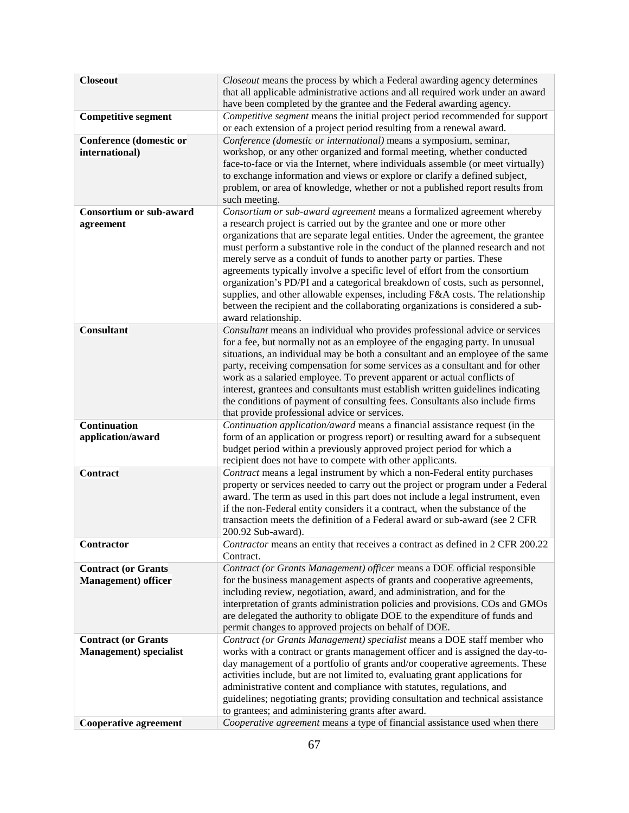| <b>Closeout</b>                                  | Closeout means the process by which a Federal awarding agency determines<br>that all applicable administrative actions and all required work under an award<br>have been completed by the grantee and the Federal awarding agency. |
|--------------------------------------------------|------------------------------------------------------------------------------------------------------------------------------------------------------------------------------------------------------------------------------------|
| <b>Competitive segment</b>                       | Competitive segment means the initial project period recommended for support                                                                                                                                                       |
|                                                  | or each extension of a project period resulting from a renewal award.                                                                                                                                                              |
| <b>Conference</b> (domestic or<br>international) | Conference (domestic or international) means a symposium, seminar,<br>workshop, or any other organized and formal meeting, whether conducted                                                                                       |
|                                                  | face-to-face or via the Internet, where individuals assemble (or meet virtually)                                                                                                                                                   |
|                                                  | to exchange information and views or explore or clarify a defined subject,                                                                                                                                                         |
|                                                  | problem, or area of knowledge, whether or not a published report results from                                                                                                                                                      |
|                                                  | such meeting.                                                                                                                                                                                                                      |
| <b>Consortium or sub-award</b>                   | Consortium or sub-award agreement means a formalized agreement whereby                                                                                                                                                             |
| agreement                                        | a research project is carried out by the grantee and one or more other                                                                                                                                                             |
|                                                  | organizations that are separate legal entities. Under the agreement, the grantee<br>must perform a substantive role in the conduct of the planned research and not                                                                 |
|                                                  | merely serve as a conduit of funds to another party or parties. These                                                                                                                                                              |
|                                                  | agreements typically involve a specific level of effort from the consortium                                                                                                                                                        |
|                                                  | organization's PD/PI and a categorical breakdown of costs, such as personnel,                                                                                                                                                      |
|                                                  | supplies, and other allowable expenses, including F&A costs. The relationship                                                                                                                                                      |
|                                                  | between the recipient and the collaborating organizations is considered a sub-                                                                                                                                                     |
|                                                  | award relationship.                                                                                                                                                                                                                |
| <b>Consultant</b>                                | Consultant means an individual who provides professional advice or services<br>for a fee, but normally not as an employee of the engaging party. In unusual                                                                        |
|                                                  | situations, an individual may be both a consultant and an employee of the same                                                                                                                                                     |
|                                                  | party, receiving compensation for some services as a consultant and for other                                                                                                                                                      |
|                                                  | work as a salaried employee. To prevent apparent or actual conflicts of                                                                                                                                                            |
|                                                  | interest, grantees and consultants must establish written guidelines indicating                                                                                                                                                    |
|                                                  | the conditions of payment of consulting fees. Consultants also include firms                                                                                                                                                       |
|                                                  | that provide professional advice or services.                                                                                                                                                                                      |
| Continuation<br>application/award                | Continuation application/award means a financial assistance request (in the<br>form of an application or progress report) or resulting award for a subsequent                                                                      |
|                                                  | budget period within a previously approved project period for which a                                                                                                                                                              |
|                                                  | recipient does not have to compete with other applicants.                                                                                                                                                                          |
| <b>Contract</b>                                  | Contract means a legal instrument by which a non-Federal entity purchases                                                                                                                                                          |
|                                                  | property or services needed to carry out the project or program under a Federal                                                                                                                                                    |
|                                                  | award. The term as used in this part does not include a legal instrument, even                                                                                                                                                     |
|                                                  | if the non-Federal entity considers it a contract, when the substance of the                                                                                                                                                       |
|                                                  | transaction meets the definition of a Federal award or sub-award (see 2 CFR<br>200.92 Sub-award).                                                                                                                                  |
| Contractor                                       | Contractor means an entity that receives a contract as defined in 2 CFR 200.22                                                                                                                                                     |
|                                                  | Contract.                                                                                                                                                                                                                          |
| <b>Contract (or Grants</b>                       | Contract (or Grants Management) officer means a DOE official responsible                                                                                                                                                           |
| <b>Management</b> ) officer                      | for the business management aspects of grants and cooperative agreements,                                                                                                                                                          |
|                                                  | including review, negotiation, award, and administration, and for the                                                                                                                                                              |
|                                                  | interpretation of grants administration policies and provisions. COs and GMOs<br>are delegated the authority to obligate DOE to the expenditure of funds and                                                                       |
|                                                  | permit changes to approved projects on behalf of DOE.                                                                                                                                                                              |
| <b>Contract (or Grants</b>                       | Contract (or Grants Management) specialist means a DOE staff member who                                                                                                                                                            |
| <b>Management</b> ) specialist                   | works with a contract or grants management officer and is assigned the day-to-                                                                                                                                                     |
|                                                  | day management of a portfolio of grants and/or cooperative agreements. These                                                                                                                                                       |
|                                                  | activities include, but are not limited to, evaluating grant applications for                                                                                                                                                      |
|                                                  | administrative content and compliance with statutes, regulations, and                                                                                                                                                              |
|                                                  | guidelines; negotiating grants; providing consultation and technical assistance                                                                                                                                                    |
| Cooperative agreement                            | to grantees; and administering grants after award.<br>Cooperative agreement means a type of financial assistance used when there                                                                                                   |
|                                                  |                                                                                                                                                                                                                                    |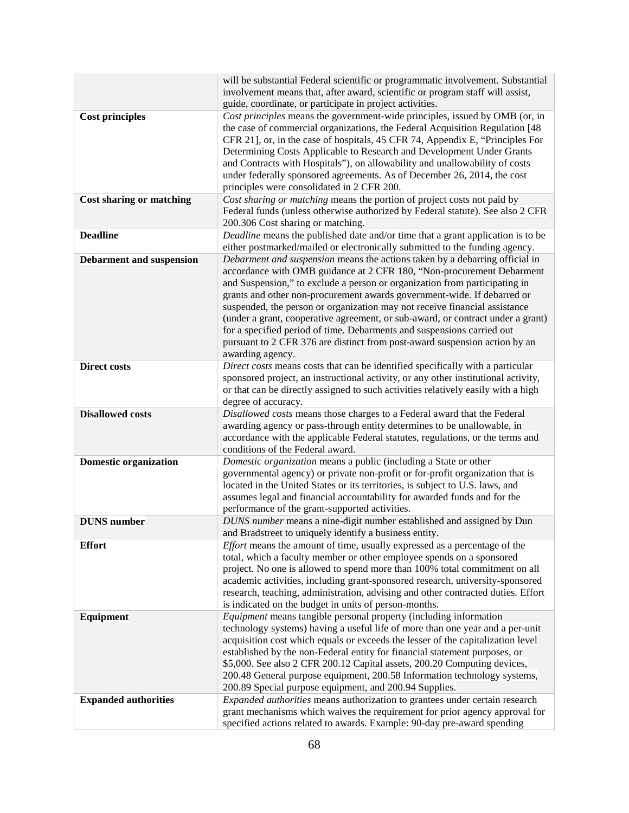|                                 | will be substantial Federal scientific or programmatic involvement. Substantial                                         |
|---------------------------------|-------------------------------------------------------------------------------------------------------------------------|
|                                 | involvement means that, after award, scientific or program staff will assist,                                           |
|                                 | guide, coordinate, or participate in project activities.                                                                |
| <b>Cost principles</b>          | Cost principles means the government-wide principles, issued by OMB (or, in                                             |
|                                 | the case of commercial organizations, the Federal Acquisition Regulation [48]                                           |
|                                 | CFR 21], or, in the case of hospitals, 45 CFR 74, Appendix E, "Principles For                                           |
|                                 | Determining Costs Applicable to Research and Development Under Grants                                                   |
|                                 | and Contracts with Hospitals"), on allowability and unallowability of costs                                             |
|                                 | under federally sponsored agreements. As of December 26, 2014, the cost                                                 |
|                                 | principles were consolidated in 2 CFR 200.                                                                              |
| <b>Cost sharing or matching</b> | Cost sharing or matching means the portion of project costs not paid by                                                 |
|                                 | Federal funds (unless otherwise authorized by Federal statute). See also 2 CFR<br>200.306 Cost sharing or matching.     |
| <b>Deadline</b>                 | Deadline means the published date and/or time that a grant application is to be                                         |
|                                 | either postmarked/mailed or electronically submitted to the funding agency.                                             |
| <b>Debarment and suspension</b> | Debarment and suspension means the actions taken by a debarring official in                                             |
|                                 | accordance with OMB guidance at 2 CFR 180, "Non-procurement Debarment                                                   |
|                                 | and Suspension," to exclude a person or organization from participating in                                              |
|                                 | grants and other non-procurement awards government-wide. If debarred or                                                 |
|                                 | suspended, the person or organization may not receive financial assistance                                              |
|                                 | (under a grant, cooperative agreement, or sub-award, or contract under a grant)                                         |
|                                 | for a specified period of time. Debarments and suspensions carried out                                                  |
|                                 | pursuant to 2 CFR 376 are distinct from post-award suspension action by an                                              |
|                                 | awarding agency.                                                                                                        |
| <b>Direct costs</b>             | Direct costs means costs that can be identified specifically with a particular                                          |
|                                 | sponsored project, an instructional activity, or any other institutional activity,                                      |
|                                 | or that can be directly assigned to such activities relatively easily with a high                                       |
|                                 | degree of accuracy.                                                                                                     |
| <b>Disallowed costs</b>         | Disallowed costs means those charges to a Federal award that the Federal                                                |
|                                 | awarding agency or pass-through entity determines to be unallowable, in                                                 |
|                                 | accordance with the applicable Federal statutes, regulations, or the terms and                                          |
|                                 | conditions of the Federal award.                                                                                        |
| <b>Domestic organization</b>    | Domestic organization means a public (including a State or other                                                        |
|                                 | governmental agency) or private non-profit or for-profit organization that is                                           |
|                                 | located in the United States or its territories, is subject to U.S. laws, and                                           |
|                                 | assumes legal and financial accountability for awarded funds and for the                                                |
| <b>DUNS</b> number              | performance of the grant-supported activities.<br>DUNS number means a nine-digit number established and assigned by Dun |
|                                 | and Bradstreet to uniquely identify a business entity.                                                                  |
| <b>Effort</b>                   | <i>Effort</i> means the amount of time, usually expressed as a percentage of the                                        |
|                                 | total, which a faculty member or other employee spends on a sponsored                                                   |
|                                 | project. No one is allowed to spend more than 100% total commitment on all                                              |
|                                 | academic activities, including grant-sponsored research, university-sponsored                                           |
|                                 | research, teaching, administration, advising and other contracted duties. Effort                                        |
|                                 | is indicated on the budget in units of person-months.                                                                   |
| Equipment                       | <i>Equipment</i> means tangible personal property (including information                                                |
|                                 | technology systems) having a useful life of more than one year and a per-unit                                           |
|                                 | acquisition cost which equals or exceeds the lesser of the capitalization level                                         |
|                                 | established by the non-Federal entity for financial statement purposes, or                                              |
|                                 | \$5,000. See also 2 CFR 200.12 Capital assets, 200.20 Computing devices,                                                |
|                                 | 200.48 General purpose equipment, 200.58 Information technology systems,                                                |
|                                 | 200.89 Special purpose equipment, and 200.94 Supplies.                                                                  |
| <b>Expanded authorities</b>     | Expanded authorities means authorization to grantees under certain research                                             |
|                                 | grant mechanisms which waives the requirement for prior agency approval for                                             |
|                                 | specified actions related to awards. Example: 90-day pre-award spending                                                 |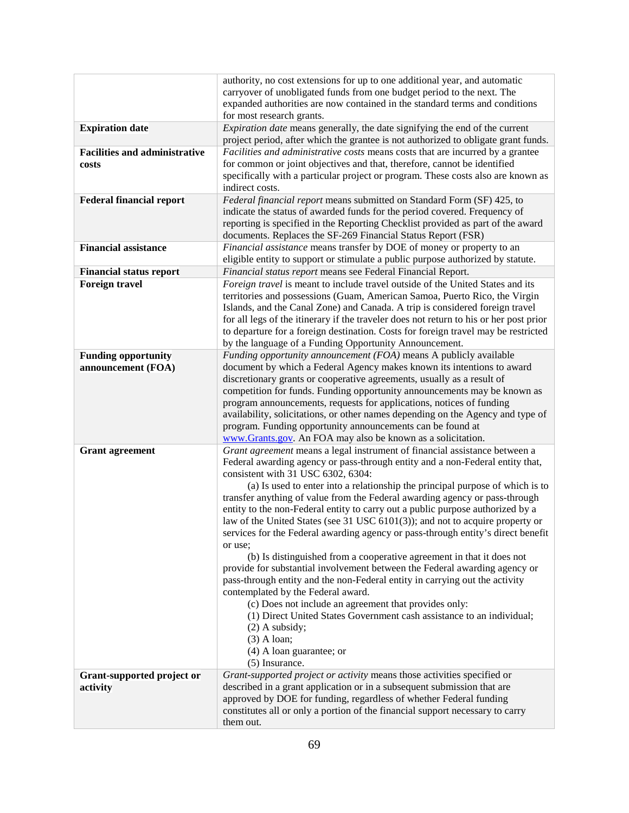|                                      | authority, no cost extensions for up to one additional year, and automatic                                                                                    |
|--------------------------------------|---------------------------------------------------------------------------------------------------------------------------------------------------------------|
|                                      | carryover of unobligated funds from one budget period to the next. The                                                                                        |
|                                      | expanded authorities are now contained in the standard terms and conditions                                                                                   |
|                                      | for most research grants.                                                                                                                                     |
| <b>Expiration date</b>               | <i>Expiration date</i> means generally, the date signifying the end of the current                                                                            |
|                                      | project period, after which the grantee is not authorized to obligate grant funds.                                                                            |
| <b>Facilities and administrative</b> | Facilities and administrative costs means costs that are incurred by a grantee                                                                                |
| costs                                | for common or joint objectives and that, therefore, cannot be identified                                                                                      |
|                                      | specifically with a particular project or program. These costs also are known as                                                                              |
|                                      | indirect costs.                                                                                                                                               |
| <b>Federal financial report</b>      | Federal financial report means submitted on Standard Form (SF) 425, to                                                                                        |
|                                      | indicate the status of awarded funds for the period covered. Frequency of                                                                                     |
|                                      | reporting is specified in the Reporting Checklist provided as part of the award                                                                               |
|                                      | documents. Replaces the SF-269 Financial Status Report (FSR)                                                                                                  |
| <b>Financial assistance</b>          | Financial assistance means transfer by DOE of money or property to an                                                                                         |
|                                      | eligible entity to support or stimulate a public purpose authorized by statute.                                                                               |
| <b>Financial status report</b>       | Financial status report means see Federal Financial Report.                                                                                                   |
| <b>Foreign travel</b>                | Foreign travel is meant to include travel outside of the United States and its                                                                                |
|                                      | territories and possessions (Guam, American Samoa, Puerto Rico, the Virgin                                                                                    |
|                                      | Islands, and the Canal Zone) and Canada. A trip is considered foreign travel                                                                                  |
|                                      | for all legs of the itinerary if the traveler does not return to his or her post prior                                                                        |
|                                      | to departure for a foreign destination. Costs for foreign travel may be restricted                                                                            |
|                                      | by the language of a Funding Opportunity Announcement.                                                                                                        |
| <b>Funding opportunity</b>           | Funding opportunity announcement (FOA) means A publicly available                                                                                             |
| announcement (FOA)                   | document by which a Federal Agency makes known its intentions to award                                                                                        |
|                                      | discretionary grants or cooperative agreements, usually as a result of                                                                                        |
|                                      | competition for funds. Funding opportunity announcements may be known as                                                                                      |
|                                      | program announcements, requests for applications, notices of funding                                                                                          |
|                                      | availability, solicitations, or other names depending on the Agency and type of                                                                               |
|                                      | program. Funding opportunity announcements can be found at                                                                                                    |
|                                      | www.Grants.gov. An FOA may also be known as a solicitation.                                                                                                   |
| <b>Grant agreement</b>               | Grant agreement means a legal instrument of financial assistance between a                                                                                    |
|                                      | Federal awarding agency or pass-through entity and a non-Federal entity that,                                                                                 |
|                                      | consistent with 31 USC 6302, 6304:                                                                                                                            |
|                                      | (a) Is used to enter into a relationship the principal purpose of which is to                                                                                 |
|                                      | transfer anything of value from the Federal awarding agency or pass-through<br>entity to the non-Federal entity to carry out a public purpose authorized by a |
|                                      | law of the United States (see 31 USC 6101(3)); and not to acquire property or                                                                                 |
|                                      | services for the Federal awarding agency or pass-through entity's direct benefit                                                                              |
|                                      | or use;                                                                                                                                                       |
|                                      | (b) Is distinguished from a cooperative agreement in that it does not                                                                                         |
|                                      | provide for substantial involvement between the Federal awarding agency or                                                                                    |
|                                      | pass-through entity and the non-Federal entity in carrying out the activity                                                                                   |
|                                      | contemplated by the Federal award.                                                                                                                            |
|                                      | (c) Does not include an agreement that provides only:                                                                                                         |
|                                      | (1) Direct United States Government cash assistance to an individual;                                                                                         |
|                                      | $(2)$ A subsidy;                                                                                                                                              |
|                                      | $(3)$ A loan;                                                                                                                                                 |
|                                      | $(4)$ A loan guarantee; or                                                                                                                                    |
|                                      | (5) Insurance.                                                                                                                                                |
| Grant-supported project or           | Grant-supported project or activity means those activities specified or                                                                                       |
| activity                             | described in a grant application or in a subsequent submission that are                                                                                       |
|                                      | approved by DOE for funding, regardless of whether Federal funding                                                                                            |
|                                      | constitutes all or only a portion of the financial support necessary to carry                                                                                 |
|                                      | them out.                                                                                                                                                     |
|                                      |                                                                                                                                                               |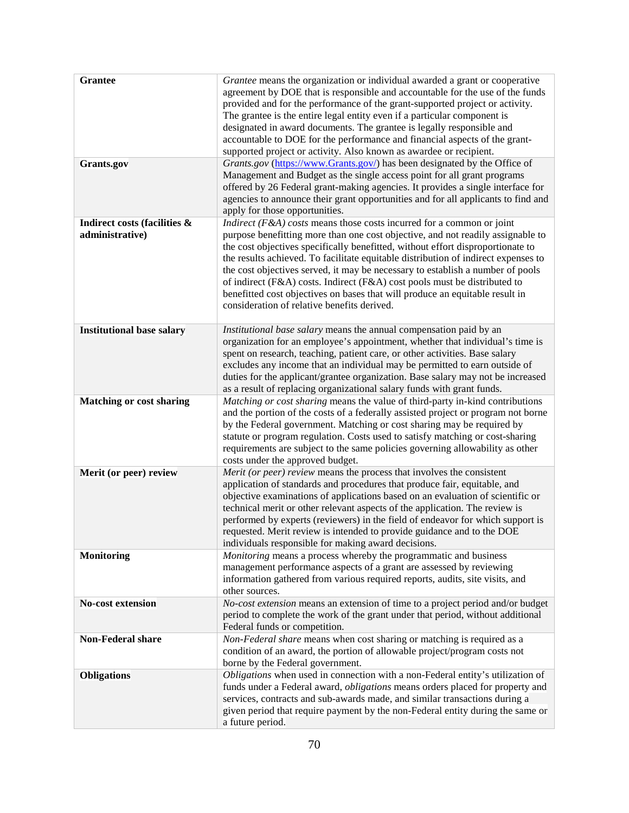| <b>Grantee</b><br><b>Grants.gov</b>             | Grantee means the organization or individual awarded a grant or cooperative<br>agreement by DOE that is responsible and accountable for the use of the funds<br>provided and for the performance of the grant-supported project or activity.<br>The grantee is the entire legal entity even if a particular component is<br>designated in award documents. The grantee is legally responsible and<br>accountable to DOE for the performance and financial aspects of the grant-<br>supported project or activity. Also known as awardee or recipient.<br>Grants.gov (https://www.Grants.gov/) has been designated by the Office of<br>Management and Budget as the single access point for all grant programs<br>offered by 26 Federal grant-making agencies. It provides a single interface for<br>agencies to announce their grant opportunities and for all applicants to find and<br>apply for those opportunities. |
|-------------------------------------------------|-------------------------------------------------------------------------------------------------------------------------------------------------------------------------------------------------------------------------------------------------------------------------------------------------------------------------------------------------------------------------------------------------------------------------------------------------------------------------------------------------------------------------------------------------------------------------------------------------------------------------------------------------------------------------------------------------------------------------------------------------------------------------------------------------------------------------------------------------------------------------------------------------------------------------|
| Indirect costs (facilities &<br>administrative) | <i>Indirect</i> ( $F\&A$ ) costs means those costs incurred for a common or joint<br>purpose benefitting more than one cost objective, and not readily assignable to<br>the cost objectives specifically benefitted, without effort disproportionate to<br>the results achieved. To facilitate equitable distribution of indirect expenses to<br>the cost objectives served, it may be necessary to establish a number of pools<br>of indirect (F&A) costs. Indirect (F&A) cost pools must be distributed to<br>benefitted cost objectives on bases that will produce an equitable result in<br>consideration of relative benefits derived.                                                                                                                                                                                                                                                                             |
| <b>Institutional base salary</b>                | Institutional base salary means the annual compensation paid by an<br>organization for an employee's appointment, whether that individual's time is<br>spent on research, teaching, patient care, or other activities. Base salary<br>excludes any income that an individual may be permitted to earn outside of<br>duties for the applicant/grantee organization. Base salary may not be increased<br>as a result of replacing organizational salary funds with grant funds.                                                                                                                                                                                                                                                                                                                                                                                                                                           |
| <b>Matching or cost sharing</b>                 | Matching or cost sharing means the value of third-party in-kind contributions<br>and the portion of the costs of a federally assisted project or program not borne<br>by the Federal government. Matching or cost sharing may be required by<br>statute or program regulation. Costs used to satisfy matching or cost-sharing<br>requirements are subject to the same policies governing allowability as other<br>costs under the approved budget.                                                                                                                                                                                                                                                                                                                                                                                                                                                                      |
| Merit (or peer) review                          | Merit (or peer) review means the process that involves the consistent<br>application of standards and procedures that produce fair, equitable, and<br>objective examinations of applications based on an evaluation of scientific or<br>technical merit or other relevant aspects of the application. The review is<br>performed by experts (reviewers) in the field of endeavor for which support is<br>requested. Merit review is intended to provide guidance and to the DOE<br>individuals responsible for making award decisions.                                                                                                                                                                                                                                                                                                                                                                                  |
| <b>Monitoring</b>                               | Monitoring means a process whereby the programmatic and business<br>management performance aspects of a grant are assessed by reviewing<br>information gathered from various required reports, audits, site visits, and<br>other sources.                                                                                                                                                                                                                                                                                                                                                                                                                                                                                                                                                                                                                                                                               |
| <b>No-cost extension</b>                        | No-cost extension means an extension of time to a project period and/or budget<br>period to complete the work of the grant under that period, without additional<br>Federal funds or competition.                                                                                                                                                                                                                                                                                                                                                                                                                                                                                                                                                                                                                                                                                                                       |
| Non-Federal share                               | Non-Federal share means when cost sharing or matching is required as a<br>condition of an award, the portion of allowable project/program costs not<br>borne by the Federal government.                                                                                                                                                                                                                                                                                                                                                                                                                                                                                                                                                                                                                                                                                                                                 |
| <b>Obligations</b>                              | Obligations when used in connection with a non-Federal entity's utilization of<br>funds under a Federal award, <i>obligations</i> means orders placed for property and<br>services, contracts and sub-awards made, and similar transactions during a<br>given period that require payment by the non-Federal entity during the same or<br>a future period.                                                                                                                                                                                                                                                                                                                                                                                                                                                                                                                                                              |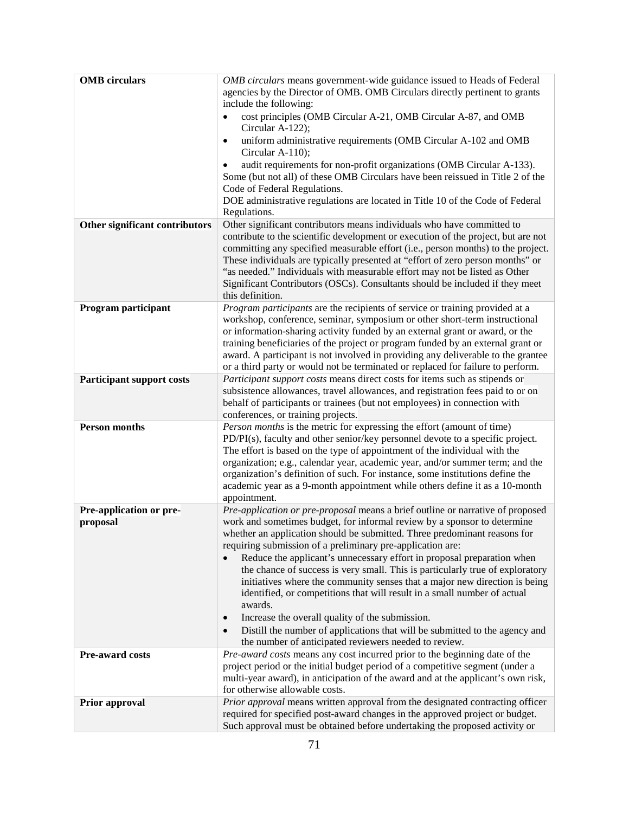| <b>OMB</b> circulars             | OMB circulars means government-wide guidance issued to Heads of Federal                                                                                       |
|----------------------------------|---------------------------------------------------------------------------------------------------------------------------------------------------------------|
|                                  | agencies by the Director of OMB. OMB Circulars directly pertinent to grants                                                                                   |
|                                  | include the following:                                                                                                                                        |
|                                  | cost principles (OMB Circular A-21, OMB Circular A-87, and OMB                                                                                                |
|                                  | Circular A-122);                                                                                                                                              |
|                                  | uniform administrative requirements (OMB Circular A-102 and OMB<br>$\bullet$<br>Circular A-110);                                                              |
|                                  | audit requirements for non-profit organizations (OMB Circular A-133).                                                                                         |
|                                  | Some (but not all) of these OMB Circulars have been reissued in Title 2 of the                                                                                |
|                                  | Code of Federal Regulations.                                                                                                                                  |
|                                  | DOE administrative regulations are located in Title 10 of the Code of Federal                                                                                 |
|                                  | Regulations.                                                                                                                                                  |
| Other significant contributors   | Other significant contributors means individuals who have committed to                                                                                        |
|                                  | contribute to the scientific development or execution of the project, but are not                                                                             |
|                                  | committing any specified measurable effort (i.e., person months) to the project.                                                                              |
|                                  | These individuals are typically presented at "effort of zero person months" or<br>"as needed." Individuals with measurable effort may not be listed as Other  |
|                                  | Significant Contributors (OSCs). Consultants should be included if they meet                                                                                  |
|                                  | this definition.                                                                                                                                              |
| Program participant              | Program participants are the recipients of service or training provided at a                                                                                  |
|                                  | workshop, conference, seminar, symposium or other short-term instructional                                                                                    |
|                                  | or information-sharing activity funded by an external grant or award, or the                                                                                  |
|                                  | training beneficiaries of the project or program funded by an external grant or                                                                               |
|                                  | award. A participant is not involved in providing any deliverable to the grantee                                                                              |
|                                  | or a third party or would not be terminated or replaced for failure to perform.<br>Participant support costs means direct costs for items such as stipends or |
| <b>Participant support costs</b> | subsistence allowances, travel allowances, and registration fees paid to or on                                                                                |
|                                  | behalf of participants or trainees (but not employees) in connection with                                                                                     |
|                                  | conferences, or training projects.                                                                                                                            |
| Person months                    | Person months is the metric for expressing the effort (amount of time)                                                                                        |
|                                  | PD/PI(s), faculty and other senior/key personnel devote to a specific project.                                                                                |
|                                  | The effort is based on the type of appointment of the individual with the                                                                                     |
|                                  | organization; e.g., calendar year, academic year, and/or summer term; and the                                                                                 |
|                                  | organization's definition of such. For instance, some institutions define the<br>academic year as a 9-month appointment while others define it as a 10-month  |
|                                  | appointment.                                                                                                                                                  |
| Pre-application or pre-          | Pre-application or pre-proposal means a brief outline or narrative of proposed                                                                                |
| proposal                         | work and sometimes budget, for informal review by a sponsor to determine                                                                                      |
|                                  | whether an application should be submitted. Three predominant reasons for                                                                                     |
|                                  | requiring submission of a preliminary pre-application are:                                                                                                    |
|                                  | Reduce the applicant's unnecessary effort in proposal preparation when                                                                                        |
|                                  | the chance of success is very small. This is particularly true of exploratory                                                                                 |
|                                  | initiatives where the community senses that a major new direction is being<br>identified, or competitions that will result in a small number of actual        |
|                                  | awards.                                                                                                                                                       |
|                                  | Increase the overall quality of the submission.<br>$\bullet$                                                                                                  |
|                                  | Distill the number of applications that will be submitted to the agency and<br>$\bullet$                                                                      |
|                                  | the number of anticipated reviewers needed to review.                                                                                                         |
| Pre-award costs                  | Pre-award costs means any cost incurred prior to the beginning date of the                                                                                    |
|                                  | project period or the initial budget period of a competitive segment (under a                                                                                 |
|                                  | multi-year award), in anticipation of the award and at the applicant's own risk,                                                                              |
|                                  | for otherwise allowable costs.                                                                                                                                |
| <b>Prior approval</b>            | Prior approval means written approval from the designated contracting officer<br>required for specified post-award changes in the approved project or budget. |
|                                  | Such approval must be obtained before undertaking the proposed activity or                                                                                    |
|                                  |                                                                                                                                                               |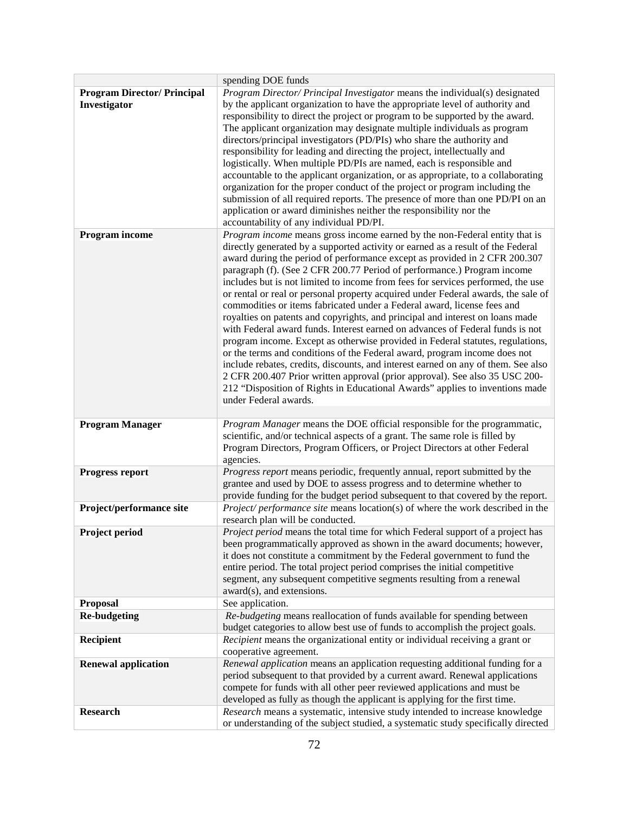|                                                    | spending DOE funds                                                                                                                                                                                                                                                                                                                                                                                                                                                                                                                                                                                                                                                                                                                                                                                                                                                                                                                                                                                                                                                                                                                                                                      |
|----------------------------------------------------|-----------------------------------------------------------------------------------------------------------------------------------------------------------------------------------------------------------------------------------------------------------------------------------------------------------------------------------------------------------------------------------------------------------------------------------------------------------------------------------------------------------------------------------------------------------------------------------------------------------------------------------------------------------------------------------------------------------------------------------------------------------------------------------------------------------------------------------------------------------------------------------------------------------------------------------------------------------------------------------------------------------------------------------------------------------------------------------------------------------------------------------------------------------------------------------------|
| <b>Program Director/ Principal</b><br>Investigator | Program Director/ Principal Investigator means the individual(s) designated<br>by the applicant organization to have the appropriate level of authority and<br>responsibility to direct the project or program to be supported by the award.<br>The applicant organization may designate multiple individuals as program<br>directors/principal investigators (PD/PIs) who share the authority and<br>responsibility for leading and directing the project, intellectually and<br>logistically. When multiple PD/PIs are named, each is responsible and<br>accountable to the applicant organization, or as appropriate, to a collaborating<br>organization for the proper conduct of the project or program including the<br>submission of all required reports. The presence of more than one PD/PI on an<br>application or award diminishes neither the responsibility nor the<br>accountability of any individual PD/PI.                                                                                                                                                                                                                                                            |
| Program income                                     | Program income means gross income earned by the non-Federal entity that is<br>directly generated by a supported activity or earned as a result of the Federal<br>award during the period of performance except as provided in 2 CFR 200.307<br>paragraph (f). (See 2 CFR 200.77 Period of performance.) Program income<br>includes but is not limited to income from fees for services performed, the use<br>or rental or real or personal property acquired under Federal awards, the sale of<br>commodities or items fabricated under a Federal award, license fees and<br>royalties on patents and copyrights, and principal and interest on loans made<br>with Federal award funds. Interest earned on advances of Federal funds is not<br>program income. Except as otherwise provided in Federal statutes, regulations,<br>or the terms and conditions of the Federal award, program income does not<br>include rebates, credits, discounts, and interest earned on any of them. See also<br>2 CFR 200.407 Prior written approval (prior approval). See also 35 USC 200-<br>212 "Disposition of Rights in Educational Awards" applies to inventions made<br>under Federal awards. |
| <b>Program Manager</b>                             | Program Manager means the DOE official responsible for the programmatic,<br>scientific, and/or technical aspects of a grant. The same role is filled by<br>Program Directors, Program Officers, or Project Directors at other Federal<br>agencies.                                                                                                                                                                                                                                                                                                                                                                                                                                                                                                                                                                                                                                                                                                                                                                                                                                                                                                                                      |
| Progress report                                    | Progress report means periodic, frequently annual, report submitted by the<br>grantee and used by DOE to assess progress and to determine whether to<br>provide funding for the budget period subsequent to that covered by the report.                                                                                                                                                                                                                                                                                                                                                                                                                                                                                                                                                                                                                                                                                                                                                                                                                                                                                                                                                 |
| Project/performance site                           | <i>Project/ performance site</i> means location(s) of where the work described in the<br>research plan will be conducted.                                                                                                                                                                                                                                                                                                                                                                                                                                                                                                                                                                                                                                                                                                                                                                                                                                                                                                                                                                                                                                                               |
| Project period                                     | Project period means the total time for which Federal support of a project has<br>been programmatically approved as shown in the award documents; however,<br>it does not constitute a commitment by the Federal government to fund the<br>entire period. The total project period comprises the initial competitive<br>segment, any subsequent competitive segments resulting from a renewal<br>award(s), and extensions.                                                                                                                                                                                                                                                                                                                                                                                                                                                                                                                                                                                                                                                                                                                                                              |
| <b>Proposal</b>                                    | See application.                                                                                                                                                                                                                                                                                                                                                                                                                                                                                                                                                                                                                                                                                                                                                                                                                                                                                                                                                                                                                                                                                                                                                                        |
| <b>Re-budgeting</b>                                | Re-budgeting means reallocation of funds available for spending between<br>budget categories to allow best use of funds to accomplish the project goals.                                                                                                                                                                                                                                                                                                                                                                                                                                                                                                                                                                                                                                                                                                                                                                                                                                                                                                                                                                                                                                |
| Recipient                                          | Recipient means the organizational entity or individual receiving a grant or<br>cooperative agreement.                                                                                                                                                                                                                                                                                                                                                                                                                                                                                                                                                                                                                                                                                                                                                                                                                                                                                                                                                                                                                                                                                  |
| <b>Renewal application</b>                         | Renewal application means an application requesting additional funding for a<br>period subsequent to that provided by a current award. Renewal applications<br>compete for funds with all other peer reviewed applications and must be<br>developed as fully as though the applicant is applying for the first time.                                                                                                                                                                                                                                                                                                                                                                                                                                                                                                                                                                                                                                                                                                                                                                                                                                                                    |
| <b>Research</b>                                    | Research means a systematic, intensive study intended to increase knowledge                                                                                                                                                                                                                                                                                                                                                                                                                                                                                                                                                                                                                                                                                                                                                                                                                                                                                                                                                                                                                                                                                                             |
|                                                    | or understanding of the subject studied, a systematic study specifically directed                                                                                                                                                                                                                                                                                                                                                                                                                                                                                                                                                                                                                                                                                                                                                                                                                                                                                                                                                                                                                                                                                                       |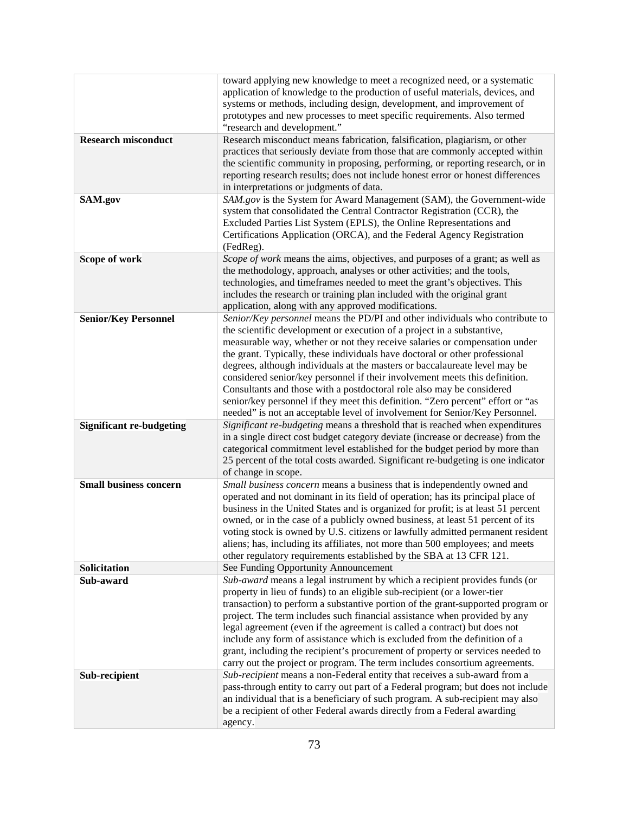|                                 | toward applying new knowledge to meet a recognized need, or a systematic          |
|---------------------------------|-----------------------------------------------------------------------------------|
|                                 | application of knowledge to the production of useful materials, devices, and      |
|                                 | systems or methods, including design, development, and improvement of             |
|                                 | prototypes and new processes to meet specific requirements. Also termed           |
|                                 | "research and development."                                                       |
| <b>Research misconduct</b>      | Research misconduct means fabrication, falsification, plagiarism, or other        |
|                                 | practices that seriously deviate from those that are commonly accepted within     |
|                                 | the scientific community in proposing, performing, or reporting research, or in   |
|                                 |                                                                                   |
|                                 | reporting research results; does not include honest error or honest differences   |
|                                 | in interpretations or judgments of data.                                          |
| SAM.gov                         | SAM.gov is the System for Award Management (SAM), the Government-wide             |
|                                 | system that consolidated the Central Contractor Registration (CCR), the           |
|                                 | Excluded Parties List System (EPLS), the Online Representations and               |
|                                 | Certifications Application (ORCA), and the Federal Agency Registration            |
|                                 | (FedReg).                                                                         |
| Scope of work                   | Scope of work means the aims, objectives, and purposes of a grant; as well as     |
|                                 | the methodology, approach, analyses or other activities; and the tools,           |
|                                 | technologies, and timeframes needed to meet the grant's objectives. This          |
|                                 | includes the research or training plan included with the original grant           |
|                                 | application, along with any approved modifications.                               |
| <b>Senior/Key Personnel</b>     | Senior/Key personnel means the PD/PI and other individuals who contribute to      |
|                                 | the scientific development or execution of a project in a substantive,            |
|                                 | measurable way, whether or not they receive salaries or compensation under        |
|                                 | the grant. Typically, these individuals have doctoral or other professional       |
|                                 | degrees, although individuals at the masters or baccalaureate level may be        |
|                                 | considered senior/key personnel if their involvement meets this definition.       |
|                                 | Consultants and those with a postdoctoral role also may be considered             |
|                                 | senior/key personnel if they meet this definition. "Zero percent" effort or "as   |
|                                 | needed" is not an acceptable level of involvement for Senior/Key Personnel.       |
| <b>Significant re-budgeting</b> | Significant re-budgeting means a threshold that is reached when expenditures      |
|                                 | in a single direct cost budget category deviate (increase or decrease) from the   |
|                                 | categorical commitment level established for the budget period by more than       |
|                                 | 25 percent of the total costs awarded. Significant re-budgeting is one indicator  |
|                                 | of change in scope.                                                               |
| <b>Small business concern</b>   | Small business concern means a business that is independently owned and           |
|                                 | operated and not dominant in its field of operation; has its principal place of   |
|                                 | business in the United States and is organized for profit; is at least 51 percent |
|                                 | owned, or in the case of a publicly owned business, at least 51 percent of its    |
|                                 | voting stock is owned by U.S. citizens or lawfully admitted permanent resident    |
|                                 | aliens; has, including its affiliates, not more than 500 employees; and meets     |
|                                 | other regulatory requirements established by the SBA at 13 CFR 121.               |
| Solicitation                    | See Funding Opportunity Announcement                                              |
| Sub-award                       | Sub-award means a legal instrument by which a recipient provides funds (or        |
|                                 | property in lieu of funds) to an eligible sub-recipient (or a lower-tier          |
|                                 | transaction) to perform a substantive portion of the grant-supported program or   |
|                                 | project. The term includes such financial assistance when provided by any         |
|                                 | legal agreement (even if the agreement is called a contract) but does not         |
|                                 | include any form of assistance which is excluded from the definition of a         |
|                                 | grant, including the recipient's procurement of property or services needed to    |
|                                 |                                                                                   |
|                                 | carry out the project or program. The term includes consortium agreements.        |
| Sub-recipient                   | Sub-recipient means a non-Federal entity that receives a sub-award from a         |
|                                 | pass-through entity to carry out part of a Federal program; but does not include  |
|                                 | an individual that is a beneficiary of such program. A sub-recipient may also     |
|                                 | be a recipient of other Federal awards directly from a Federal awarding           |
|                                 | agency.                                                                           |